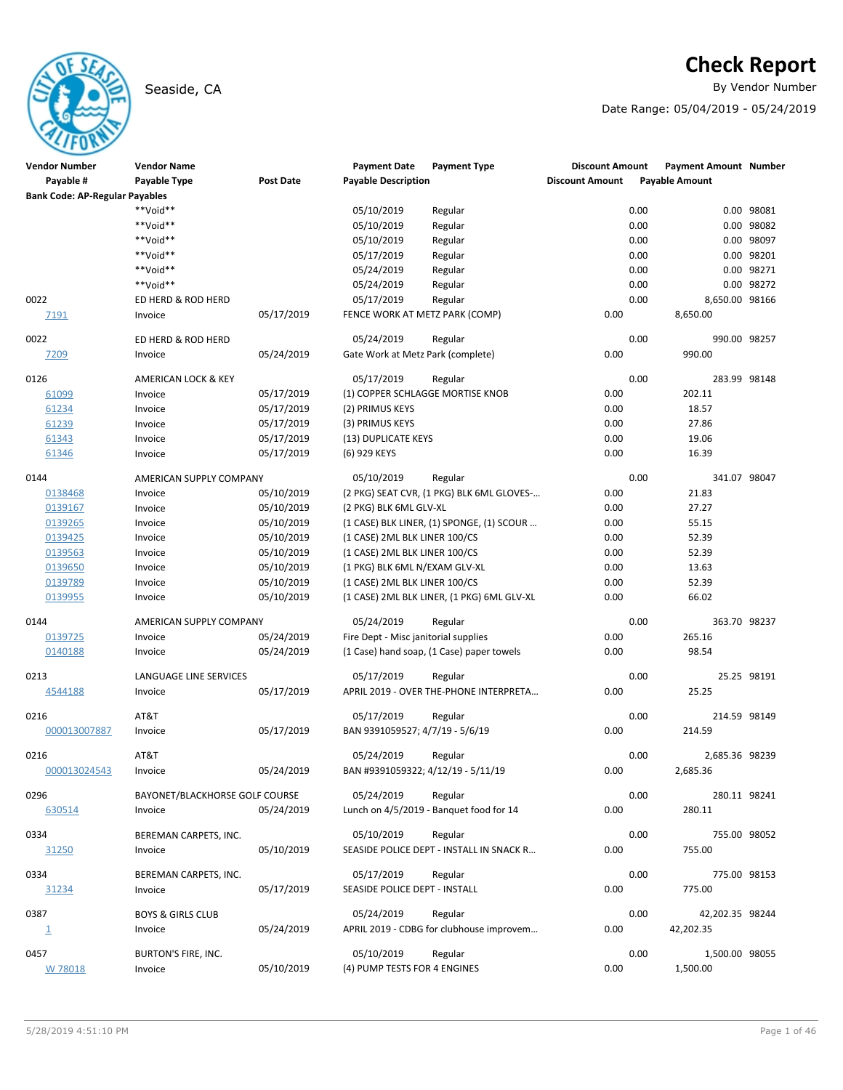# Seaside, CA **By Vendor Number**

# **Check Report**

Date Range: 05/04/2019 - 05/24/2019

| <b>Vendor Number</b>                  | <b>Vendor Name</b>             |            | <b>Payment Date</b>                  | <b>Payment Type</b>                        | <b>Discount Amount</b> | <b>Payment Amount Number</b> |             |
|---------------------------------------|--------------------------------|------------|--------------------------------------|--------------------------------------------|------------------------|------------------------------|-------------|
| Payable #                             | Payable Type                   | Post Date  | <b>Payable Description</b>           |                                            | <b>Discount Amount</b> | <b>Payable Amount</b>        |             |
| <b>Bank Code: AP-Regular Payables</b> |                                |            |                                      |                                            |                        |                              |             |
|                                       | **Void**                       |            | 05/10/2019                           | Regular                                    | 0.00                   |                              | 0.00 98081  |
|                                       | **Void**                       |            | 05/10/2019                           | Regular                                    | 0.00                   |                              | 0.00 98082  |
|                                       | $**$ Noid**                    |            | 05/10/2019                           | Regular                                    | 0.00                   |                              | 0.00 98097  |
|                                       | **Void**                       |            | 05/17/2019                           | Regular                                    | 0.00                   |                              | 0.00 98201  |
|                                       | **Void**                       |            | 05/24/2019                           | Regular                                    | 0.00                   |                              | 0.00 98271  |
|                                       | **Void**                       |            | 05/24/2019                           | Regular                                    | 0.00                   |                              | 0.00 98272  |
| 0022                                  | ED HERD & ROD HERD             |            | 05/17/2019                           | Regular                                    | 0.00                   | 8,650.00 98166               |             |
| 7191                                  | Invoice                        | 05/17/2019 | FENCE WORK AT METZ PARK (COMP)       |                                            | 0.00                   | 8,650.00                     |             |
|                                       |                                |            |                                      |                                            |                        |                              |             |
| 0022                                  | ED HERD & ROD HERD             |            | 05/24/2019                           | Regular                                    | 0.00                   | 990.00 98257                 |             |
| 7209                                  | Invoice                        | 05/24/2019 | Gate Work at Metz Park (complete)    |                                            | 0.00                   | 990.00                       |             |
| 0126                                  | AMERICAN LOCK & KEY            |            | 05/17/2019                           | Regular                                    | 0.00                   | 283.99 98148                 |             |
| 61099                                 | Invoice                        | 05/17/2019 |                                      | (1) COPPER SCHLAGGE MORTISE KNOB           | 0.00                   | 202.11                       |             |
| 61234                                 | Invoice                        | 05/17/2019 | (2) PRIMUS KEYS                      |                                            | 0.00                   | 18.57                        |             |
| 61239                                 | Invoice                        | 05/17/2019 | (3) PRIMUS KEYS                      |                                            | 0.00                   | 27.86                        |             |
| 61343                                 | Invoice                        | 05/17/2019 | (13) DUPLICATE KEYS                  |                                            | 0.00                   | 19.06                        |             |
| 61346                                 | Invoice                        | 05/17/2019 | (6) 929 KEYS                         |                                            | 0.00                   | 16.39                        |             |
|                                       |                                |            |                                      |                                            |                        |                              |             |
| 0144                                  | AMERICAN SUPPLY COMPANY        |            | 05/10/2019                           | Regular                                    | 0.00                   | 341.07 98047                 |             |
| 0138468                               | Invoice                        | 05/10/2019 |                                      | (2 PKG) SEAT CVR, (1 PKG) BLK 6ML GLOVES-  | 0.00                   | 21.83                        |             |
| 0139167                               | Invoice                        | 05/10/2019 | (2 PKG) BLK 6ML GLV-XL               |                                            | 0.00                   | 27.27                        |             |
| 0139265                               | Invoice                        | 05/10/2019 |                                      | (1 CASE) BLK LINER, (1) SPONGE, (1) SCOUR  | 0.00                   | 55.15                        |             |
| 0139425                               | Invoice                        | 05/10/2019 | (1 CASE) 2ML BLK LINER 100/CS        |                                            | 0.00                   | 52.39                        |             |
| 0139563                               | Invoice                        | 05/10/2019 | (1 CASE) 2ML BLK LINER 100/CS        |                                            | 0.00                   | 52.39                        |             |
| 0139650                               | Invoice                        | 05/10/2019 | (1 PKG) BLK 6ML N/EXAM GLV-XL        |                                            | 0.00                   | 13.63                        |             |
| 0139789                               | Invoice                        | 05/10/2019 | (1 CASE) 2ML BLK LINER 100/CS        |                                            | 0.00                   | 52.39                        |             |
| 0139955                               | Invoice                        | 05/10/2019 |                                      | (1 CASE) 2ML BLK LINER, (1 PKG) 6ML GLV-XL | 0.00                   | 66.02                        |             |
| 0144                                  | AMERICAN SUPPLY COMPANY        |            | 05/24/2019                           | Regular                                    | 0.00                   | 363.70 98237                 |             |
| 0139725                               | Invoice                        | 05/24/2019 | Fire Dept - Misc janitorial supplies |                                            | 0.00                   | 265.16                       |             |
| 0140188                               | Invoice                        | 05/24/2019 |                                      | (1 Case) hand soap, (1 Case) paper towels  | 0.00                   | 98.54                        |             |
| 0213                                  | LANGUAGE LINE SERVICES         |            | 05/17/2019                           | Regular                                    | 0.00                   |                              | 25.25 98191 |
| 4544188                               | Invoice                        | 05/17/2019 |                                      | APRIL 2019 - OVER THE-PHONE INTERPRETA     | 0.00                   | 25.25                        |             |
|                                       |                                |            |                                      |                                            |                        |                              |             |
| 0216                                  | AT&T                           |            | 05/17/2019                           | Regular                                    | 0.00                   | 214.59 98149                 |             |
| 000013007887                          | Invoice                        | 05/17/2019 | BAN 9391059527; 4/7/19 - 5/6/19      |                                            | 0.00                   | 214.59                       |             |
| 0216                                  | AT&T                           |            | 05/24/2019                           | Regular                                    | 0.00                   | 2,685.36 98239               |             |
| 000013024543                          | Invoice                        | 05/24/2019 | BAN #9391059322; 4/12/19 - 5/11/19   |                                            | 0.00                   | 2,685.36                     |             |
|                                       |                                |            |                                      |                                            |                        |                              |             |
| 0296                                  | BAYONET/BLACKHORSE GOLF COURSE |            | 05/24/2019                           | Regular                                    | 0.00                   | 280.11 98241                 |             |
| 630514                                | Invoice                        | 05/24/2019 |                                      | Lunch on 4/5/2019 - Banquet food for 14    | 0.00                   | 280.11                       |             |
| 0334                                  | BEREMAN CARPETS, INC.          |            | 05/10/2019                           | Regular                                    | 0.00                   | 755.00 98052                 |             |
| 31250                                 | Invoice                        | 05/10/2019 |                                      | SEASIDE POLICE DEPT - INSTALL IN SNACK R   | 0.00                   | 755.00                       |             |
|                                       |                                |            |                                      |                                            |                        |                              |             |
| 0334                                  | BEREMAN CARPETS, INC.          |            | 05/17/2019                           | Regular                                    | 0.00                   | 775.00 98153                 |             |
| 31234                                 | Invoice                        | 05/17/2019 | SEASIDE POLICE DEPT - INSTALL        |                                            | 0.00                   | 775.00                       |             |
|                                       |                                |            |                                      |                                            |                        |                              |             |
| 0387                                  | <b>BOYS &amp; GIRLS CLUB</b>   |            | 05/24/2019                           | Regular                                    | 0.00                   | 42,202.35 98244              |             |
| $\overline{\mathbf{1}}$               | Invoice                        | 05/24/2019 |                                      | APRIL 2019 - CDBG for clubhouse improvem   | 0.00                   | 42,202.35                    |             |
| 0457                                  | BURTON'S FIRE, INC.            |            | 05/10/2019                           | Regular                                    | 0.00                   | 1,500.00 98055               |             |
| W 78018                               | Invoice                        | 05/10/2019 | (4) PUMP TESTS FOR 4 ENGINES         |                                            | 0.00                   | 1,500.00                     |             |
|                                       |                                |            |                                      |                                            |                        |                              |             |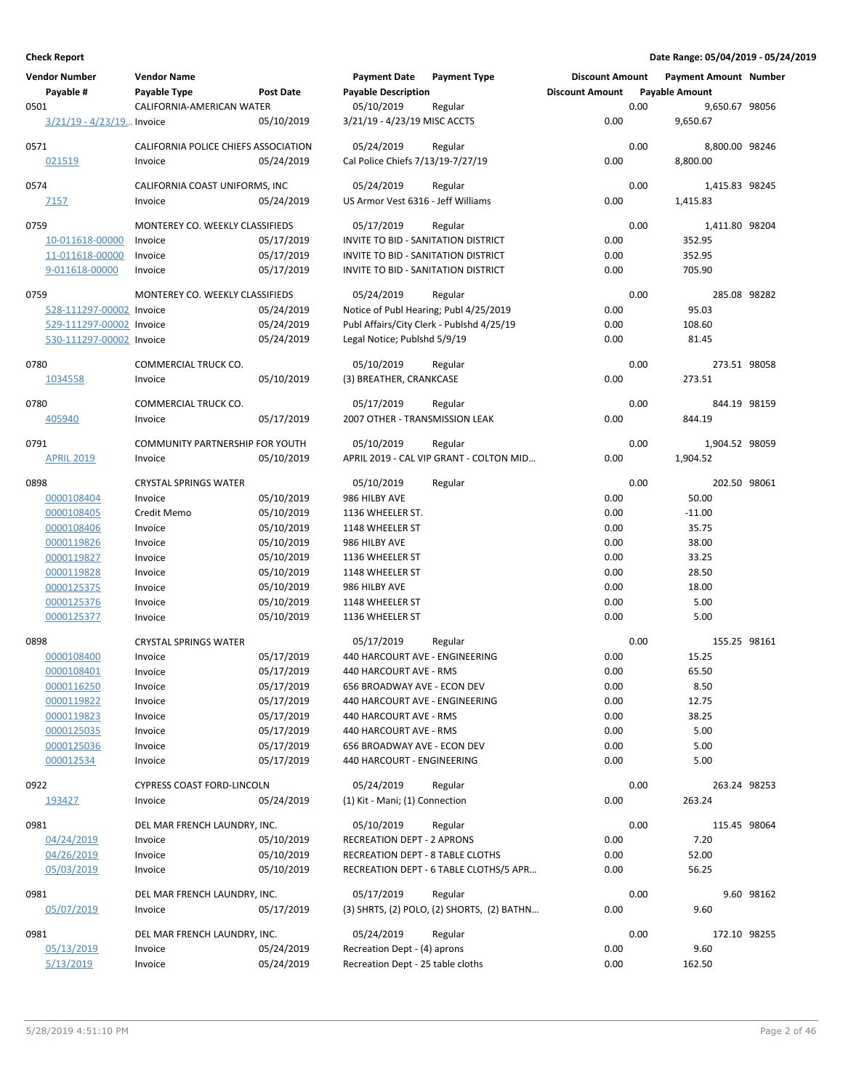| <b>Vendor Number</b>        | <b>Vendor Name</b>                     |                          | <b>Payment Date</b>                                           | <b>Payment Type</b>                        | <b>Discount Amount</b> |      | <b>Payment Amount Number</b> |            |
|-----------------------------|----------------------------------------|--------------------------|---------------------------------------------------------------|--------------------------------------------|------------------------|------|------------------------------|------------|
| Payable #                   | Payable Type                           | <b>Post Date</b>         | <b>Payable Description</b>                                    |                                            | <b>Discount Amount</b> |      | <b>Payable Amount</b>        |            |
| 0501                        | CALIFORNIA-AMERICAN WATER              |                          | 05/10/2019                                                    | Regular                                    |                        | 0.00 | 9,650.67 98056               |            |
| $3/21/19 - 4/23/19$ Invoice |                                        | 05/10/2019               | 3/21/19 - 4/23/19 MISC ACCTS                                  |                                            | 0.00                   |      | 9,650.67                     |            |
| 0571                        | CALIFORNIA POLICE CHIEFS ASSOCIATION   |                          | 05/24/2019                                                    | Regular                                    |                        | 0.00 | 8,800.00 98246               |            |
| 021519                      | Invoice                                | 05/24/2019               | Cal Police Chiefs 7/13/19-7/27/19                             |                                            | 0.00                   |      | 8.800.00                     |            |
|                             |                                        |                          |                                                               |                                            |                        |      |                              |            |
| 0574                        | CALIFORNIA COAST UNIFORMS, INC         |                          | 05/24/2019                                                    | Regular                                    |                        | 0.00 | 1,415.83 98245               |            |
| 7157                        | Invoice                                | 05/24/2019               | US Armor Vest 6316 - Jeff Williams                            |                                            | 0.00                   |      | 1,415.83                     |            |
|                             |                                        |                          |                                                               |                                            |                        |      |                              |            |
| 0759                        | MONTEREY CO. WEEKLY CLASSIFIEDS        |                          | 05/17/2019                                                    | Regular                                    |                        | 0.00 | 1,411.80 98204               |            |
| 10-011618-00000             | Invoice                                | 05/17/2019               | INVITE TO BID - SANITATION DISTRICT                           |                                            | 0.00                   |      | 352.95                       |            |
| 11-011618-00000             | Invoice                                | 05/17/2019               | INVITE TO BID - SANITATION DISTRICT                           |                                            | 0.00                   |      | 352.95                       |            |
| 9-011618-00000              | Invoice                                | 05/17/2019               | <b>INVITE TO BID - SANITATION DISTRICT</b>                    |                                            | 0.00                   |      | 705.90                       |            |
| 0759                        | MONTEREY CO. WEEKLY CLASSIFIEDS        |                          | 05/24/2019                                                    | Regular                                    |                        | 0.00 | 285.08 98282                 |            |
| 528-111297-00002 Invoice    |                                        | 05/24/2019               | Notice of Publ Hearing; Publ 4/25/2019                        |                                            | 0.00                   |      | 95.03                        |            |
| 529-111297-00002 Invoice    |                                        | 05/24/2019               |                                                               | Publ Affairs/City Clerk - Publshd 4/25/19  | 0.00                   |      | 108.60                       |            |
| 530-111297-00002 Invoice    |                                        | 05/24/2019               | Legal Notice; Publshd 5/9/19                                  |                                            | 0.00                   |      | 81.45                        |            |
|                             |                                        |                          |                                                               |                                            |                        |      |                              |            |
| 0780                        | COMMERCIAL TRUCK CO.                   | 05/10/2019               | 05/10/2019                                                    | Regular                                    | 0.00                   | 0.00 | 273.51 98058                 |            |
| 1034558                     | Invoice                                |                          | (3) BREATHER, CRANKCASE                                       |                                            |                        |      | 273.51                       |            |
| 0780                        | COMMERCIAL TRUCK CO.                   |                          | 05/17/2019                                                    | Regular                                    |                        | 0.00 | 844.19 98159                 |            |
| 405940                      | Invoice                                | 05/17/2019               | 2007 OTHER - TRANSMISSION LEAK                                |                                            | 0.00                   |      | 844.19                       |            |
|                             |                                        |                          |                                                               |                                            |                        |      |                              |            |
| 0791                        | <b>COMMUNITY PARTNERSHIP FOR YOUTH</b> |                          | 05/10/2019                                                    | Regular                                    |                        | 0.00 | 1,904.52 98059               |            |
| <b>APRIL 2019</b>           | Invoice                                | 05/10/2019               |                                                               | APRIL 2019 - CAL VIP GRANT - COLTON MID    | 0.00                   |      | 1,904.52                     |            |
| 0898                        | <b>CRYSTAL SPRINGS WATER</b>           |                          | 05/10/2019                                                    | Regular                                    |                        | 0.00 | 202.50 98061                 |            |
| 0000108404                  | Invoice                                | 05/10/2019               | 986 HILBY AVE                                                 |                                            | 0.00                   |      | 50.00                        |            |
| 0000108405                  | Credit Memo                            | 05/10/2019               | 1136 WHEELER ST.                                              |                                            | 0.00                   |      | $-11.00$                     |            |
| 0000108406                  | Invoice                                | 05/10/2019               | 1148 WHEELER ST                                               |                                            | 0.00                   |      | 35.75                        |            |
| 0000119826                  | Invoice                                | 05/10/2019               | 986 HILBY AVE                                                 |                                            | 0.00                   |      | 38.00                        |            |
| 0000119827                  | Invoice                                | 05/10/2019               | 1136 WHEELER ST                                               |                                            | 0.00                   |      | 33.25                        |            |
| 0000119828                  | Invoice                                | 05/10/2019               | 1148 WHEELER ST                                               |                                            | 0.00                   |      | 28.50                        |            |
| 0000125375                  | Invoice                                | 05/10/2019               | 986 HILBY AVE                                                 |                                            | 0.00                   |      | 18.00                        |            |
| 0000125376                  | Invoice                                | 05/10/2019               | 1148 WHEELER ST                                               |                                            | 0.00                   |      | 5.00                         |            |
| 0000125377                  | Invoice                                | 05/10/2019               | 1136 WHEELER ST                                               |                                            | 0.00                   |      | 5.00                         |            |
|                             |                                        |                          |                                                               |                                            |                        |      |                              |            |
| 0898                        | <b>CRYSTAL SPRINGS WATER</b>           | 05/17/2019               | 05/17/2019<br>440 HARCOURT AVE - ENGINEERING                  | Regular                                    | 0.00                   | 0.00 | 155.25 98161<br>15.25        |            |
| 0000108400<br>0000108401    | Invoice<br>Invoice                     | 05/17/2019               | 440 HARCOURT AVE - RMS                                        |                                            | 0.00                   |      | 65.50                        |            |
| 0000116250                  |                                        |                          |                                                               |                                            |                        |      | 8.50                         |            |
| 0000119822                  | Invoice                                | 05/17/2019<br>05/17/2019 | 656 BROADWAY AVE - ECON DEV<br>440 HARCOURT AVE - ENGINEERING |                                            | 0.00<br>0.00           |      | 12.75                        |            |
| 0000119823                  | Invoice<br>Invoice                     | 05/17/2019               | 440 HARCOURT AVE - RMS                                        |                                            | 0.00                   |      | 38.25                        |            |
| 0000125035                  | Invoice                                | 05/17/2019               | 440 HARCOURT AVE - RMS                                        |                                            | 0.00                   |      | 5.00                         |            |
| 0000125036                  | Invoice                                | 05/17/2019               | 656 BROADWAY AVE - ECON DEV                                   |                                            | 0.00                   |      | 5.00                         |            |
| 000012534                   | Invoice                                | 05/17/2019               | 440 HARCOURT - ENGINEERING                                    |                                            | 0.00                   |      | 5.00                         |            |
|                             |                                        |                          |                                                               |                                            |                        |      |                              |            |
| 0922                        | CYPRESS COAST FORD-LINCOLN             |                          | 05/24/2019                                                    | Regular                                    |                        | 0.00 | 263.24 98253                 |            |
| 193427                      | Invoice                                | 05/24/2019               | (1) Kit - Mani; (1) Connection                                |                                            | 0.00                   |      | 263.24                       |            |
| 0981                        | DEL MAR FRENCH LAUNDRY, INC.           |                          | 05/10/2019                                                    | Regular                                    |                        | 0.00 | 115.45 98064                 |            |
| 04/24/2019                  | Invoice                                | 05/10/2019               | <b>RECREATION DEPT - 2 APRONS</b>                             |                                            | 0.00                   |      | 7.20                         |            |
| 04/26/2019                  | Invoice                                | 05/10/2019               | RECREATION DEPT - 8 TABLE CLOTHS                              |                                            | 0.00                   |      | 52.00                        |            |
| 05/03/2019                  | Invoice                                | 05/10/2019               |                                                               | RECREATION DEPT - 6 TABLE CLOTHS/5 APR     | 0.00                   |      | 56.25                        |            |
|                             |                                        |                          |                                                               |                                            |                        |      |                              |            |
| 0981                        | DEL MAR FRENCH LAUNDRY, INC.           |                          | 05/17/2019                                                    | Regular                                    |                        | 0.00 |                              | 9.60 98162 |
| 05/07/2019                  | Invoice                                | 05/17/2019               |                                                               | (3) SHRTS, (2) POLO, (2) SHORTS, (2) BATHN | 0.00                   |      | 9.60                         |            |
| 0981                        | DEL MAR FRENCH LAUNDRY, INC.           |                          | 05/24/2019                                                    | Regular                                    |                        | 0.00 | 172.10 98255                 |            |
| 05/13/2019                  | Invoice                                | 05/24/2019               | Recreation Dept - (4) aprons                                  |                                            | 0.00                   |      | 9.60                         |            |
| 5/13/2019                   | Invoice                                | 05/24/2019               | Recreation Dept - 25 table cloths                             |                                            | 0.00                   |      | 162.50                       |            |
|                             |                                        |                          |                                                               |                                            |                        |      |                              |            |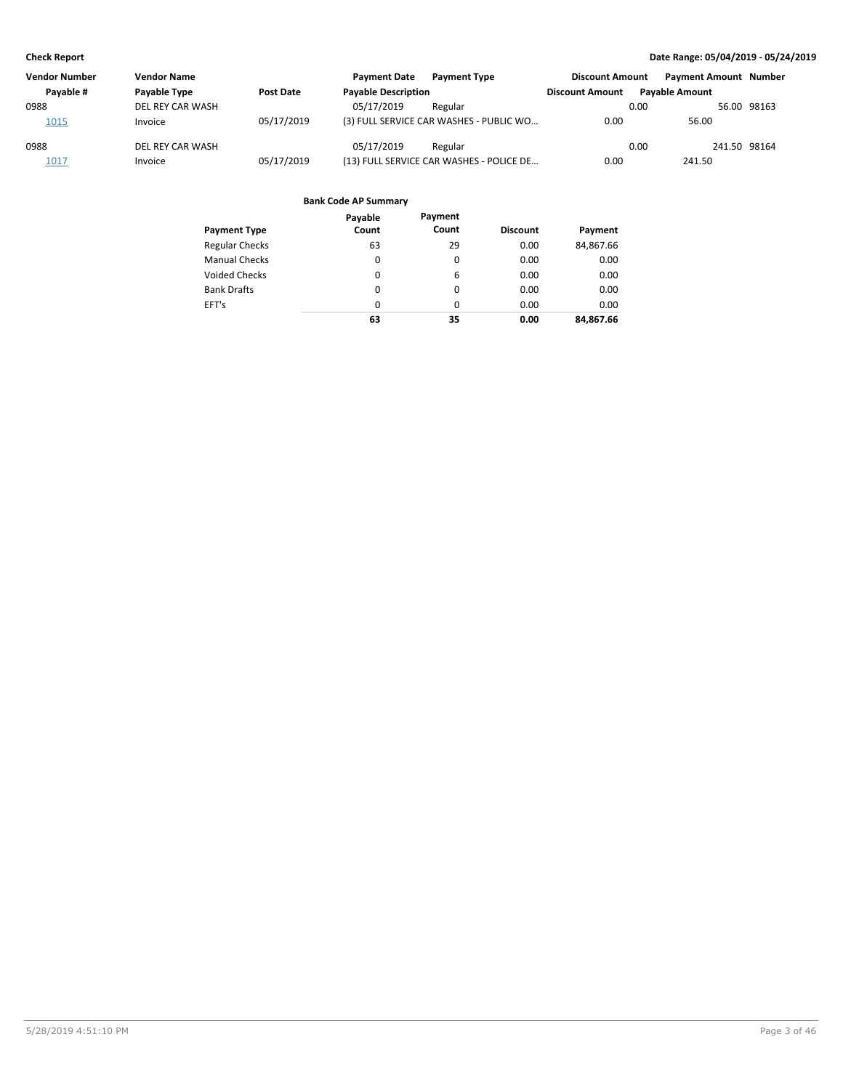| <b>Vendor Number</b> | <b>Vendor Name</b> |                  | <b>Payment Date</b>        | <b>Payment Type</b>                      | <b>Discount Amount</b> | <b>Payment Amount Number</b> |              |             |
|----------------------|--------------------|------------------|----------------------------|------------------------------------------|------------------------|------------------------------|--------------|-------------|
| Payable #            | Payable Type       | <b>Post Date</b> | <b>Payable Description</b> |                                          | <b>Discount Amount</b> | <b>Pavable Amount</b>        |              |             |
| 0988                 | DEL REY CAR WASH   |                  | 05/17/2019                 | Regular                                  |                        | 0.00                         |              | 56.00 98163 |
| 1015                 | Invoice            | 05/17/2019       |                            | (3) FULL SERVICE CAR WASHES - PUBLIC WO  | 0.00                   | 56.00                        |              |             |
| 0988                 | DEL REY CAR WASH   |                  | 05/17/2019                 | Regular                                  |                        | 0.00                         | 241.50 98164 |             |
| 1017                 | Invoice            | 05/17/2019       |                            | (13) FULL SERVICE CAR WASHES - POLICE DE | 0.00                   | 241.50                       |              |             |

| <b>Payment Type</b>   | Payable<br>Count | Payment<br>Count | <b>Discount</b> | Payment   |
|-----------------------|------------------|------------------|-----------------|-----------|
| <b>Regular Checks</b> | 63               | 29               | 0.00            | 84,867.66 |
| <b>Manual Checks</b>  | 0                | 0                | 0.00            | 0.00      |
| <b>Voided Checks</b>  | 0                | 6                | 0.00            | 0.00      |
| <b>Bank Drafts</b>    | 0                | $\Omega$         | 0.00            | 0.00      |
| EFT's                 | 0                | $\Omega$         | 0.00            | 0.00      |
|                       | 63               | 35               | 0.00            | 84.867.66 |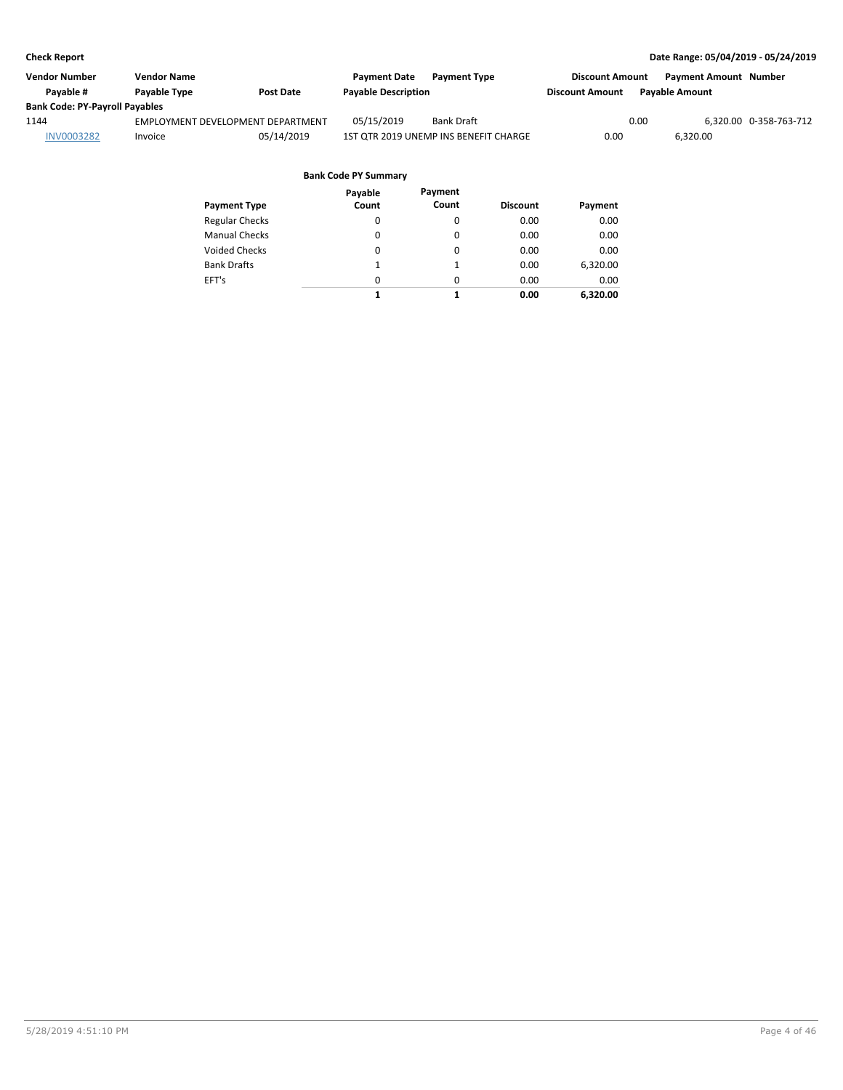| Vendor Number                         | Vendor Name                       |                  | <b>Payment Date</b>        | <b>Payment Type</b>                   | <b>Discount Amount</b> | <b>Payment Amount Number</b> |                        |
|---------------------------------------|-----------------------------------|------------------|----------------------------|---------------------------------------|------------------------|------------------------------|------------------------|
| Pavable #                             | Payable Type                      | <b>Post Date</b> | <b>Payable Description</b> |                                       | <b>Discount Amount</b> | <b>Pavable Amount</b>        |                        |
| <b>Bank Code: PY-Payroll Payables</b> |                                   |                  |                            |                                       |                        |                              |                        |
| 1144                                  | EMPLOYMENT DEVELOPMENT DEPARTMENT |                  | 05/15/2019                 | <b>Bank Draft</b>                     |                        | 0.00                         | 6,320.00 0-358-763-712 |
| <b>INV0003282</b>                     | Invoice                           | 05/14/2019       |                            | 1ST OTR 2019 UNEMP INS BENEFIT CHARGE | 0.00                   | 6.320.00                     |                        |
|                                       |                                   |                  |                            |                                       |                        |                              |                        |

|                       | Payable  | Payment  |                 |          |
|-----------------------|----------|----------|-----------------|----------|
| <b>Payment Type</b>   | Count    | Count    | <b>Discount</b> | Payment  |
| <b>Regular Checks</b> | 0        | 0        | 0.00            | 0.00     |
| <b>Manual Checks</b>  | 0        | 0        | 0.00            | 0.00     |
| Voided Checks         | 0        | 0        | 0.00            | 0.00     |
| <b>Bank Drafts</b>    | 1        | 1        | 0.00            | 6,320.00 |
| EFT's                 | $\Omega$ | $\Omega$ | 0.00            | 0.00     |
|                       | 1        | 1        | 0.00            | 6,320.00 |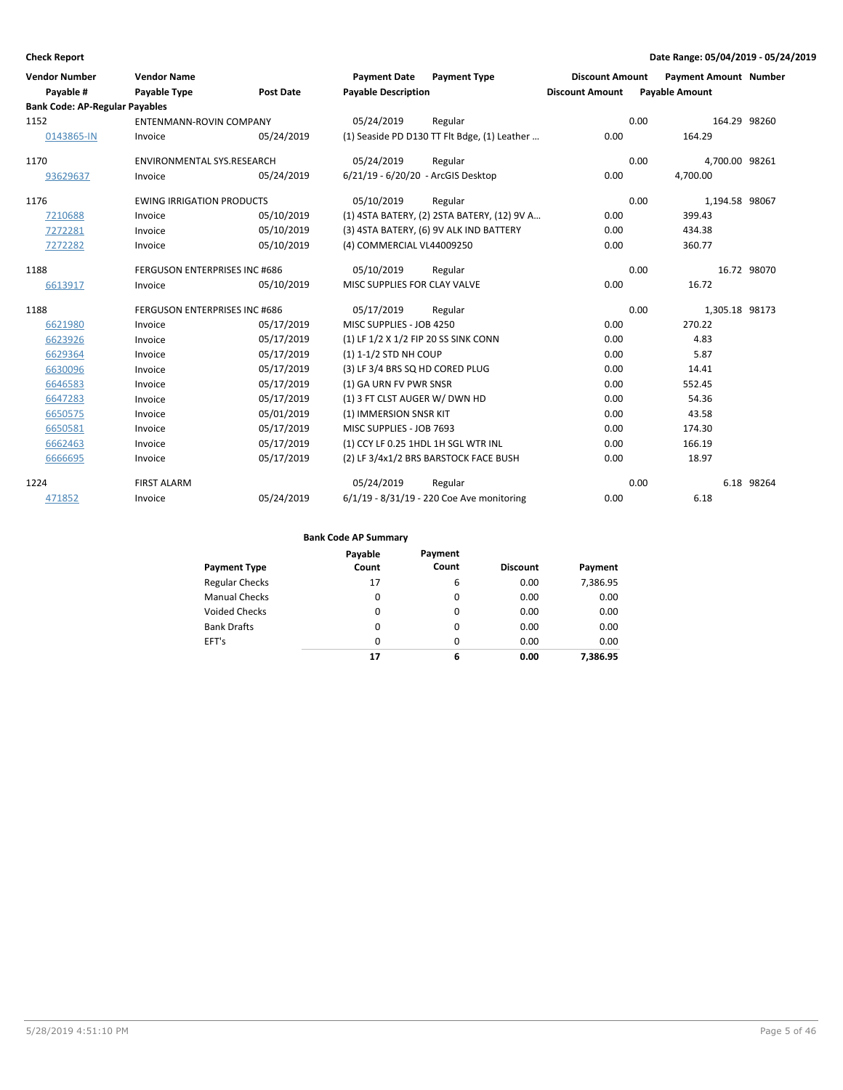| <b>Vendor Number</b><br>Payable #     | <b>Vendor Name</b><br>Payable Type   | <b>Post Date</b> | <b>Payment Date</b><br><b>Payment Type</b><br><b>Payable Description</b> | <b>Discount Amount</b><br><b>Discount Amount</b> | <b>Payment Amount Number</b><br><b>Payable Amount</b> |  |
|---------------------------------------|--------------------------------------|------------------|--------------------------------------------------------------------------|--------------------------------------------------|-------------------------------------------------------|--|
| <b>Bank Code: AP-Regular Payables</b> |                                      |                  |                                                                          |                                                  |                                                       |  |
| 1152                                  | <b>ENTENMANN-ROVIN COMPANY</b>       |                  | 05/24/2019<br>Regular                                                    | 0.00                                             | 164.29 98260                                          |  |
| 0143865-IN                            | Invoice                              | 05/24/2019       | (1) Seaside PD D130 TT Flt Bdge, (1) Leather                             | 0.00                                             | 164.29                                                |  |
| 1170                                  | <b>ENVIRONMENTAL SYS.RESEARCH</b>    |                  | 05/24/2019<br>Regular                                                    | 0.00                                             | 4.700.00 98261                                        |  |
| 93629637                              | Invoice                              | 05/24/2019       | 6/21/19 - 6/20/20 - ArcGIS Desktop                                       | 0.00                                             | 4,700.00                                              |  |
| 1176                                  | <b>EWING IRRIGATION PRODUCTS</b>     |                  | 05/10/2019<br>Regular                                                    | 0.00                                             | 1,194.58 98067                                        |  |
| 7210688                               | Invoice                              | 05/10/2019       | (1) 4STA BATERY, (2) 2STA BATERY, (12) 9V A                              | 0.00                                             | 399.43                                                |  |
| 7272281                               | Invoice                              | 05/10/2019       | (3) 4STA BATERY, (6) 9V ALK IND BATTERY                                  | 0.00                                             | 434.38                                                |  |
| 7272282                               | Invoice                              | 05/10/2019       | (4) COMMERCIAL VL44009250                                                | 0.00                                             | 360.77                                                |  |
| 1188                                  | <b>FERGUSON ENTERPRISES INC #686</b> |                  | 05/10/2019<br>Regular                                                    | 0.00                                             | 16.72 98070                                           |  |
| 6613917                               | Invoice                              | 05/10/2019       | MISC SUPPLIES FOR CLAY VALVE                                             | 0.00                                             | 16.72                                                 |  |
| 1188                                  | <b>FERGUSON ENTERPRISES INC #686</b> |                  | 05/17/2019<br>Regular                                                    | 0.00                                             | 1,305.18 98173                                        |  |
| 6621980                               | Invoice                              | 05/17/2019       | MISC SUPPLIES - JOB 4250                                                 | 0.00                                             | 270.22                                                |  |
| 6623926                               | Invoice                              | 05/17/2019       | (1) LF 1/2 X 1/2 FIP 20 SS SINK CONN                                     | 0.00                                             | 4.83                                                  |  |
| 6629364                               | Invoice                              | 05/17/2019       | (1) 1-1/2 STD NH COUP                                                    | 0.00                                             | 5.87                                                  |  |
| 6630096                               | Invoice                              | 05/17/2019       | (3) LF 3/4 BRS SQ HD CORED PLUG                                          | 0.00                                             | 14.41                                                 |  |
| 6646583                               | Invoice                              | 05/17/2019       | (1) GA URN FV PWR SNSR                                                   | 0.00                                             | 552.45                                                |  |
| 6647283                               | Invoice                              | 05/17/2019       | (1) 3 FT CLST AUGER W/ DWN HD                                            | 0.00                                             | 54.36                                                 |  |
| 6650575                               | Invoice                              | 05/01/2019       | (1) IMMERSION SNSR KIT                                                   | 0.00                                             | 43.58                                                 |  |
| 6650581                               | Invoice                              | 05/17/2019       | MISC SUPPLIES - JOB 7693                                                 | 0.00                                             | 174.30                                                |  |
| 6662463                               | Invoice                              | 05/17/2019       | (1) CCY LF 0.25 1HDL 1H SGL WTR INL                                      | 0.00                                             | 166.19                                                |  |
| 6666695                               | Invoice                              | 05/17/2019       | (2) LF 3/4x1/2 BRS BARSTOCK FACE BUSH                                    | 0.00                                             | 18.97                                                 |  |
| 1224                                  | <b>FIRST ALARM</b>                   |                  | 05/24/2019<br>Regular                                                    | 0.00                                             | 6.18 98264                                            |  |
| 471852                                | Invoice                              | 05/24/2019       | 6/1/19 - 8/31/19 - 220 Coe Ave monitoring                                | 0.00                                             | 6.18                                                  |  |

| <b>Payment Type</b>   | Payable<br>Count | Payment<br>Count | <b>Discount</b> | Payment  |
|-----------------------|------------------|------------------|-----------------|----------|
| <b>Regular Checks</b> | 17               | 6                | 0.00            | 7,386.95 |
| <b>Manual Checks</b>  | 0                | $\Omega$         | 0.00            | 0.00     |
| Voided Checks         | 0                | 0                | 0.00            | 0.00     |
| <b>Bank Drafts</b>    | 0                | $\Omega$         | 0.00            | 0.00     |
| EFT's                 | $\Omega$         | $\Omega$         | 0.00            | 0.00     |
|                       | 17               | 6                | 0.00            | 7.386.95 |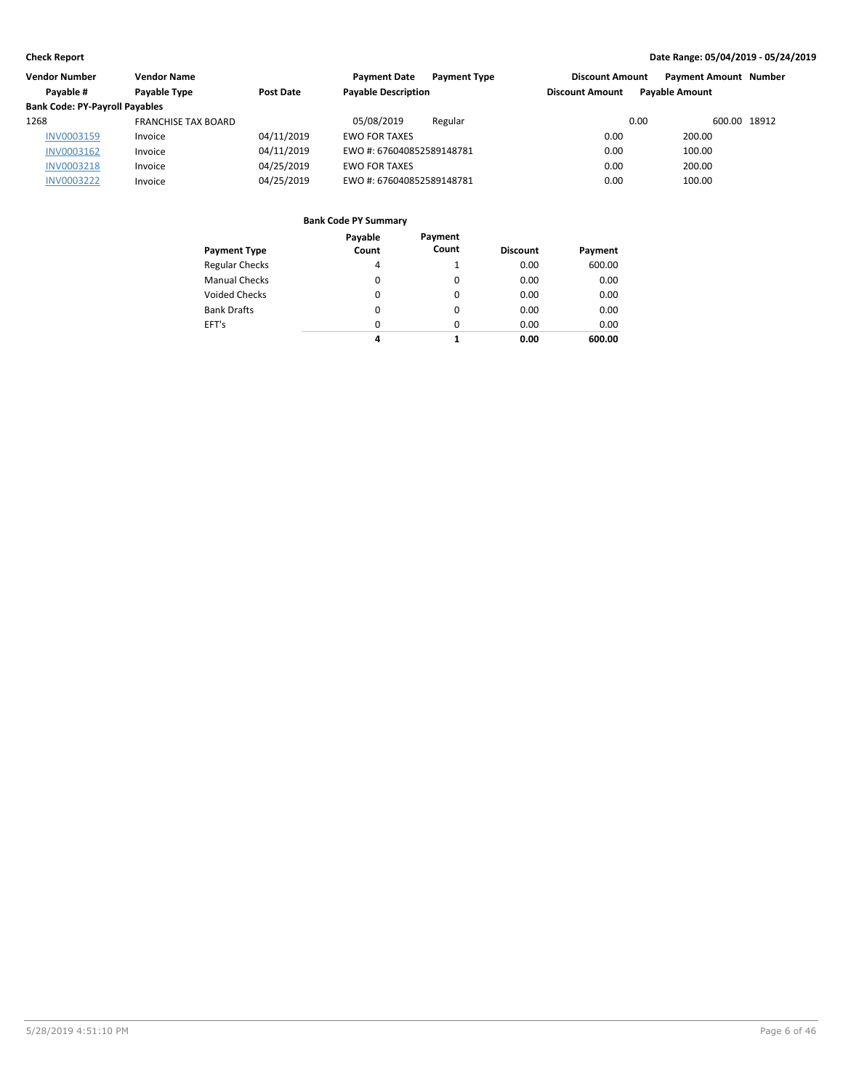| <b>Vendor Number</b><br>Vendor Name   |                            | <b>Payment Date</b><br><b>Payment Type</b> | <b>Discount Amount</b>     | <b>Payment Amount Number</b> |                       |  |
|---------------------------------------|----------------------------|--------------------------------------------|----------------------------|------------------------------|-----------------------|--|
| Payable #                             | Payable Type<br>Post Date  |                                            | <b>Payable Description</b> | <b>Discount Amount</b>       | <b>Pavable Amount</b> |  |
| <b>Bank Code: PY-Payroll Payables</b> |                            |                                            |                            |                              |                       |  |
| 1268                                  | <b>FRANCHISE TAX BOARD</b> |                                            | 05/08/2019<br>Regular      | 0.00                         | 600.00 18912          |  |
| <b>INV0003159</b>                     | Invoice                    | 04/11/2019                                 | <b>EWO FOR TAXES</b>       | 0.00                         | 200.00                |  |
| INV0003162                            | Invoice                    | 04/11/2019                                 | EWO #: 676040852589148781  | 0.00                         | 100.00                |  |
| <b>INV0003218</b>                     | Invoice                    | 04/25/2019                                 | <b>EWO FOR TAXES</b>       | 0.00                         | 200.00                |  |
| <b>INV0003222</b>                     | Invoice                    | 04/25/2019                                 | EWO #: 676040852589148781  | 0.00                         | 100.00                |  |
|                                       |                            |                                            |                            |                              |                       |  |

| <b>Payment Type</b>   | Payable<br>Count | Payment<br>Count | <b>Discount</b> | Payment |
|-----------------------|------------------|------------------|-----------------|---------|
| <b>Regular Checks</b> | 4                |                  | 0.00            | 600.00  |
| <b>Manual Checks</b>  | 0                | 0                | 0.00            | 0.00    |
| <b>Voided Checks</b>  | $\Omega$         | 0                | 0.00            | 0.00    |
| <b>Bank Drafts</b>    | $\Omega$         | 0                | 0.00            | 0.00    |
| EFT's                 | $\Omega$         | 0                | 0.00            | 0.00    |
|                       | 4                | 1                | 0.00            | 600.00  |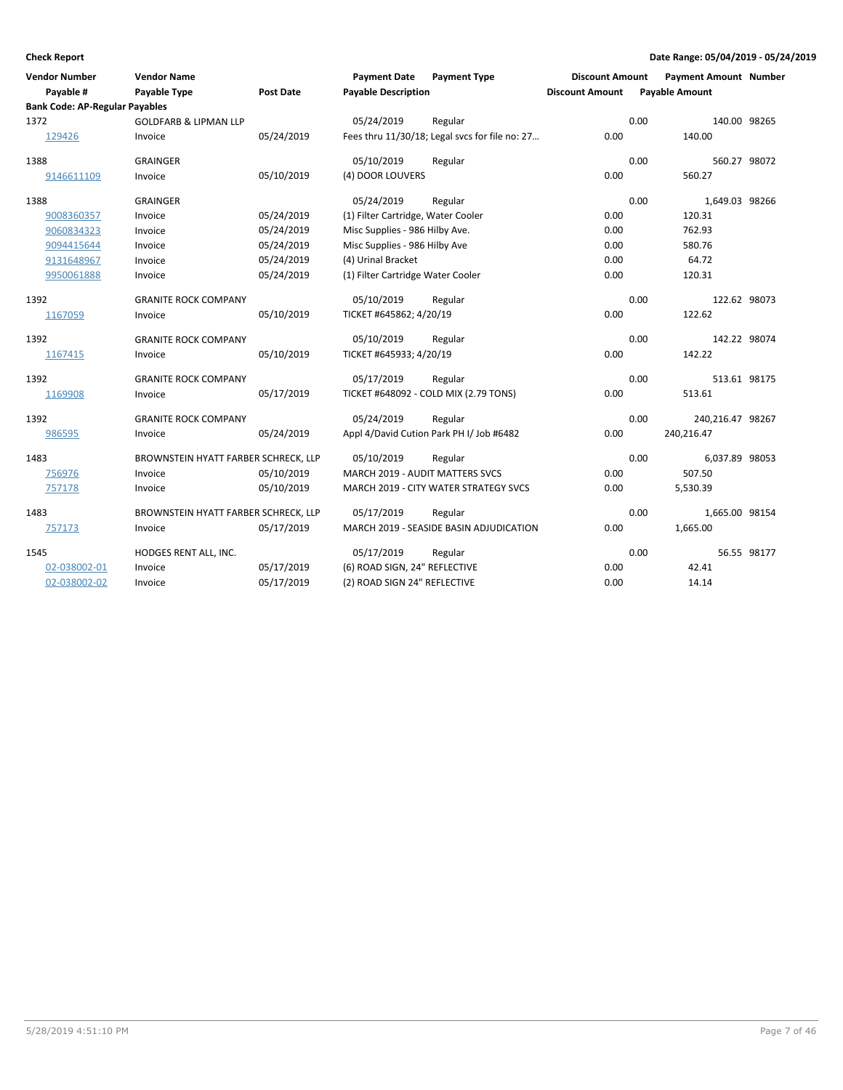| Vendor Number<br>Payable #            | <b>Vendor Name</b><br><b>Payable Type</b> | <b>Post Date</b> | <b>Payment Date</b><br><b>Payable Description</b> | <b>Payment Type</b>                            | <b>Discount Amount</b><br><b>Discount Amount</b> |      | <b>Payment Amount Number</b><br><b>Payable Amount</b> |             |
|---------------------------------------|-------------------------------------------|------------------|---------------------------------------------------|------------------------------------------------|--------------------------------------------------|------|-------------------------------------------------------|-------------|
| <b>Bank Code: AP-Regular Payables</b> |                                           |                  |                                                   |                                                |                                                  |      |                                                       |             |
| 1372                                  | <b>GOLDFARB &amp; LIPMAN LLP</b>          |                  | 05/24/2019                                        | Regular                                        |                                                  | 0.00 | 140.00 98265                                          |             |
| 129426                                | Invoice                                   | 05/24/2019       |                                                   | Fees thru 11/30/18; Legal svcs for file no: 27 | 0.00                                             |      | 140.00                                                |             |
| 1388                                  | <b>GRAINGER</b>                           |                  | 05/10/2019                                        | Regular                                        |                                                  | 0.00 | 560.27 98072                                          |             |
| 9146611109                            | Invoice                                   | 05/10/2019       | (4) DOOR LOUVERS                                  |                                                | 0.00                                             |      | 560.27                                                |             |
| 1388                                  | <b>GRAINGER</b>                           |                  | 05/24/2019                                        | Regular                                        |                                                  | 0.00 | 1,649.03 98266                                        |             |
| 9008360357                            | Invoice                                   | 05/24/2019       | (1) Filter Cartridge, Water Cooler                |                                                | 0.00                                             |      | 120.31                                                |             |
| 9060834323                            | Invoice                                   | 05/24/2019       | Misc Supplies - 986 Hilby Ave.                    |                                                | 0.00                                             |      | 762.93                                                |             |
| 9094415644                            | Invoice                                   | 05/24/2019       | Misc Supplies - 986 Hilby Ave                     |                                                | 0.00                                             |      | 580.76                                                |             |
| 9131648967                            | Invoice                                   | 05/24/2019       | (4) Urinal Bracket                                |                                                | 0.00                                             |      | 64.72                                                 |             |
| 9950061888                            | Invoice                                   | 05/24/2019       | (1) Filter Cartridge Water Cooler                 |                                                | 0.00                                             |      | 120.31                                                |             |
| 1392                                  | <b>GRANITE ROCK COMPANY</b>               |                  | 05/10/2019                                        | Regular                                        |                                                  | 0.00 | 122.62 98073                                          |             |
| 1167059                               | Invoice                                   | 05/10/2019       | TICKET #645862; 4/20/19                           |                                                | 0.00                                             |      | 122.62                                                |             |
| 1392                                  | <b>GRANITE ROCK COMPANY</b>               |                  | 05/10/2019                                        | Regular                                        |                                                  | 0.00 | 142.22 98074                                          |             |
| 1167415                               | Invoice                                   | 05/10/2019       | TICKET #645933; 4/20/19                           |                                                | 0.00                                             |      | 142.22                                                |             |
| 1392                                  | <b>GRANITE ROCK COMPANY</b>               |                  | 05/17/2019                                        | Regular                                        |                                                  | 0.00 | 513.61 98175                                          |             |
| 1169908                               | Invoice                                   | 05/17/2019       |                                                   | TICKET #648092 - COLD MIX (2.79 TONS)          | 0.00                                             |      | 513.61                                                |             |
| 1392                                  | <b>GRANITE ROCK COMPANY</b>               |                  | 05/24/2019                                        | Regular                                        |                                                  | 0.00 | 240,216.47 98267                                      |             |
| 986595                                | Invoice                                   | 05/24/2019       |                                                   | Appl 4/David Cution Park PH I/ Job #6482       | 0.00                                             |      | 240,216.47                                            |             |
| 1483                                  | BROWNSTEIN HYATT FARBER SCHRECK, LLP      |                  | 05/10/2019                                        | Regular                                        |                                                  | 0.00 | 6,037.89 98053                                        |             |
| 756976                                | Invoice                                   | 05/10/2019       | MARCH 2019 - AUDIT MATTERS SVCS                   |                                                | 0.00                                             |      | 507.50                                                |             |
| 757178                                | Invoice                                   | 05/10/2019       |                                                   | MARCH 2019 - CITY WATER STRATEGY SVCS          | 0.00                                             |      | 5,530.39                                              |             |
| 1483                                  | BROWNSTEIN HYATT FARBER SCHRECK, LLP      |                  | 05/17/2019                                        | Regular                                        |                                                  | 0.00 | 1,665.00 98154                                        |             |
| 757173                                | Invoice                                   | 05/17/2019       |                                                   | MARCH 2019 - SEASIDE BASIN ADJUDICATION        | 0.00                                             |      | 1,665.00                                              |             |
| 1545                                  | HODGES RENT ALL, INC.                     |                  | 05/17/2019                                        | Regular                                        |                                                  | 0.00 |                                                       | 56.55 98177 |
| 02-038002-01                          | Invoice                                   | 05/17/2019       | (6) ROAD SIGN, 24" REFLECTIVE                     |                                                | 0.00                                             |      | 42.41                                                 |             |
| 02-038002-02                          | Invoice                                   | 05/17/2019       | (2) ROAD SIGN 24" REFLECTIVE                      |                                                | 0.00                                             |      | 14.14                                                 |             |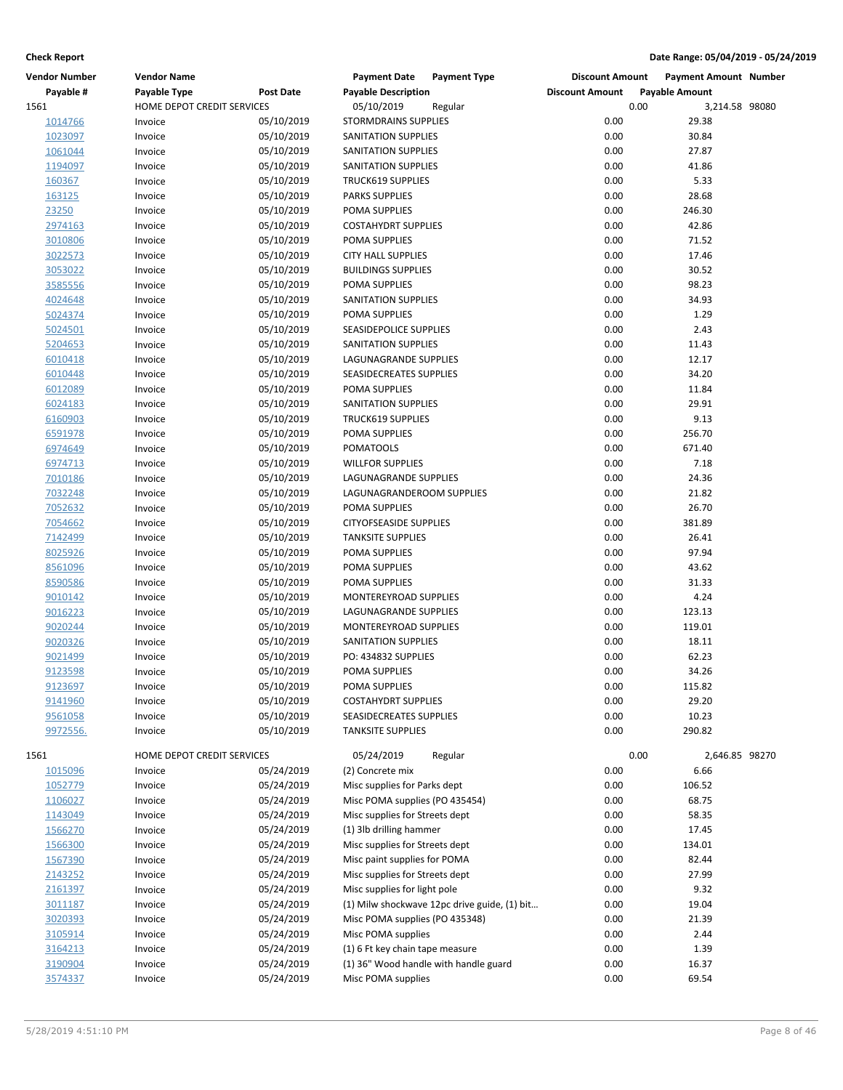| <b>Vendor Number</b> | <b>Vendor Name</b>         |            | <b>Payment Date</b><br><b>Payment Type</b>   | <b>Discount Amount</b> | <b>Payment Amount Number</b> |
|----------------------|----------------------------|------------|----------------------------------------------|------------------------|------------------------------|
| Payable #            | Payable Type               | Post Date  | <b>Payable Description</b>                   | <b>Discount Amount</b> | <b>Payable Amount</b>        |
| 1561                 | HOME DEPOT CREDIT SERVICES |            | 05/10/2019<br>Regular                        | 0.00                   | 3,214.58 98080               |
| 1014766              | Invoice                    | 05/10/2019 | <b>STORMDRAINS SUPPLIES</b>                  | 0.00                   | 29.38                        |
| 1023097              | Invoice                    | 05/10/2019 | SANITATION SUPPLIES                          | 0.00                   | 30.84                        |
| 1061044              | Invoice                    | 05/10/2019 | SANITATION SUPPLIES                          | 0.00                   | 27.87                        |
| 1194097              | Invoice                    | 05/10/2019 | SANITATION SUPPLIES                          | 0.00                   | 41.86                        |
| 160367               | Invoice                    | 05/10/2019 | <b>TRUCK619 SUPPLIES</b>                     | 0.00                   | 5.33                         |
| 163125               | Invoice                    | 05/10/2019 | <b>PARKS SUPPLIES</b>                        | 0.00                   | 28.68                        |
| 23250                | Invoice                    | 05/10/2019 | POMA SUPPLIES                                | 0.00                   | 246.30                       |
| 2974163              | Invoice                    | 05/10/2019 | <b>COSTAHYDRT SUPPLIES</b>                   | 0.00                   | 42.86                        |
| 3010806              | Invoice                    | 05/10/2019 | POMA SUPPLIES                                | 0.00                   | 71.52                        |
| 3022573              | Invoice                    | 05/10/2019 | <b>CITY HALL SUPPLIES</b>                    | 0.00                   | 17.46                        |
| 3053022              | Invoice                    | 05/10/2019 | <b>BUILDINGS SUPPLIES</b>                    | 0.00                   | 30.52                        |
| 3585556              | Invoice                    | 05/10/2019 | POMA SUPPLIES                                | 0.00                   | 98.23                        |
| 4024648              | Invoice                    | 05/10/2019 | SANITATION SUPPLIES                          | 0.00                   | 34.93                        |
| 5024374              | Invoice                    | 05/10/2019 | POMA SUPPLIES                                | 0.00                   | 1.29                         |
| 5024501              | Invoice                    | 05/10/2019 | SEASIDEPOLICE SUPPLIES                       | 0.00                   | 2.43                         |
| 5204653              | Invoice                    | 05/10/2019 | SANITATION SUPPLIES                          | 0.00                   | 11.43                        |
| 6010418              | Invoice                    | 05/10/2019 | LAGUNAGRANDE SUPPLIES                        | 0.00                   | 12.17                        |
| 6010448              | Invoice                    | 05/10/2019 | SEASIDECREATES SUPPLIES                      | 0.00                   | 34.20                        |
| 6012089              | Invoice                    | 05/10/2019 | POMA SUPPLIES                                | 0.00                   | 11.84                        |
| 6024183              | Invoice                    | 05/10/2019 | SANITATION SUPPLIES                          | 0.00                   | 29.91                        |
| 6160903              | Invoice                    | 05/10/2019 | <b>TRUCK619 SUPPLIES</b>                     | 0.00                   | 9.13                         |
| 6591978              | Invoice                    | 05/10/2019 | POMA SUPPLIES                                | 0.00                   | 256.70                       |
| 6974649              | Invoice                    | 05/10/2019 | <b>POMATOOLS</b>                             | 0.00                   | 671.40                       |
| 6974713              | Invoice                    | 05/10/2019 | <b>WILLFOR SUPPLIES</b>                      | 0.00                   | 7.18                         |
| 7010186              | Invoice                    | 05/10/2019 | LAGUNAGRANDE SUPPLIES                        | 0.00                   | 24.36                        |
| 7032248              | Invoice                    | 05/10/2019 | LAGUNAGRANDEROOM SUPPLIES                    | 0.00                   | 21.82                        |
| 7052632              | Invoice                    | 05/10/2019 | POMA SUPPLIES                                | 0.00                   | 26.70                        |
| 7054662              | Invoice                    | 05/10/2019 | <b>CITYOFSEASIDE SUPPLIES</b>                | 0.00                   | 381.89                       |
| 7142499              | Invoice                    | 05/10/2019 | <b>TANKSITE SUPPLIES</b>                     | 0.00                   | 26.41                        |
| 8025926              | Invoice                    | 05/10/2019 | POMA SUPPLIES                                | 0.00                   | 97.94                        |
| 8561096              | Invoice                    | 05/10/2019 | POMA SUPPLIES                                | 0.00                   | 43.62                        |
| 8590586              | Invoice                    | 05/10/2019 | POMA SUPPLIES                                | 0.00                   | 31.33                        |
| 9010142              | Invoice                    | 05/10/2019 | MONTEREYROAD SUPPLIES                        | 0.00                   | 4.24                         |
| 9016223              | Invoice                    | 05/10/2019 | LAGUNAGRANDE SUPPLIES                        | 0.00                   | 123.13                       |
| 9020244              | Invoice                    | 05/10/2019 | MONTEREYROAD SUPPLIES                        | 0.00                   | 119.01                       |
| 9020326              | Invoice                    | 05/10/2019 | SANITATION SUPPLIES                          | 0.00                   | 18.11                        |
| 9021499              | Invoice                    | 05/10/2019 | PO: 434832 SUPPLIES                          | 0.00                   | 62.23                        |
| 9123598              | Invoice                    | 05/10/2019 | POMA SUPPLIES                                | 0.00                   | 34.26                        |
| 9123697              | Invoice                    | 05/10/2019 | POMA SUPPLIES                                | 0.00                   | 115.82                       |
| 9141960              | Invoice                    | 05/10/2019 | <b>COSTAHYDRT SUPPLIES</b>                   | 0.00                   | 29.20                        |
| 9561058              | Invoice                    | 05/10/2019 | SEASIDECREATES SUPPLIES                      | 0.00                   | 10.23                        |
| 9972556.             | Invoice                    | 05/10/2019 | <b>TANKSITE SUPPLIES</b>                     | 0.00                   | 290.82                       |
|                      |                            |            |                                              |                        |                              |
| 1561                 | HOME DEPOT CREDIT SERVICES |            | 05/24/2019<br>Regular                        | 0.00                   | 2,646.85 98270               |
| 1015096              | Invoice                    | 05/24/2019 | (2) Concrete mix                             | 0.00                   | 6.66                         |
| 1052779              | Invoice                    | 05/24/2019 | Misc supplies for Parks dept                 | 0.00                   | 106.52                       |
| 1106027              | Invoice                    | 05/24/2019 | Misc POMA supplies (PO 435454)               | 0.00                   | 68.75                        |
| 1143049              | Invoice                    | 05/24/2019 | Misc supplies for Streets dept               | 0.00                   | 58.35                        |
| 1566270              | Invoice                    | 05/24/2019 | (1) 3lb drilling hammer                      | 0.00                   | 17.45                        |
| 1566300              | Invoice                    | 05/24/2019 | Misc supplies for Streets dept               | 0.00                   | 134.01                       |
| 1567390              | Invoice                    | 05/24/2019 | Misc paint supplies for POMA                 | 0.00                   | 82.44                        |
| 2143252              | Invoice                    | 05/24/2019 | Misc supplies for Streets dept               | 0.00                   | 27.99                        |
| 2161397              | Invoice                    | 05/24/2019 | Misc supplies for light pole                 | 0.00                   | 9.32                         |
| 3011187              | Invoice                    | 05/24/2019 | (1) Milw shockwave 12pc drive guide, (1) bit | 0.00                   | 19.04                        |
| 3020393              | Invoice                    | 05/24/2019 | Misc POMA supplies (PO 435348)               | 0.00                   | 21.39                        |
| 3105914              | Invoice                    | 05/24/2019 | Misc POMA supplies                           | 0.00                   | 2.44                         |
| 3164213              | Invoice                    | 05/24/2019 | (1) 6 Ft key chain tape measure              | 0.00                   | 1.39                         |
| 3190904              | Invoice                    | 05/24/2019 | (1) 36" Wood handle with handle guard        | 0.00                   | 16.37                        |
| 3574337              | Invoice                    | 05/24/2019 | Misc POMA supplies                           | 0.00                   | 69.54                        |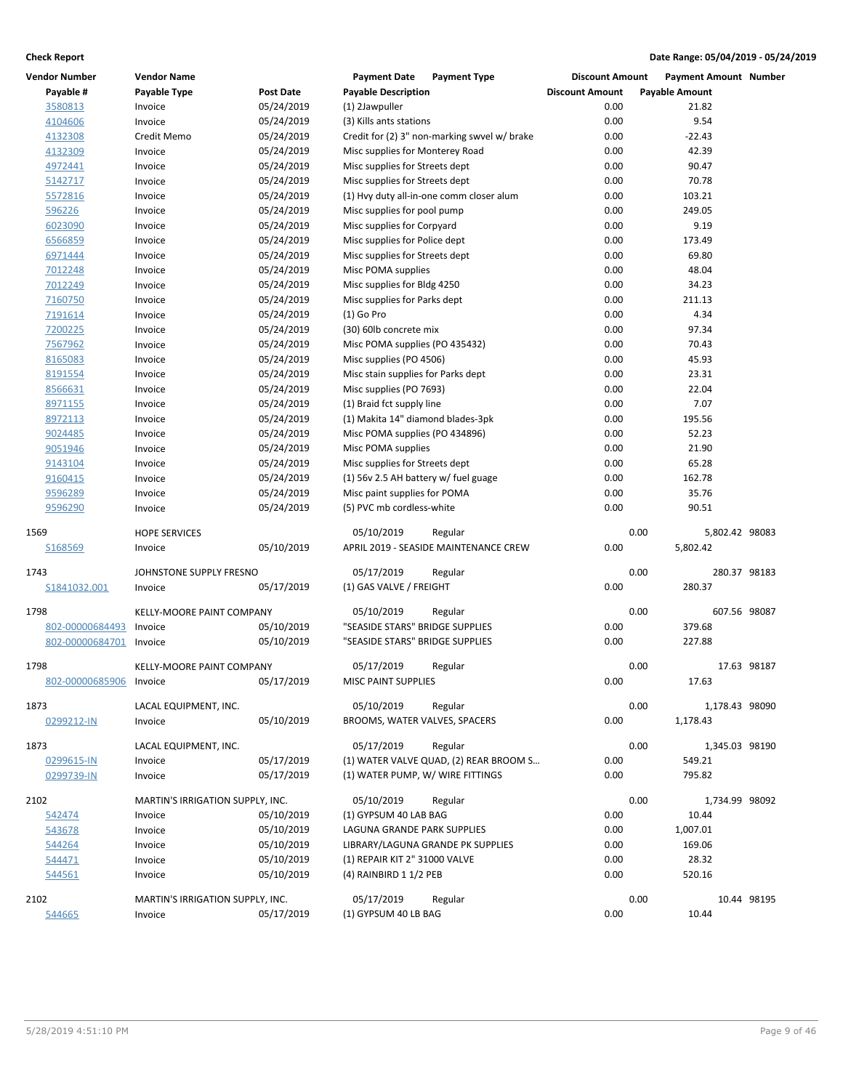| <b>Vendor Number</b>    | <b>Vendor Name</b>               |                  | <b>Payment Date</b>                           | <b>Payment Type</b>                          | <b>Discount Amount</b> | <b>Payment Amount Number</b> |             |
|-------------------------|----------------------------------|------------------|-----------------------------------------------|----------------------------------------------|------------------------|------------------------------|-------------|
| Payable #               | Payable Type                     | <b>Post Date</b> | <b>Payable Description</b>                    |                                              | <b>Discount Amount</b> | <b>Payable Amount</b>        |             |
| 3580813                 | Invoice                          | 05/24/2019       | (1) 2Jawpuller                                |                                              | 0.00                   | 21.82                        |             |
| 4104606                 | Invoice                          | 05/24/2019       | (3) Kills ants stations                       |                                              | 0.00                   | 9.54                         |             |
| 4132308                 | Credit Memo                      | 05/24/2019       |                                               | Credit for (2) 3" non-marking swyel w/ brake | 0.00                   | $-22.43$                     |             |
| 4132309                 | Invoice                          | 05/24/2019       | Misc supplies for Monterey Road               |                                              | 0.00                   | 42.39                        |             |
| 4972441                 | Invoice                          | 05/24/2019       | Misc supplies for Streets dept                |                                              | 0.00                   | 90.47                        |             |
| 5142717                 | Invoice                          | 05/24/2019       | Misc supplies for Streets dept                |                                              | 0.00                   | 70.78                        |             |
| 5572816                 | Invoice                          | 05/24/2019       | (1) Hvy duty all-in-one comm closer alum      |                                              | 0.00                   | 103.21                       |             |
| 596226                  | Invoice                          | 05/24/2019       | Misc supplies for pool pump                   |                                              | 0.00                   | 249.05                       |             |
| 6023090                 | Invoice                          | 05/24/2019       | Misc supplies for Corpyard                    |                                              | 0.00                   | 9.19                         |             |
| 6566859                 | Invoice                          | 05/24/2019       | Misc supplies for Police dept                 |                                              | 0.00                   | 173.49                       |             |
| 6971444                 | Invoice                          | 05/24/2019       | Misc supplies for Streets dept                |                                              | 0.00                   | 69.80                        |             |
| 7012248                 | Invoice                          | 05/24/2019       | Misc POMA supplies                            |                                              | 0.00                   | 48.04                        |             |
| 7012249                 | Invoice                          | 05/24/2019       | Misc supplies for Bldg 4250                   |                                              | 0.00                   | 34.23                        |             |
| 7160750                 | Invoice                          | 05/24/2019       | Misc supplies for Parks dept                  |                                              | 0.00                   | 211.13                       |             |
| 7191614                 | Invoice                          | 05/24/2019       | $(1)$ Go Pro                                  |                                              | 0.00                   | 4.34                         |             |
| 7200225                 | Invoice                          | 05/24/2019       | (30) 60lb concrete mix                        |                                              | 0.00                   | 97.34                        |             |
| 7567962                 | Invoice                          | 05/24/2019       | Misc POMA supplies (PO 435432)                |                                              | 0.00                   | 70.43                        |             |
| 8165083                 | Invoice                          | 05/24/2019       | Misc supplies (PO 4506)                       |                                              | 0.00                   | 45.93                        |             |
| 8191554                 | Invoice                          | 05/24/2019       | Misc stain supplies for Parks dept            |                                              | 0.00                   | 23.31                        |             |
| 8566631                 | Invoice                          | 05/24/2019       | Misc supplies (PO 7693)                       |                                              | 0.00                   | 22.04                        |             |
| 8971155                 | Invoice                          | 05/24/2019       | (1) Braid fct supply line                     |                                              | 0.00                   | 7.07                         |             |
| 8972113                 | Invoice                          | 05/24/2019       | (1) Makita 14" diamond blades-3pk             |                                              | 0.00                   | 195.56                       |             |
| 9024485                 | Invoice                          | 05/24/2019       | Misc POMA supplies (PO 434896)                |                                              | 0.00                   | 52.23                        |             |
| 9051946                 | Invoice                          | 05/24/2019       | Misc POMA supplies                            |                                              | 0.00                   | 21.90                        |             |
| 9143104                 | Invoice                          | 05/24/2019       | Misc supplies for Streets dept                |                                              | 0.00                   | 65.28                        |             |
| 9160415                 | Invoice                          | 05/24/2019       | (1) 56v 2.5 AH battery w/ fuel guage          |                                              | 0.00                   | 162.78                       |             |
| 9596289                 | Invoice                          | 05/24/2019       | Misc paint supplies for POMA                  |                                              | 0.00                   | 35.76                        |             |
| 9596290                 | Invoice                          | 05/24/2019       | (5) PVC mb cordless-white                     |                                              | 0.00                   | 90.51                        |             |
| 1569                    | <b>HOPE SERVICES</b>             |                  | 05/10/2019                                    | Regular                                      | 0.00                   | 5,802.42 98083               |             |
| S168569                 | Invoice                          | 05/10/2019       | APRIL 2019 - SEASIDE MAINTENANCE CREW         |                                              | 0.00                   | 5,802.42                     |             |
|                         |                                  |                  |                                               |                                              |                        |                              |             |
| 1743                    | JOHNSTONE SUPPLY FRESNO          |                  | 05/17/2019                                    | Regular                                      | 0.00                   | 280.37 98183                 |             |
| S1841032.001            | Invoice                          | 05/17/2019       | (1) GAS VALVE / FREIGHT                       |                                              | 0.00                   | 280.37                       |             |
| 1798                    | KELLY-MOORE PAINT COMPANY        |                  |                                               |                                              | 0.00                   | 607.56 98087                 |             |
|                         |                                  |                  | 05/10/2019<br>"SEASIDE STARS" BRIDGE SUPPLIES | Regular                                      | 0.00                   | 379.68                       |             |
| 802-00000684493         | Invoice                          | 05/10/2019       |                                               |                                              |                        |                              |             |
| 802-00000684701         | Invoice                          | 05/10/2019       | "SEASIDE STARS" BRIDGE SUPPLIES               |                                              | 0.00                   | 227.88                       |             |
| 1798                    | KELLY-MOORE PAINT COMPANY        |                  | 05/17/2019                                    | Regular                                      | 0.00                   |                              | 17.63 98187 |
| 802-00000685906 Invoice |                                  | 05/17/2019       | <b>MISC PAINT SUPPLIES</b>                    |                                              | 0.00                   | 17.63                        |             |
|                         |                                  |                  |                                               |                                              |                        |                              |             |
| 1873                    | LACAL EQUIPMENT, INC.            |                  | 05/10/2019                                    | Regular                                      | 0.00                   | 1,178.43 98090               |             |
| 0299212-IN              | Invoice                          | 05/10/2019       | BROOMS, WATER VALVES, SPACERS                 |                                              | 0.00                   | 1,178.43                     |             |
| 1873                    | LACAL EQUIPMENT, INC.            |                  | 05/17/2019                                    | Regular                                      | 0.00                   | 1,345.03 98190               |             |
| 0299615-IN              | Invoice                          | 05/17/2019       |                                               | (1) WATER VALVE QUAD, (2) REAR BROOM S       | 0.00                   | 549.21                       |             |
| 0299739-IN              | Invoice                          | 05/17/2019       | (1) WATER PUMP, W/ WIRE FITTINGS              |                                              | 0.00                   | 795.82                       |             |
|                         |                                  |                  |                                               |                                              |                        |                              |             |
| 2102                    | MARTIN'S IRRIGATION SUPPLY, INC. |                  | 05/10/2019                                    | Regular                                      | 0.00                   | 1,734.99 98092               |             |
| 542474                  | Invoice                          | 05/10/2019       | (1) GYPSUM 40 LAB BAG                         |                                              | 0.00                   | 10.44                        |             |
| 543678                  | Invoice                          | 05/10/2019       | LAGUNA GRANDE PARK SUPPLIES                   |                                              | 0.00                   | 1,007.01                     |             |
| 544264                  | Invoice                          | 05/10/2019       | LIBRARY/LAGUNA GRANDE PK SUPPLIES             |                                              | 0.00                   | 169.06                       |             |
| 544471                  | Invoice                          | 05/10/2019       | (1) REPAIR KIT 2" 31000 VALVE                 |                                              | 0.00                   | 28.32                        |             |
| 544561                  | Invoice                          | 05/10/2019       | (4) RAINBIRD 1 1/2 PEB                        |                                              | 0.00                   | 520.16                       |             |
| 2102                    | MARTIN'S IRRIGATION SUPPLY, INC. |                  | 05/17/2019                                    | Regular                                      | 0.00                   |                              | 10.44 98195 |
| 544665                  | Invoice                          | 05/17/2019       | (1) GYPSUM 40 LB BAG                          |                                              | 0.00                   | 10.44                        |             |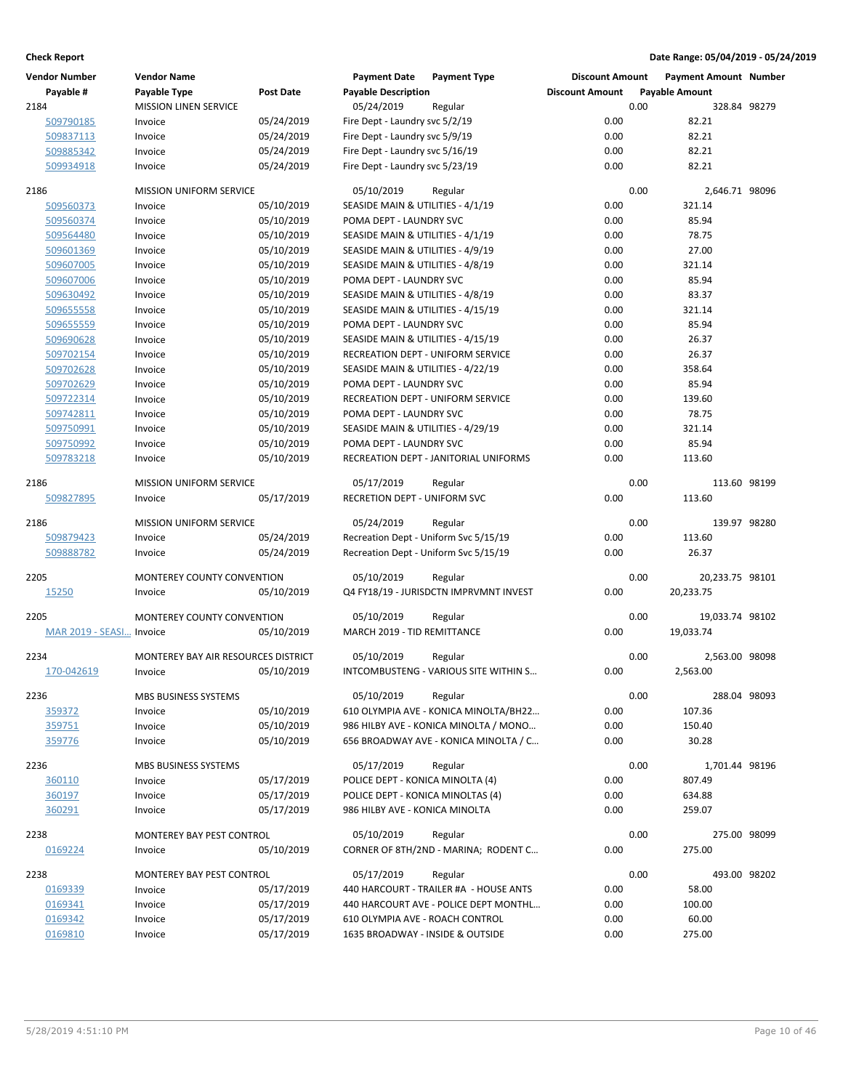| <b>Vendor Number</b>      | <b>Vendor Name</b>                  |                  | <b>Payment Date</b>                             | <b>Payment Type</b>                               | <b>Discount Amount</b> |      | <b>Payment Amount Number</b> |  |
|---------------------------|-------------------------------------|------------------|-------------------------------------------------|---------------------------------------------------|------------------------|------|------------------------------|--|
| Payable #                 | Payable Type                        | <b>Post Date</b> | <b>Payable Description</b>                      |                                                   | <b>Discount Amount</b> |      | <b>Payable Amount</b>        |  |
| 2184                      | <b>MISSION LINEN SERVICE</b>        |                  | 05/24/2019                                      | Regular                                           |                        | 0.00 | 328.84 98279                 |  |
| 509790185                 | Invoice                             | 05/24/2019       | Fire Dept - Laundry svc 5/2/19                  |                                                   | 0.00                   |      | 82.21                        |  |
| 509837113                 | Invoice                             | 05/24/2019       | Fire Dept - Laundry svc 5/9/19                  |                                                   | 0.00                   |      | 82.21                        |  |
| 509885342                 | Invoice                             | 05/24/2019       | Fire Dept - Laundry svc 5/16/19                 |                                                   | 0.00                   |      | 82.21                        |  |
| 509934918                 | Invoice                             | 05/24/2019       | Fire Dept - Laundry svc 5/23/19                 |                                                   | 0.00                   |      | 82.21                        |  |
|                           |                                     |                  |                                                 |                                                   |                        |      |                              |  |
| 2186                      | <b>MISSION UNIFORM SERVICE</b>      | 05/10/2019       | 05/10/2019<br>SEASIDE MAIN & UTILITIES - 4/1/19 | Regular                                           | 0.00                   | 0.00 | 2,646.71 98096<br>321.14     |  |
| 509560373<br>509560374    | Invoice                             | 05/10/2019       | POMA DEPT - LAUNDRY SVC                         |                                                   | 0.00                   |      | 85.94                        |  |
| 509564480                 | Invoice<br>Invoice                  | 05/10/2019       | SEASIDE MAIN & UTILITIES - 4/1/19               |                                                   | 0.00                   |      | 78.75                        |  |
| 509601369                 | Invoice                             | 05/10/2019       | SEASIDE MAIN & UTILITIES - 4/9/19               |                                                   | 0.00                   |      | 27.00                        |  |
| 509607005                 | Invoice                             | 05/10/2019       | SEASIDE MAIN & UTILITIES - 4/8/19               |                                                   | 0.00                   |      | 321.14                       |  |
| 509607006                 | Invoice                             | 05/10/2019       | POMA DEPT - LAUNDRY SVC                         |                                                   | 0.00                   |      | 85.94                        |  |
| 509630492                 | Invoice                             | 05/10/2019       | SEASIDE MAIN & UTILITIES - 4/8/19               |                                                   | 0.00                   |      | 83.37                        |  |
| 509655558                 | Invoice                             | 05/10/2019       | SEASIDE MAIN & UTILITIES - 4/15/19              |                                                   | 0.00                   |      | 321.14                       |  |
| 509655559                 | Invoice                             | 05/10/2019       | POMA DEPT - LAUNDRY SVC                         |                                                   | 0.00                   |      | 85.94                        |  |
| 509690628                 | Invoice                             | 05/10/2019       | SEASIDE MAIN & UTILITIES - 4/15/19              |                                                   | 0.00                   |      | 26.37                        |  |
| 509702154                 | Invoice                             | 05/10/2019       |                                                 | RECREATION DEPT - UNIFORM SERVICE                 | 0.00                   |      | 26.37                        |  |
| 509702628                 | Invoice                             | 05/10/2019       | SEASIDE MAIN & UTILITIES - 4/22/19              |                                                   | 0.00                   |      | 358.64                       |  |
| 509702629                 | Invoice                             | 05/10/2019       | POMA DEPT - LAUNDRY SVC                         |                                                   | 0.00                   |      | 85.94                        |  |
| 509722314                 | Invoice                             | 05/10/2019       |                                                 | RECREATION DEPT - UNIFORM SERVICE                 | 0.00                   |      | 139.60                       |  |
| 509742811                 | Invoice                             | 05/10/2019       | POMA DEPT - LAUNDRY SVC                         |                                                   | 0.00                   |      | 78.75                        |  |
| 509750991                 | Invoice                             | 05/10/2019       | SEASIDE MAIN & UTILITIES - 4/29/19              |                                                   | 0.00                   |      | 321.14                       |  |
| 509750992                 | Invoice                             | 05/10/2019       | POMA DEPT - LAUNDRY SVC                         |                                                   | 0.00                   |      | 85.94                        |  |
| 509783218                 | Invoice                             | 05/10/2019       |                                                 | RECREATION DEPT - JANITORIAL UNIFORMS             | 0.00                   |      | 113.60                       |  |
|                           |                                     |                  |                                                 |                                                   |                        |      |                              |  |
| 2186                      | <b>MISSION UNIFORM SERVICE</b>      |                  | 05/17/2019                                      | Regular                                           |                        | 0.00 | 113.60 98199                 |  |
| 509827895                 | Invoice                             | 05/17/2019       | RECRETION DEPT - UNIFORM SVC                    |                                                   | 0.00                   |      | 113.60                       |  |
| 2186                      | <b>MISSION UNIFORM SERVICE</b>      |                  | 05/24/2019                                      | Regular                                           |                        | 0.00 | 139.97 98280                 |  |
| 509879423                 | Invoice                             | 05/24/2019       | Recreation Dept - Uniform Svc 5/15/19           |                                                   | 0.00                   |      | 113.60                       |  |
| 509888782                 | Invoice                             | 05/24/2019       | Recreation Dept - Uniform Svc 5/15/19           |                                                   | 0.00                   |      | 26.37                        |  |
|                           |                                     |                  |                                                 |                                                   |                        |      |                              |  |
| 2205<br>15250             | MONTEREY COUNTY CONVENTION          | 05/10/2019       | 05/10/2019                                      | Regular<br>Q4 FY18/19 - JURISDCTN IMPRVMNT INVEST | 0.00                   | 0.00 | 20,233.75 98101<br>20,233.75 |  |
|                           | Invoice                             |                  |                                                 |                                                   |                        |      |                              |  |
| 2205                      | <b>MONTEREY COUNTY CONVENTION</b>   |                  | 05/10/2019                                      | Regular                                           |                        | 0.00 | 19,033.74 98102              |  |
| MAR 2019 - SEASI  Invoice |                                     | 05/10/2019       | MARCH 2019 - TID REMITTANCE                     |                                                   | 0.00                   |      | 19,033.74                    |  |
| 2234                      | MONTEREY BAY AIR RESOURCES DISTRICT |                  | 05/10/2019                                      |                                                   |                        | 0.00 | 2,563.00 98098               |  |
| 170-042619                | Invoice                             | 05/10/2019       |                                                 | Regular<br>INTCOMBUSTENG - VARIOUS SITE WITHIN S  | 0.00                   |      | 2,563.00                     |  |
|                           |                                     |                  |                                                 |                                                   |                        |      |                              |  |
| 2236                      | MBS BUSINESS SYSTEMS                |                  | 05/10/2019                                      | Regular                                           |                        | 0.00 | 288.04 98093                 |  |
| 359372                    | Invoice                             | 05/10/2019       |                                                 | 610 OLYMPIA AVE - KONICA MINOLTA/BH22             | 0.00                   |      | 107.36                       |  |
| 359751                    | Invoice                             | 05/10/2019       |                                                 | 986 HILBY AVE - KONICA MINOLTA / MONO             | 0.00                   |      | 150.40                       |  |
| 359776                    | Invoice                             | 05/10/2019       |                                                 | 656 BROADWAY AVE - KONICA MINOLTA / C             | 0.00                   |      | 30.28                        |  |
| 2236                      | <b>MBS BUSINESS SYSTEMS</b>         |                  | 05/17/2019                                      | Regular                                           |                        | 0.00 | 1,701.44 98196               |  |
| 360110                    | Invoice                             | 05/17/2019       | POLICE DEPT - KONICA MINOLTA (4)                |                                                   | 0.00                   |      | 807.49                       |  |
| 360197                    | Invoice                             | 05/17/2019       | POLICE DEPT - KONICA MINOLTAS (4)               |                                                   | 0.00                   |      | 634.88                       |  |
| 360291                    | Invoice                             | 05/17/2019       | 986 HILBY AVE - KONICA MINOLTA                  |                                                   | 0.00                   |      | 259.07                       |  |
|                           |                                     |                  |                                                 |                                                   |                        |      |                              |  |
| 2238                      | <b>MONTEREY BAY PEST CONTROL</b>    |                  | 05/10/2019                                      | Regular                                           |                        | 0.00 | 275.00 98099                 |  |
| 0169224                   | Invoice                             | 05/10/2019       |                                                 | CORNER OF 8TH/2ND - MARINA; RODENT C              | 0.00                   |      | 275.00                       |  |
| 2238                      | MONTEREY BAY PEST CONTROL           |                  | 05/17/2019                                      | Regular                                           |                        | 0.00 | 493.00 98202                 |  |
| 0169339                   | Invoice                             | 05/17/2019       |                                                 | 440 HARCOURT - TRAILER #A - HOUSE ANTS            | 0.00                   |      | 58.00                        |  |
| 0169341                   | Invoice                             | 05/17/2019       |                                                 | 440 HARCOURT AVE - POLICE DEPT MONTHL             | 0.00                   |      | 100.00                       |  |
| 0169342                   | Invoice                             | 05/17/2019       | 610 OLYMPIA AVE - ROACH CONTROL                 |                                                   | 0.00                   |      | 60.00                        |  |
| 0169810                   | Invoice                             | 05/17/2019       | 1635 BROADWAY - INSIDE & OUTSIDE                |                                                   | 0.00                   |      | 275.00                       |  |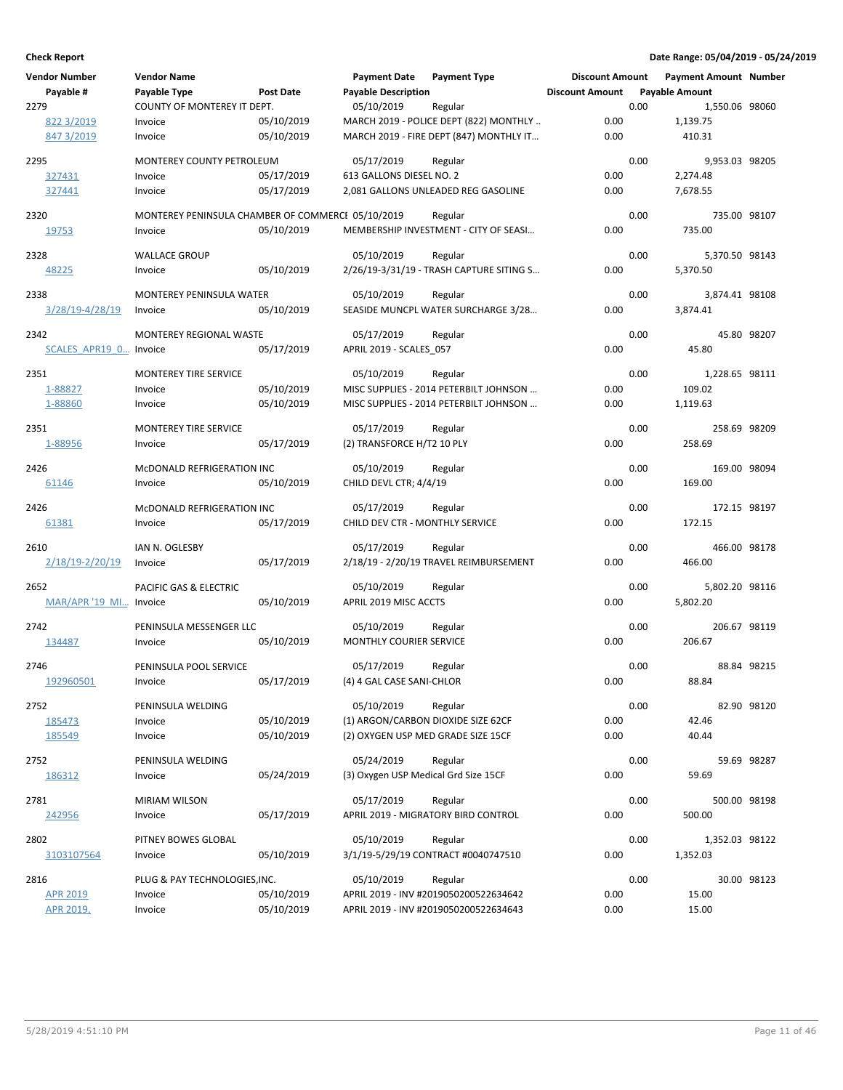| <b>Vendor Number</b><br>Payable #<br>2279 | <b>Vendor Name</b><br>Payable Type                | <b>Post Date</b>         | <b>Payment Date</b><br><b>Payable Description</b><br>05/10/2019 | <b>Payment Type</b>                                                                          | <b>Discount Amount</b><br><b>Discount Amount</b> | 0.00 | <b>Payment Amount Number</b><br><b>Payable Amount</b><br>1,550.06 98060 |              |
|-------------------------------------------|---------------------------------------------------|--------------------------|-----------------------------------------------------------------|----------------------------------------------------------------------------------------------|--------------------------------------------------|------|-------------------------------------------------------------------------|--------------|
| 822 3/2019<br>847 3/2019                  | COUNTY OF MONTEREY IT DEPT.<br>Invoice<br>Invoice | 05/10/2019<br>05/10/2019 |                                                                 | Regular<br>MARCH 2019 - POLICE DEPT (822) MONTHLY<br>MARCH 2019 - FIRE DEPT (847) MONTHLY IT | 0.00<br>0.00                                     |      | 1,139.75<br>410.31                                                      |              |
| 2295                                      | MONTEREY COUNTY PETROLEUM                         |                          | 05/17/2019                                                      | Regular                                                                                      |                                                  | 0.00 | 9,953.03 98205                                                          |              |
| 327431<br>327441                          | Invoice<br>Invoice                                | 05/17/2019<br>05/17/2019 | 613 GALLONS DIESEL NO. 2                                        | 2,081 GALLONS UNLEADED REG GASOLINE                                                          | 0.00<br>0.00                                     |      | 2,274.48<br>7,678.55                                                    |              |
| 2320                                      | MONTEREY PENINSULA CHAMBER OF COMMERCI 05/10/2019 |                          |                                                                 | Regular                                                                                      |                                                  | 0.00 | 735.00 98107                                                            |              |
| 19753                                     | Invoice                                           | 05/10/2019               |                                                                 | MEMBERSHIP INVESTMENT - CITY OF SEASI                                                        | 0.00                                             |      | 735.00                                                                  |              |
| 2328<br>48225                             | <b>WALLACE GROUP</b><br>Invoice                   | 05/10/2019               | 05/10/2019                                                      | Regular<br>2/26/19-3/31/19 - TRASH CAPTURE SITING S                                          | 0.00                                             | 0.00 | 5,370.50 98143<br>5,370.50                                              |              |
| 2338                                      | <b>MONTEREY PENINSULA WATER</b>                   |                          | 05/10/2019                                                      | Regular                                                                                      |                                                  | 0.00 | 3,874.41 98108                                                          |              |
| 3/28/19-4/28/19                           | Invoice                                           | 05/10/2019               |                                                                 | SEASIDE MUNCPL WATER SURCHARGE 3/28                                                          | 0.00                                             |      | 3,874.41                                                                |              |
| 2342<br>SCALES APR19 0 Invoice            | MONTEREY REGIONAL WASTE                           | 05/17/2019               | 05/17/2019<br>APRIL 2019 - SCALES 057                           | Regular                                                                                      | 0.00                                             | 0.00 | 45.80                                                                   | 45.80 98207  |
| 2351                                      | <b>MONTEREY TIRE SERVICE</b>                      |                          | 05/10/2019                                                      | Regular                                                                                      |                                                  | 0.00 | 1,228.65 98111                                                          |              |
| 1-88827                                   | Invoice                                           | 05/10/2019               |                                                                 | MISC SUPPLIES - 2014 PETERBILT JOHNSON                                                       | 0.00                                             |      | 109.02                                                                  |              |
| 1-88860                                   | Invoice                                           | 05/10/2019               |                                                                 | MISC SUPPLIES - 2014 PETERBILT JOHNSON                                                       | 0.00                                             |      | 1,119.63                                                                |              |
| 2351                                      | MONTEREY TIRE SERVICE                             |                          | 05/17/2019                                                      | Regular                                                                                      |                                                  | 0.00 | 258.69 98209                                                            |              |
| 1-88956                                   | Invoice                                           | 05/17/2019               | (2) TRANSFORCE H/T2 10 PLY                                      |                                                                                              | 0.00                                             |      | 258.69                                                                  |              |
| 2426<br>61146                             | McDONALD REFRIGERATION INC<br>Invoice             | 05/10/2019               | 05/10/2019<br>CHILD DEVL CTR; 4/4/19                            | Regular                                                                                      | 0.00                                             | 0.00 | 169.00 98094<br>169.00                                                  |              |
| 2426                                      | MCDONALD REFRIGERATION INC                        |                          | 05/17/2019                                                      | Regular                                                                                      |                                                  | 0.00 | 172.15 98197                                                            |              |
| 61381                                     | Invoice                                           | 05/17/2019               | CHILD DEV CTR - MONTHLY SERVICE                                 |                                                                                              | 0.00                                             |      | 172.15                                                                  |              |
| 2610                                      | IAN N. OGLESBY                                    |                          | 05/17/2019                                                      | Regular                                                                                      |                                                  | 0.00 | 466.00 98178                                                            |              |
| 2/18/19-2/20/19                           | Invoice                                           | 05/17/2019               |                                                                 | 2/18/19 - 2/20/19 TRAVEL REIMBURSEMENT                                                       | 0.00                                             |      | 466.00                                                                  |              |
| 2652                                      | PACIFIC GAS & ELECTRIC                            |                          | 05/10/2019                                                      | Regular                                                                                      |                                                  | 0.00 | 5,802.20 98116                                                          |              |
| <b>MAR/APR '19 MI</b>                     | Invoice                                           | 05/10/2019               | APRIL 2019 MISC ACCTS                                           |                                                                                              | 0.00                                             |      | 5,802.20                                                                |              |
| 2742                                      | PENINSULA MESSENGER LLC                           |                          | 05/10/2019                                                      | Regular                                                                                      |                                                  | 0.00 | 206.67 98119                                                            |              |
| 134487                                    | Invoice                                           | 05/10/2019               | MONTHLY COURIER SERVICE                                         |                                                                                              | 0.00                                             |      | 206.67                                                                  |              |
| 2746                                      | PENINSULA POOL SERVICE                            |                          | 05/17/2019                                                      | Regular                                                                                      |                                                  | 0.00 |                                                                         | 88.84 98215  |
| 192960501                                 | Invoice                                           | 05/17/2019               | (4) 4 GAL CASE SANI-CHLOR                                       |                                                                                              | 0.00                                             |      | 88.84                                                                   |              |
| 2752                                      | PENINSULA WELDING                                 |                          | 05/10/2019                                                      | Regular                                                                                      |                                                  | 0.00 |                                                                         | 82.90 98120  |
| 185473                                    | Invoice                                           | 05/10/2019               | (1) ARGON/CARBON DIOXIDE SIZE 62CF                              |                                                                                              | 0.00                                             |      | 42.46                                                                   |              |
| 185549                                    | Invoice                                           | 05/10/2019               | (2) OXYGEN USP MED GRADE SIZE 15CF                              |                                                                                              | 0.00                                             |      | 40.44                                                                   |              |
| 2752                                      | PENINSULA WELDING                                 |                          | 05/24/2019                                                      | Regular                                                                                      |                                                  | 0.00 |                                                                         | 59.69 98287  |
| 186312                                    | Invoice                                           | 05/24/2019               | (3) Oxygen USP Medical Grd Size 15CF                            |                                                                                              | 0.00                                             |      | 59.69                                                                   |              |
| 2781                                      | <b>MIRIAM WILSON</b>                              |                          | 05/17/2019                                                      | Regular                                                                                      |                                                  | 0.00 |                                                                         | 500.00 98198 |
| 242956                                    | Invoice                                           | 05/17/2019               |                                                                 | APRIL 2019 - MIGRATORY BIRD CONTROL                                                          | 0.00                                             |      | 500.00                                                                  |              |
| 2802                                      | PITNEY BOWES GLOBAL                               |                          | 05/10/2019                                                      | Regular                                                                                      |                                                  | 0.00 | 1,352.03 98122                                                          |              |
| 3103107564                                | Invoice                                           | 05/10/2019               |                                                                 | 3/1/19-5/29/19 CONTRACT #0040747510                                                          | 0.00                                             |      | 1,352.03                                                                |              |
| 2816                                      | PLUG & PAY TECHNOLOGIES, INC.                     |                          | 05/10/2019                                                      | Regular                                                                                      |                                                  | 0.00 |                                                                         | 30.00 98123  |
| <b>APR 2019</b>                           | Invoice                                           | 05/10/2019               |                                                                 | APRIL 2019 - INV #2019050200522634642                                                        | 0.00                                             |      | 15.00                                                                   |              |
| APR 2019,                                 | Invoice                                           | 05/10/2019               |                                                                 | APRIL 2019 - INV #2019050200522634643                                                        | 0.00                                             |      | 15.00                                                                   |              |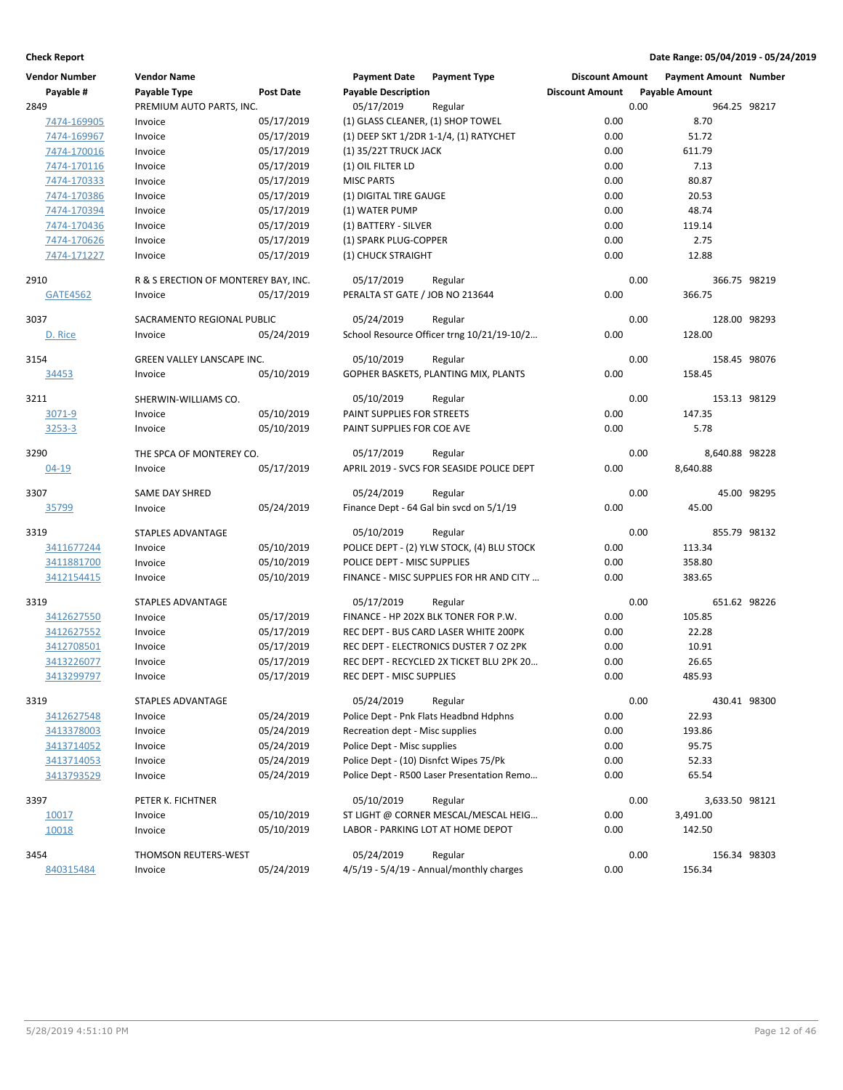| <b>Vendor Number</b> | <b>Vendor Name</b>                   |            | <b>Payment Date</b>                    | <b>Payment Type</b>                        | <b>Discount Amount</b> |                       | <b>Payment Amount Number</b> |             |
|----------------------|--------------------------------------|------------|----------------------------------------|--------------------------------------------|------------------------|-----------------------|------------------------------|-------------|
| Payable #            | Payable Type                         | Post Date  | <b>Payable Description</b>             |                                            | <b>Discount Amount</b> | <b>Payable Amount</b> |                              |             |
| 2849                 | PREMIUM AUTO PARTS, INC.             |            | 05/17/2019                             | Regular                                    |                        | 0.00                  | 964.25 98217                 |             |
| 7474-169905          | Invoice                              | 05/17/2019 | (1) GLASS CLEANER, (1) SHOP TOWEL      |                                            | 0.00                   |                       | 8.70                         |             |
| 7474-169967          | Invoice                              | 05/17/2019 |                                        | (1) DEEP SKT 1/2DR 1-1/4, (1) RATYCHET     | 0.00                   |                       | 51.72                        |             |
| 7474-170016          | Invoice                              | 05/17/2019 | (1) 35/22T TRUCK JACK                  |                                            | 0.00                   |                       | 611.79                       |             |
| 7474-170116          | Invoice                              | 05/17/2019 | (1) OIL FILTER LD                      |                                            | 0.00                   |                       | 7.13                         |             |
| 7474-170333          | Invoice                              | 05/17/2019 | <b>MISC PARTS</b>                      |                                            | 0.00                   |                       | 80.87                        |             |
| 7474-170386          | Invoice                              | 05/17/2019 | (1) DIGITAL TIRE GAUGE                 |                                            | 0.00                   |                       | 20.53                        |             |
| 7474-170394          | Invoice                              | 05/17/2019 | (1) WATER PUMP                         |                                            | 0.00                   |                       | 48.74                        |             |
| 7474-170436          | Invoice                              | 05/17/2019 | (1) BATTERY - SILVER                   |                                            | 0.00                   |                       | 119.14                       |             |
| 7474-170626          | Invoice                              | 05/17/2019 | (1) SPARK PLUG-COPPER                  |                                            | 0.00                   |                       | 2.75                         |             |
| 7474-171227          | Invoice                              | 05/17/2019 | (1) CHUCK STRAIGHT                     |                                            | 0.00                   |                       | 12.88                        |             |
| 2910                 | R & S ERECTION OF MONTEREY BAY, INC. |            | 05/17/2019                             | Regular                                    |                        | 0.00                  | 366.75 98219                 |             |
| <b>GATE4562</b>      | Invoice                              | 05/17/2019 | PERALTA ST GATE / JOB NO 213644        |                                            | 0.00                   |                       | 366.75                       |             |
| 3037                 | SACRAMENTO REGIONAL PUBLIC           |            | 05/24/2019                             | Regular                                    |                        | 0.00                  | 128.00 98293                 |             |
| D. Rice              | Invoice                              | 05/24/2019 |                                        | School Resource Officer trng 10/21/19-10/2 | 0.00                   |                       | 128.00                       |             |
| 3154                 | GREEN VALLEY LANSCAPE INC.           |            | 05/10/2019                             | Regular                                    |                        | 0.00                  | 158.45 98076                 |             |
| 34453                | Invoice                              | 05/10/2019 |                                        | GOPHER BASKETS, PLANTING MIX, PLANTS       | 0.00                   |                       | 158.45                       |             |
| 3211                 | SHERWIN-WILLIAMS CO.                 |            | 05/10/2019                             | Regular                                    |                        | 0.00                  | 153.13 98129                 |             |
| 3071-9               | Invoice                              | 05/10/2019 | PAINT SUPPLIES FOR STREETS             |                                            | 0.00                   |                       | 147.35                       |             |
| 3253-3               | Invoice                              | 05/10/2019 | PAINT SUPPLIES FOR COE AVE             |                                            | 0.00                   |                       | 5.78                         |             |
| 3290                 | THE SPCA OF MONTEREY CO.             |            | 05/17/2019                             | Regular                                    |                        | 0.00                  | 8,640.88 98228               |             |
| $04 - 19$            | Invoice                              | 05/17/2019 |                                        | APRIL 2019 - SVCS FOR SEASIDE POLICE DEPT  | 0.00                   | 8,640.88              |                              |             |
| 3307                 | SAME DAY SHRED                       |            | 05/24/2019                             | Regular                                    |                        | 0.00                  |                              | 45.00 98295 |
| 35799                | Invoice                              | 05/24/2019 |                                        | Finance Dept - 64 Gal bin svcd on 5/1/19   | 0.00                   |                       | 45.00                        |             |
| 3319                 | STAPLES ADVANTAGE                    |            | 05/10/2019                             | Regular                                    |                        | 0.00                  | 855.79 98132                 |             |
| 3411677244           | Invoice                              | 05/10/2019 |                                        | POLICE DEPT - (2) YLW STOCK, (4) BLU STOCK | 0.00                   |                       | 113.34                       |             |
| 3411881700           | Invoice                              | 05/10/2019 | POLICE DEPT - MISC SUPPLIES            |                                            | 0.00                   |                       | 358.80                       |             |
| 3412154415           | Invoice                              | 05/10/2019 |                                        | FINANCE - MISC SUPPLIES FOR HR AND CITY    | 0.00                   |                       | 383.65                       |             |
| 3319                 | <b>STAPLES ADVANTAGE</b>             |            | 05/17/2019                             | Regular                                    |                        | 0.00                  | 651.62 98226                 |             |
| 3412627550           | Invoice                              | 05/17/2019 |                                        | FINANCE - HP 202X BLK TONER FOR P.W.       | 0.00                   |                       | 105.85                       |             |
| 3412627552           | Invoice                              | 05/17/2019 |                                        | REC DEPT - BUS CARD LASER WHITE 200PK      | 0.00                   |                       | 22.28                        |             |
| 3412708501           | Invoice                              | 05/17/2019 |                                        | REC DEPT - ELECTRONICS DUSTER 7 OZ 2PK     | 0.00                   |                       | 10.91                        |             |
| 3413226077           | Invoice                              | 05/17/2019 |                                        | REC DEPT - RECYCLED 2X TICKET BLU 2PK 20   | 0.00                   |                       | 26.65                        |             |
| 3413299797           | Invoice                              | 05/17/2019 | REC DEPT - MISC SUPPLIES               |                                            | 0.00                   |                       | 485.93                       |             |
| 3319                 | STAPLES ADVANTAGE                    |            | 05/24/2019                             | Regular                                    |                        | 0.00                  | 430.41 98300                 |             |
| 3412627548           | Invoice                              | 05/24/2019 |                                        | Police Dept - Pnk Flats Headbnd Hdphns     | 0.00                   |                       | 22.93                        |             |
| 3413378003           | Invoice                              | 05/24/2019 | Recreation dept - Misc supplies        |                                            | 0.00                   |                       | 193.86                       |             |
| 3413714052           | Invoice                              | 05/24/2019 | Police Dept - Misc supplies            |                                            | 0.00                   |                       | 95.75                        |             |
| 3413714053           | Invoice                              | 05/24/2019 | Police Dept - (10) Disnfct Wipes 75/Pk |                                            | 0.00                   |                       | 52.33                        |             |
| 3413793529           | Invoice                              | 05/24/2019 |                                        | Police Dept - R500 Laser Presentation Remo | 0.00                   |                       | 65.54                        |             |
| 3397                 | PETER K. FICHTNER                    |            | 05/10/2019                             | Regular                                    |                        | 0.00                  | 3,633.50 98121               |             |
| 10017                | Invoice                              | 05/10/2019 |                                        | ST LIGHT @ CORNER MESCAL/MESCAL HEIG       | 0.00                   | 3,491.00              |                              |             |
| 10018                | Invoice                              | 05/10/2019 |                                        | LABOR - PARKING LOT AT HOME DEPOT          | 0.00                   |                       | 142.50                       |             |
| 3454                 | <b>THOMSON REUTERS-WEST</b>          |            | 05/24/2019                             | Regular                                    |                        | 0.00                  | 156.34 98303                 |             |
| 840315484            | Invoice                              | 05/24/2019 |                                        | 4/5/19 - 5/4/19 - Annual/monthly charges   | 0.00                   |                       | 156.34                       |             |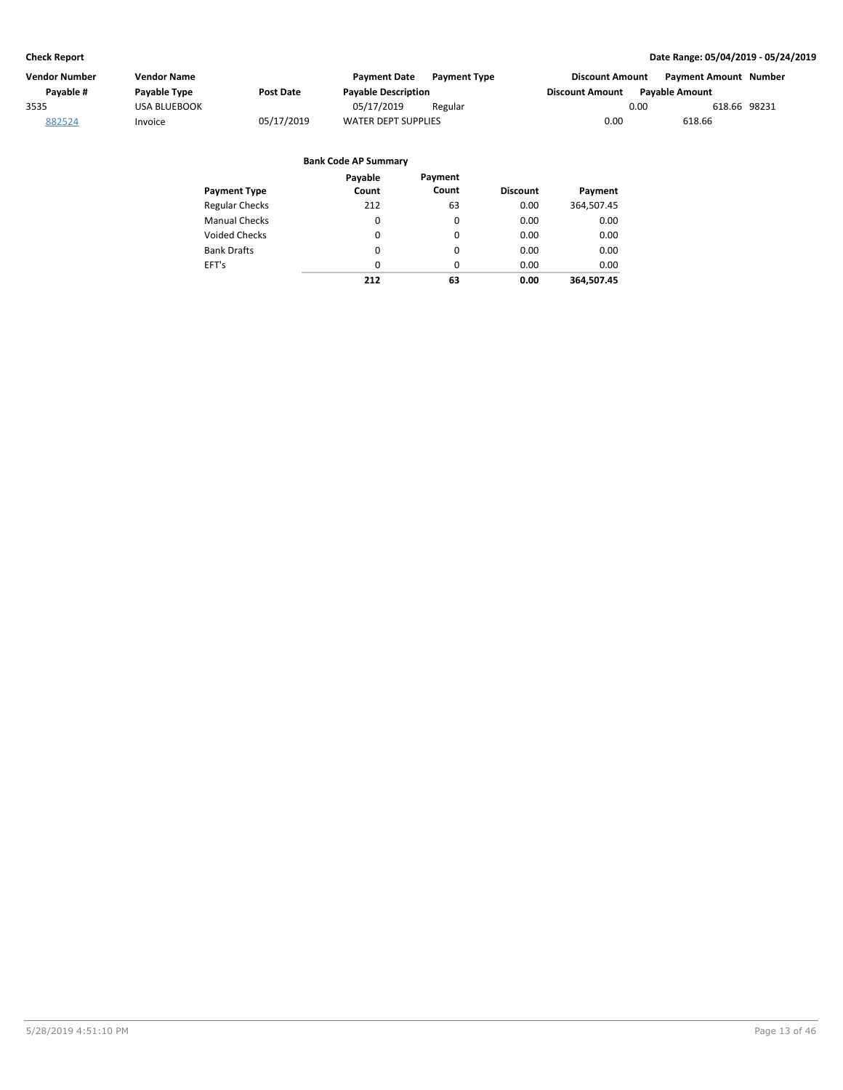| Vendor Number | Vendor Name         |            | <b>Payment Date</b><br><b>Payment Type</b> | <b>Discount Amount</b> | <b>Payment Amount Number</b> |
|---------------|---------------------|------------|--------------------------------------------|------------------------|------------------------------|
| Pavable #     | Payable Type        | Post Date  | <b>Payable Description</b>                 | <b>Discount Amount</b> | <b>Pavable Amount</b>        |
| 3535          | <b>USA BLUEBOOK</b> |            | 05/17/2019<br>Regular                      | 0.00                   | 618.66 98231                 |
| 882524        | Invoice             | 05/17/2019 | <b>WATER DEPT SUPPLIES</b>                 | 0.00                   | 618.66                       |
|               |                     |            |                                            |                        |                              |

| <b>Payment Type</b>   | Payable<br>Count | Payment<br>Count | <b>Discount</b> | Payment    |
|-----------------------|------------------|------------------|-----------------|------------|
|                       |                  |                  |                 |            |
| <b>Regular Checks</b> | 212              | 63               | 0.00            | 364,507.45 |
| <b>Manual Checks</b>  | 0                | 0                | 0.00            | 0.00       |
| <b>Voided Checks</b>  | 0                | 0                | 0.00            | 0.00       |
| <b>Bank Drafts</b>    | 0                | $\Omega$         | 0.00            | 0.00       |
| EFT's                 | $\Omega$         | 0                | 0.00            | 0.00       |
|                       | 212              | 63               | 0.00            | 364.507.45 |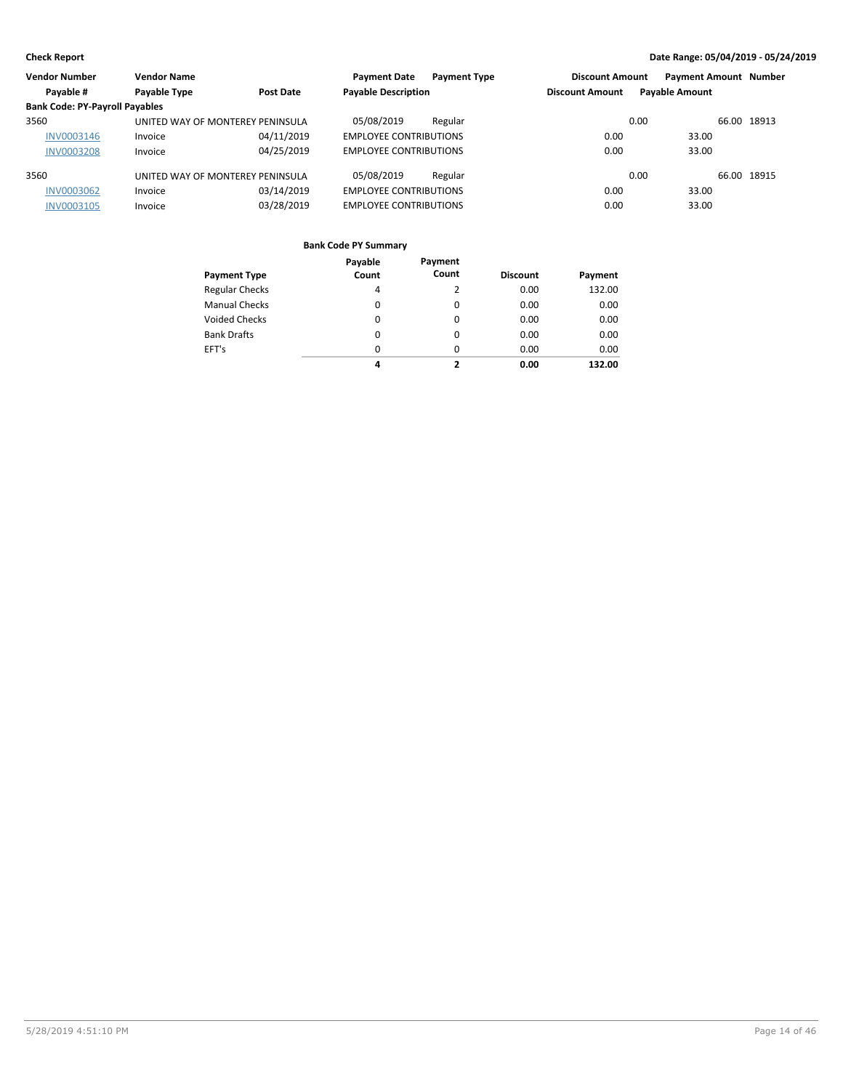| <b>Vendor Number</b>                  | <b>Vendor Name</b>               |                  | <b>Payment Date</b><br><b>Payment Type</b> | <b>Discount Amount</b> | <b>Payment Amount Number</b> |
|---------------------------------------|----------------------------------|------------------|--------------------------------------------|------------------------|------------------------------|
| Payable #                             | Payable Type                     | <b>Post Date</b> | <b>Payable Description</b>                 | <b>Discount Amount</b> | <b>Payable Amount</b>        |
| <b>Bank Code: PY-Payroll Payables</b> |                                  |                  |                                            |                        |                              |
| 3560                                  | UNITED WAY OF MONTEREY PENINSULA |                  | 05/08/2019<br>Regular                      | 0.00                   | 66.00 18913                  |
| <b>INV0003146</b>                     | Invoice                          | 04/11/2019       | <b>EMPLOYEE CONTRIBUTIONS</b>              | 0.00                   | 33.00                        |
| <b>INV0003208</b>                     | Invoice                          | 04/25/2019       | <b>EMPLOYEE CONTRIBUTIONS</b>              | 0.00                   | 33.00                        |
| 3560                                  | UNITED WAY OF MONTEREY PENINSULA |                  | 05/08/2019<br>Regular                      | 0.00                   | 66.00 18915                  |
| <b>INV0003062</b>                     | Invoice                          | 03/14/2019       | <b>EMPLOYEE CONTRIBUTIONS</b>              | 0.00                   | 33.00                        |
| <b>INV0003105</b>                     | Invoice                          | 03/28/2019       | <b>EMPLOYEE CONTRIBUTIONS</b>              | 0.00                   | 33.00                        |
|                                       |                                  |                  |                                            |                        |                              |

|                       | Payable  | Payment  |                 |         |
|-----------------------|----------|----------|-----------------|---------|
| <b>Payment Type</b>   | Count    | Count    | <b>Discount</b> | Payment |
| <b>Regular Checks</b> | 4        |          | 0.00            | 132.00  |
| <b>Manual Checks</b>  | $\Omega$ | $\Omega$ | 0.00            | 0.00    |
| <b>Voided Checks</b>  | 0        | 0        | 0.00            | 0.00    |
| <b>Bank Drafts</b>    | 0        | 0        | 0.00            | 0.00    |
| EFT's                 | $\Omega$ | $\Omega$ | 0.00            | 0.00    |
|                       | 4        | 7        | 0.00            | 132.00  |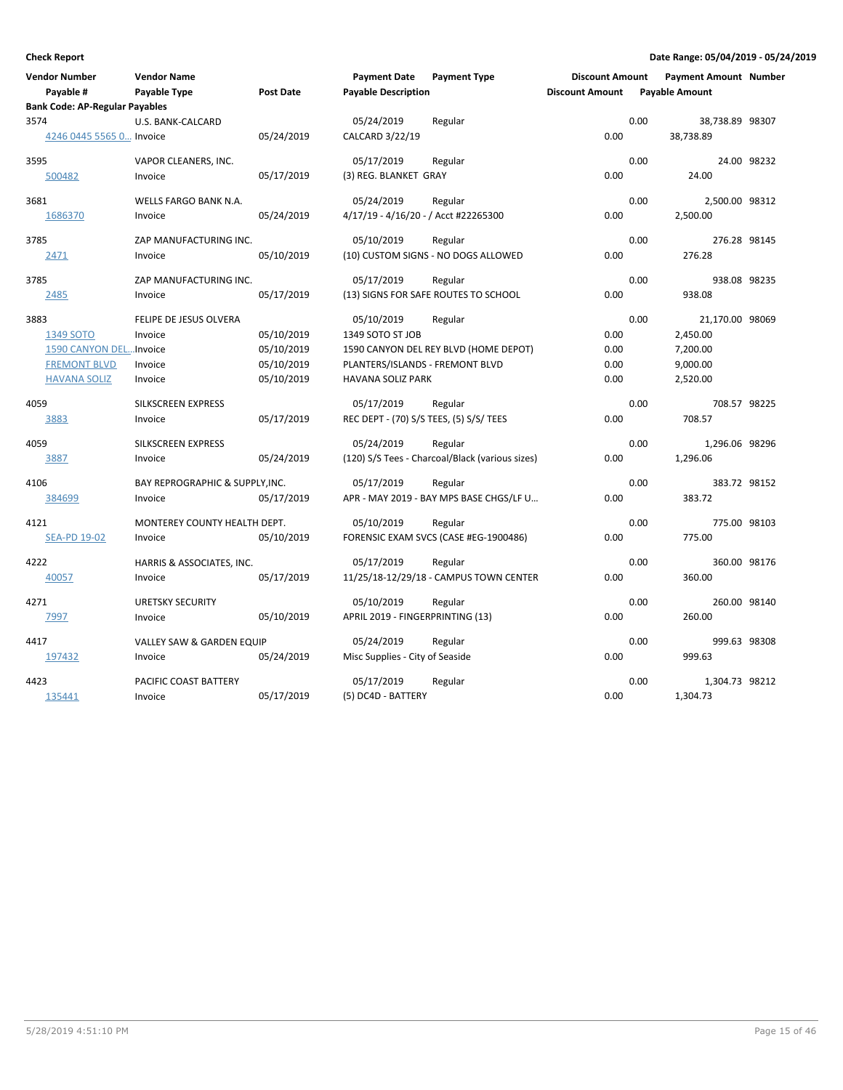| Vendor Number                         | <b>Vendor Name</b>              |                  | <b>Payment Date</b>                     | <b>Payment Type</b>                             | <b>Discount Amount</b> |      | <b>Payment Amount Number</b> |             |
|---------------------------------------|---------------------------------|------------------|-----------------------------------------|-------------------------------------------------|------------------------|------|------------------------------|-------------|
| Payable #                             | Payable Type                    | <b>Post Date</b> | <b>Payable Description</b>              |                                                 | <b>Discount Amount</b> |      | <b>Payable Amount</b>        |             |
| <b>Bank Code: AP-Regular Payables</b> |                                 |                  |                                         |                                                 |                        |      |                              |             |
| 3574                                  | U.S. BANK-CALCARD               |                  | 05/24/2019                              | Regular                                         |                        | 0.00 | 38,738.89 98307              |             |
| 4246 0445 5565 0 Invoice              |                                 | 05/24/2019       | CALCARD 3/22/19                         |                                                 | 0.00                   |      | 38,738.89                    |             |
| 3595                                  | VAPOR CLEANERS, INC.            |                  | 05/17/2019                              | Regular                                         |                        | 0.00 |                              | 24.00 98232 |
| 500482                                | Invoice                         | 05/17/2019       | (3) REG. BLANKET GRAY                   |                                                 | 0.00                   |      | 24.00                        |             |
| 3681                                  | WELLS FARGO BANK N.A.           |                  | 05/24/2019                              | Regular                                         |                        | 0.00 | 2,500.00 98312               |             |
| 1686370                               | Invoice                         | 05/24/2019       | 4/17/19 - 4/16/20 - / Acct #22265300    |                                                 | 0.00                   |      | 2,500.00                     |             |
| 3785                                  | ZAP MANUFACTURING INC.          |                  | 05/10/2019                              | Regular                                         |                        | 0.00 | 276.28 98145                 |             |
| 2471                                  | Invoice                         | 05/10/2019       |                                         | (10) CUSTOM SIGNS - NO DOGS ALLOWED             | 0.00                   |      | 276.28                       |             |
| 3785                                  | ZAP MANUFACTURING INC.          |                  | 05/17/2019                              | Regular                                         |                        | 0.00 | 938.08 98235                 |             |
| 2485                                  | Invoice                         | 05/17/2019       |                                         | (13) SIGNS FOR SAFE ROUTES TO SCHOOL            | 0.00                   |      | 938.08                       |             |
| 3883                                  | FELIPE DE JESUS OLVERA          |                  | 05/10/2019                              | Regular                                         |                        | 0.00 | 21,170.00 98069              |             |
| 1349 SOTO                             | Invoice                         | 05/10/2019       | 1349 SOTO ST JOB                        |                                                 | 0.00                   |      | 2,450.00                     |             |
| 1590 CANYON DEL Invoice               |                                 | 05/10/2019       |                                         | 1590 CANYON DEL REY BLVD (HOME DEPOT)           | 0.00                   |      | 7,200.00                     |             |
| <b>FREMONT BLVD</b>                   | Invoice                         | 05/10/2019       | PLANTERS/ISLANDS - FREMONT BLVD         |                                                 | 0.00                   |      | 9,000.00                     |             |
| <b>HAVANA SOLIZ</b>                   | Invoice                         | 05/10/2019       | <b>HAVANA SOLIZ PARK</b>                |                                                 | 0.00                   |      | 2,520.00                     |             |
| 4059                                  | SILKSCREEN EXPRESS              |                  | 05/17/2019                              | Regular                                         |                        | 0.00 | 708.57 98225                 |             |
| 3883                                  | Invoice                         | 05/17/2019       | REC DEPT - (70) S/S TEES, (5) S/S/ TEES |                                                 | 0.00                   |      | 708.57                       |             |
| 4059                                  | SILKSCREEN EXPRESS              |                  | 05/24/2019                              | Regular                                         |                        | 0.00 | 1,296.06 98296               |             |
| 3887                                  | Invoice                         | 05/24/2019       |                                         | (120) S/S Tees - Charcoal/Black (various sizes) | 0.00                   |      | 1,296.06                     |             |
| 4106                                  | BAY REPROGRAPHIC & SUPPLY, INC. |                  | 05/17/2019                              | Regular                                         |                        | 0.00 | 383.72 98152                 |             |
| 384699                                | Invoice                         | 05/17/2019       |                                         | APR - MAY 2019 - BAY MPS BASE CHGS/LF U         | 0.00                   |      | 383.72                       |             |
| 4121                                  | MONTEREY COUNTY HEALTH DEPT.    |                  | 05/10/2019                              | Regular                                         |                        | 0.00 | 775.00 98103                 |             |
| <b>SEA-PD 19-02</b>                   | Invoice                         | 05/10/2019       |                                         | FORENSIC EXAM SVCS (CASE #EG-1900486)           | 0.00                   |      | 775.00                       |             |
| 4222                                  | HARRIS & ASSOCIATES, INC.       |                  | 05/17/2019                              | Regular                                         |                        | 0.00 | 360.00 98176                 |             |
| 40057                                 | Invoice                         | 05/17/2019       |                                         | 11/25/18-12/29/18 - CAMPUS TOWN CENTER          | 0.00                   |      | 360.00                       |             |
| 4271                                  | <b>URETSKY SECURITY</b>         |                  | 05/10/2019                              | Regular                                         |                        | 0.00 | 260.00 98140                 |             |
| 7997                                  | Invoice                         | 05/10/2019       | APRIL 2019 - FINGERPRINTING (13)        |                                                 | 0.00                   |      | 260.00                       |             |
| 4417                                  | VALLEY SAW & GARDEN EQUIP       |                  | 05/24/2019                              | Regular                                         |                        | 0.00 | 999.63 98308                 |             |
| 197432                                | Invoice                         | 05/24/2019       | Misc Supplies - City of Seaside         |                                                 | 0.00                   |      | 999.63                       |             |
| 4423                                  | PACIFIC COAST BATTERY           |                  | 05/17/2019                              | Regular                                         |                        | 0.00 | 1,304.73 98212               |             |
| 135441                                | Invoice                         | 05/17/2019       | (5) DC4D - BATTERY                      |                                                 | 0.00                   |      | 1,304.73                     |             |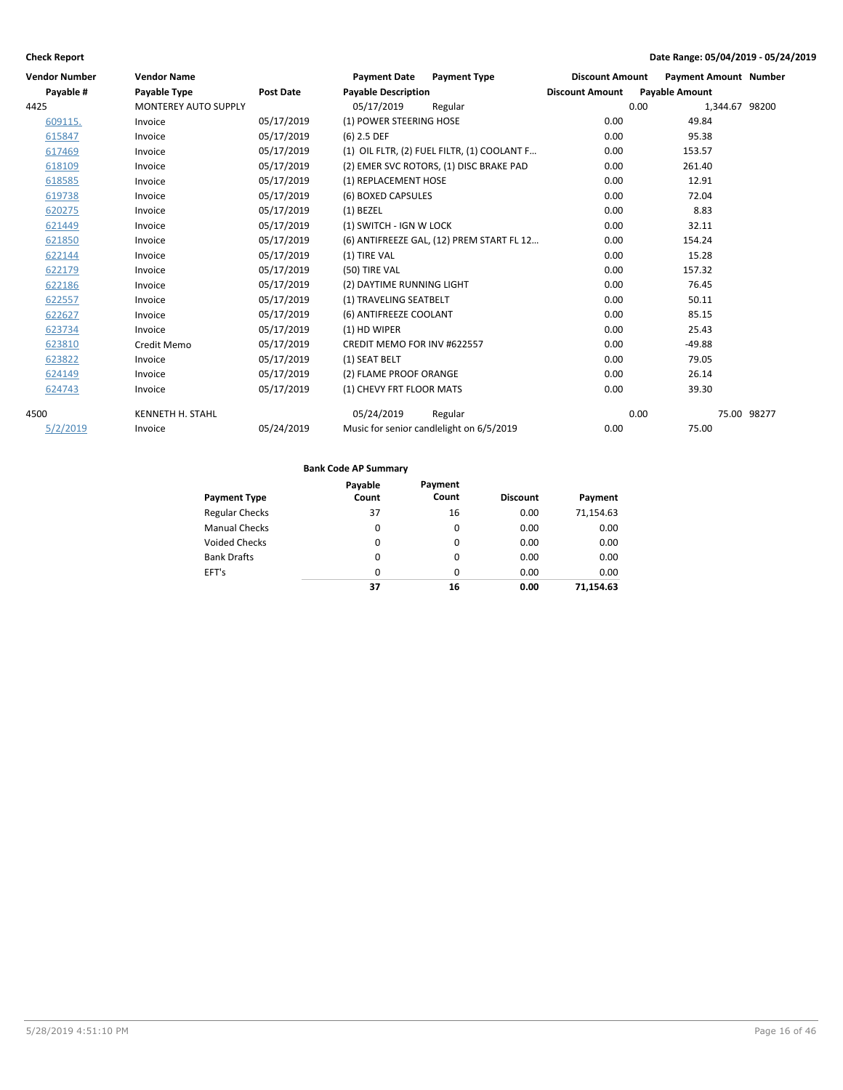| <b>Vendor Number</b> | <b>Vendor Name</b>          |                  | <b>Payment Date</b>                | <b>Payment Type</b>                         | <b>Discount Amount</b> | <b>Payment Amount Number</b> |             |
|----------------------|-----------------------------|------------------|------------------------------------|---------------------------------------------|------------------------|------------------------------|-------------|
| Payable #            | <b>Payable Type</b>         | <b>Post Date</b> | <b>Payable Description</b>         |                                             | <b>Discount Amount</b> | <b>Payable Amount</b>        |             |
| 4425                 | <b>MONTEREY AUTO SUPPLY</b> |                  | 05/17/2019                         | Regular                                     |                        | 0.00<br>1,344.67 98200       |             |
| 609115.              | Invoice                     | 05/17/2019       | (1) POWER STEERING HOSE            |                                             | 0.00                   | 49.84                        |             |
| 615847               | Invoice                     | 05/17/2019       | $(6)$ 2.5 DEF                      |                                             | 0.00                   | 95.38                        |             |
| 617469               | Invoice                     | 05/17/2019       |                                    | (1) OIL FLTR, (2) FUEL FILTR, (1) COOLANT F | 0.00                   | 153.57                       |             |
| 618109               | Invoice                     | 05/17/2019       |                                    | (2) EMER SVC ROTORS, (1) DISC BRAKE PAD     | 0.00                   | 261.40                       |             |
| 618585               | Invoice                     | 05/17/2019       | (1) REPLACEMENT HOSE               |                                             | 0.00                   | 12.91                        |             |
| 619738               | Invoice                     | 05/17/2019       | (6) BOXED CAPSULES                 |                                             | 0.00                   | 72.04                        |             |
| 620275               | Invoice                     | 05/17/2019       | $(1)$ BEZEL                        |                                             | 0.00                   | 8.83                         |             |
| 621449               | Invoice                     | 05/17/2019       | (1) SWITCH - IGN W LOCK            |                                             | 0.00                   | 32.11                        |             |
| 621850               | Invoice                     | 05/17/2019       |                                    | (6) ANTIFREEZE GAL, (12) PREM START FL 12   | 0.00                   | 154.24                       |             |
| 622144               | Invoice                     | 05/17/2019       | (1) TIRE VAL                       |                                             | 0.00                   | 15.28                        |             |
| 622179               | Invoice                     | 05/17/2019       | (50) TIRE VAL                      |                                             | 0.00                   | 157.32                       |             |
| 622186               | Invoice                     | 05/17/2019       | (2) DAYTIME RUNNING LIGHT          |                                             | 0.00                   | 76.45                        |             |
| 622557               | Invoice                     | 05/17/2019       | (1) TRAVELING SEATBELT             |                                             | 0.00                   | 50.11                        |             |
| 622627               | Invoice                     | 05/17/2019       | (6) ANTIFREEZE COOLANT             |                                             | 0.00                   | 85.15                        |             |
| 623734               | Invoice                     | 05/17/2019       | (1) HD WIPER                       |                                             | 0.00                   | 25.43                        |             |
| 623810               | Credit Memo                 | 05/17/2019       | <b>CREDIT MEMO FOR INV #622557</b> |                                             | 0.00                   | $-49.88$                     |             |
| 623822               | Invoice                     | 05/17/2019       | (1) SEAT BELT                      |                                             | 0.00                   | 79.05                        |             |
| 624149               | Invoice                     | 05/17/2019       | (2) FLAME PROOF ORANGE             |                                             | 0.00                   | 26.14                        |             |
| 624743               | Invoice                     | 05/17/2019       | (1) CHEVY FRT FLOOR MATS           |                                             | 0.00                   | 39.30                        |             |
| 4500                 | <b>KENNETH H. STAHL</b>     |                  | 05/24/2019                         | Regular                                     |                        | 0.00                         | 75.00 98277 |
| 5/2/2019             | Invoice                     | 05/24/2019       |                                    | Music for senior candlelight on 6/5/2019    | 0.00                   | 75.00                        |             |

|                       | Payable  | Payment  |                 |           |
|-----------------------|----------|----------|-----------------|-----------|
| <b>Payment Type</b>   | Count    | Count    | <b>Discount</b> | Payment   |
| <b>Regular Checks</b> | 37       | 16       | 0.00            | 71,154.63 |
| <b>Manual Checks</b>  | $\Omega$ | $\Omega$ | 0.00            | 0.00      |
| <b>Voided Checks</b>  | $\Omega$ | $\Omega$ | 0.00            | 0.00      |
| <b>Bank Drafts</b>    | $\Omega$ | $\Omega$ | 0.00            | 0.00      |
| EFT's                 | $\Omega$ | $\Omega$ | 0.00            | 0.00      |
|                       | 37       | 16       | 0.00            | 71.154.63 |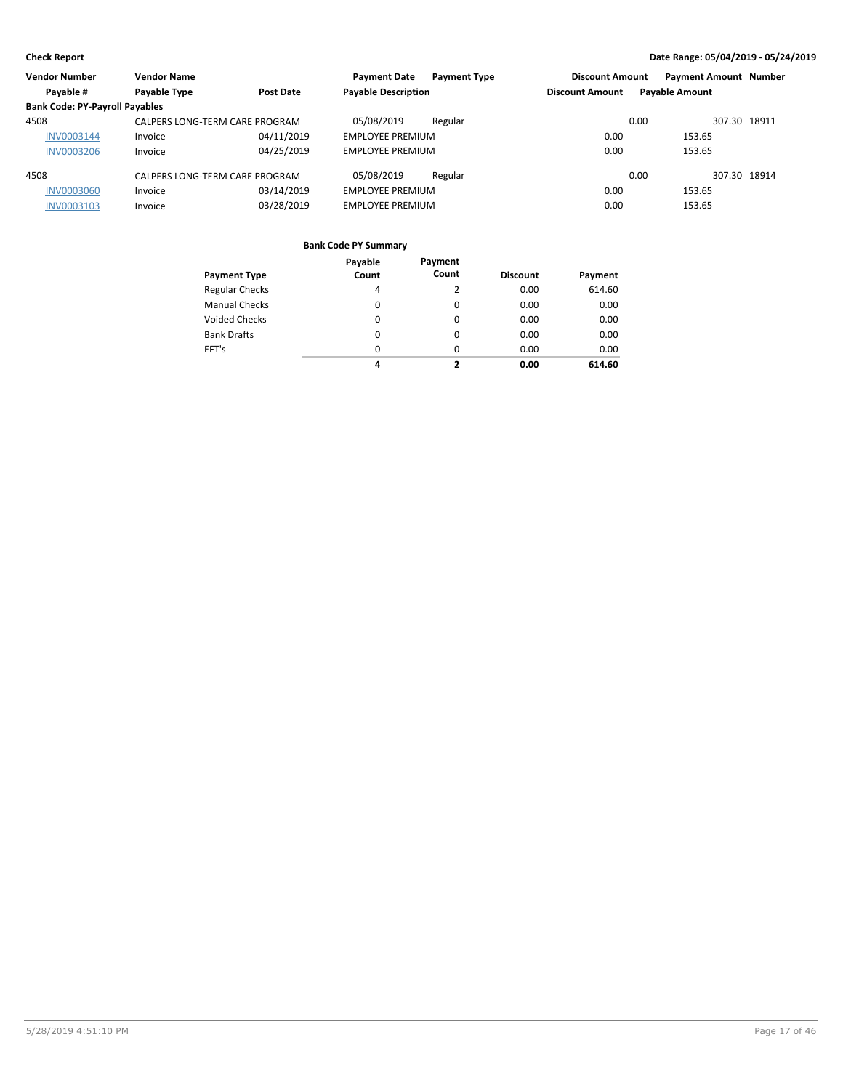| <b>Vendor Number</b>                  | <b>Vendor Name</b>             |                  | <b>Payment Date</b><br><b>Payment Type</b> | <b>Discount Amount</b> | <b>Payment Amount Number</b> |
|---------------------------------------|--------------------------------|------------------|--------------------------------------------|------------------------|------------------------------|
| Payable #                             | Payable Type                   | <b>Post Date</b> | <b>Payable Description</b>                 | <b>Discount Amount</b> | <b>Payable Amount</b>        |
| <b>Bank Code: PY-Payroll Payables</b> |                                |                  |                                            |                        |                              |
| 4508                                  | CALPERS LONG-TERM CARE PROGRAM |                  | 05/08/2019<br>Regular                      | 0.00                   | 307.30 18911                 |
| INV0003144                            | Invoice                        | 04/11/2019       | <b>EMPLOYEE PREMIUM</b>                    | 0.00                   | 153.65                       |
| <b>INV0003206</b>                     | Invoice                        | 04/25/2019       | <b>EMPLOYEE PREMIUM</b>                    | 0.00                   | 153.65                       |
| 4508                                  | CALPERS LONG-TERM CARE PROGRAM |                  | 05/08/2019<br>Regular                      | 0.00                   | 307.30 18914                 |
| <b>INV0003060</b>                     | Invoice                        | 03/14/2019       | <b>EMPLOYEE PREMIUM</b>                    | 0.00                   | 153.65                       |
| INV0003103                            | Invoice                        | 03/28/2019       | <b>EMPLOYEE PREMIUM</b>                    | 0.00                   | 153.65                       |

|                       | Payable  | Payment  |                 |         |
|-----------------------|----------|----------|-----------------|---------|
| <b>Payment Type</b>   | Count    | Count    | <b>Discount</b> | Payment |
| <b>Regular Checks</b> | 4        | 2        | 0.00            | 614.60  |
| <b>Manual Checks</b>  | $\Omega$ | $\Omega$ | 0.00            | 0.00    |
| <b>Voided Checks</b>  | 0        | $\Omega$ | 0.00            | 0.00    |
| <b>Bank Drafts</b>    | 0        | $\Omega$ | 0.00            | 0.00    |
| EFT's                 | $\Omega$ | $\Omega$ | 0.00            | 0.00    |
|                       | 4        | 7        | 0.00            | 614.60  |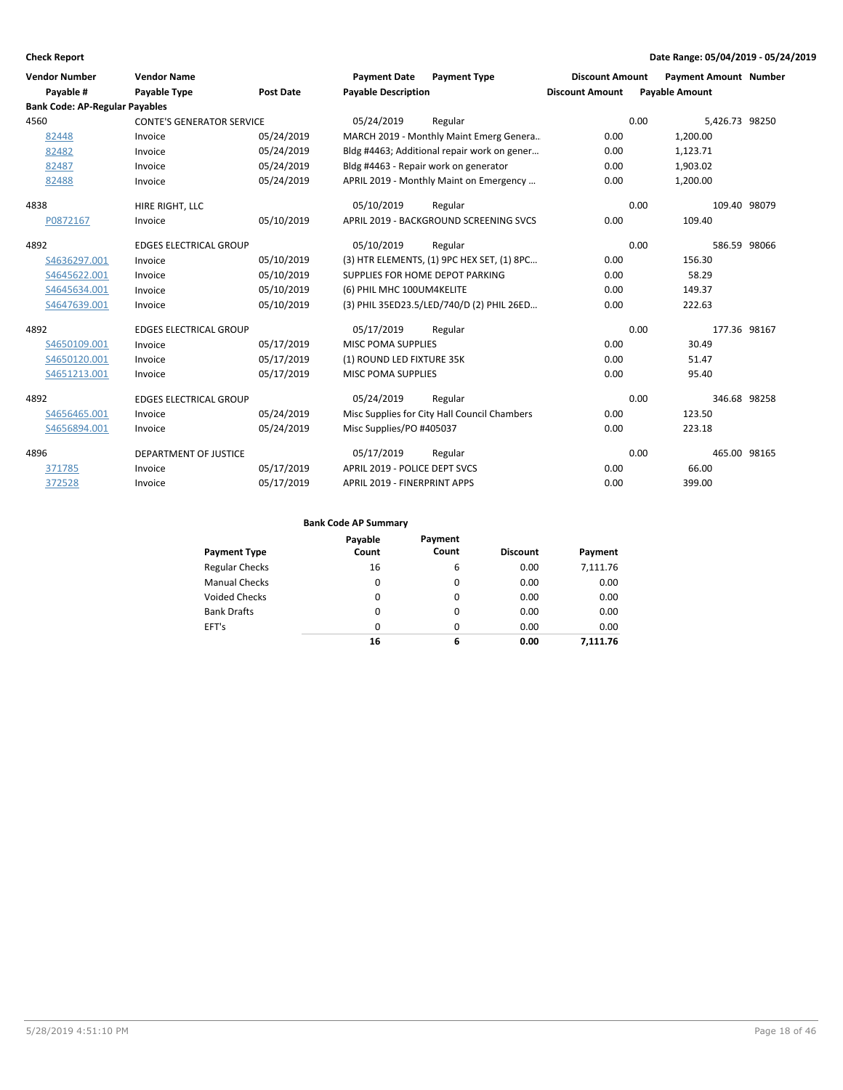| <b>Vendor Number</b>                  | <b>Vendor Name</b>               |            | <b>Payment Date</b>                 | <b>Payment Type</b>                          | <b>Discount Amount</b> | <b>Payment Amount Number</b> |              |
|---------------------------------------|----------------------------------|------------|-------------------------------------|----------------------------------------------|------------------------|------------------------------|--------------|
| Payable #                             | <b>Payable Type</b>              | Post Date  | <b>Payable Description</b>          |                                              | <b>Discount Amount</b> | <b>Payable Amount</b>        |              |
| <b>Bank Code: AP-Regular Payables</b> |                                  |            |                                     |                                              |                        |                              |              |
| 4560                                  | <b>CONTE'S GENERATOR SERVICE</b> |            | 05/24/2019                          | Regular                                      |                        | 0.00<br>5,426.73 98250       |              |
| 82448                                 | Invoice                          | 05/24/2019 |                                     | MARCH 2019 - Monthly Maint Emerg Genera      | 0.00                   | 1,200.00                     |              |
| 82482                                 | Invoice                          | 05/24/2019 |                                     | Bldg #4463; Additional repair work on gener  | 0.00                   | 1,123.71                     |              |
| 82487                                 | Invoice                          | 05/24/2019 |                                     | Bldg #4463 - Repair work on generator        | 0.00                   | 1,903.02                     |              |
| 82488                                 | Invoice                          | 05/24/2019 |                                     | APRIL 2019 - Monthly Maint on Emergency      | 0.00                   | 1,200.00                     |              |
| 4838                                  | HIRE RIGHT, LLC                  |            | 05/10/2019                          | Regular                                      |                        | 0.00                         | 109.40 98079 |
| P0872167                              | Invoice                          | 05/10/2019 |                                     | APRIL 2019 - BACKGROUND SCREENING SVCS       | 0.00                   | 109.40                       |              |
| 4892                                  | <b>EDGES ELECTRICAL GROUP</b>    |            | 05/10/2019                          | Regular                                      |                        | 0.00                         | 586.59 98066 |
| S4636297.001                          | Invoice                          | 05/10/2019 |                                     | (3) HTR ELEMENTS, (1) 9PC HEX SET, (1) 8PC   | 0.00                   | 156.30                       |              |
| S4645622.001                          | Invoice                          | 05/10/2019 |                                     | SUPPLIES FOR HOME DEPOT PARKING              | 0.00                   | 58.29                        |              |
| S4645634.001                          | Invoice                          | 05/10/2019 | (6) PHIL MHC 100UM4KELITE           |                                              | 0.00                   | 149.37                       |              |
| S4647639.001                          | Invoice                          | 05/10/2019 |                                     | (3) PHIL 35ED23.5/LED/740/D (2) PHIL 26ED    | 0.00                   | 222.63                       |              |
| 4892                                  | <b>EDGES ELECTRICAL GROUP</b>    |            | 05/17/2019                          | Regular                                      |                        | 0.00                         | 177.36 98167 |
| S4650109.001                          | Invoice                          | 05/17/2019 | <b>MISC POMA SUPPLIES</b>           |                                              | 0.00                   | 30.49                        |              |
| S4650120.001                          | Invoice                          | 05/17/2019 | (1) ROUND LED FIXTURE 35K           |                                              | 0.00                   | 51.47                        |              |
| S4651213.001                          | Invoice                          | 05/17/2019 | <b>MISC POMA SUPPLIES</b>           |                                              | 0.00                   | 95.40                        |              |
| 4892                                  | <b>EDGES ELECTRICAL GROUP</b>    |            | 05/24/2019                          | Regular                                      |                        | 0.00                         | 346.68 98258 |
| S4656465.001                          | Invoice                          | 05/24/2019 |                                     | Misc Supplies for City Hall Council Chambers | 0.00                   | 123.50                       |              |
| S4656894.001                          | Invoice                          | 05/24/2019 | Misc Supplies/PO #405037            |                                              | 0.00                   | 223.18                       |              |
| 4896                                  | <b>DEPARTMENT OF JUSTICE</b>     |            | 05/17/2019                          | Regular                                      |                        | 0.00                         | 465.00 98165 |
| 371785                                | Invoice                          | 05/17/2019 | APRIL 2019 - POLICE DEPT SVCS       |                                              | 0.00                   | 66.00                        |              |
| 372528                                | Invoice                          | 05/17/2019 | <b>APRIL 2019 - FINERPRINT APPS</b> |                                              | 0.00                   | 399.00                       |              |

|                       | Payable  | Payment  |                 |          |
|-----------------------|----------|----------|-----------------|----------|
| <b>Payment Type</b>   | Count    | Count    | <b>Discount</b> | Payment  |
| <b>Regular Checks</b> | 16       | 6        | 0.00            | 7,111.76 |
| <b>Manual Checks</b>  | 0        | 0        | 0.00            | 0.00     |
| Voided Checks         | 0        | 0        | 0.00            | 0.00     |
| <b>Bank Drafts</b>    | 0        | 0        | 0.00            | 0.00     |
| EFT's                 | $\Omega$ | $\Omega$ | 0.00            | 0.00     |
|                       | 16       | 6        | 0.00            | 7.111.76 |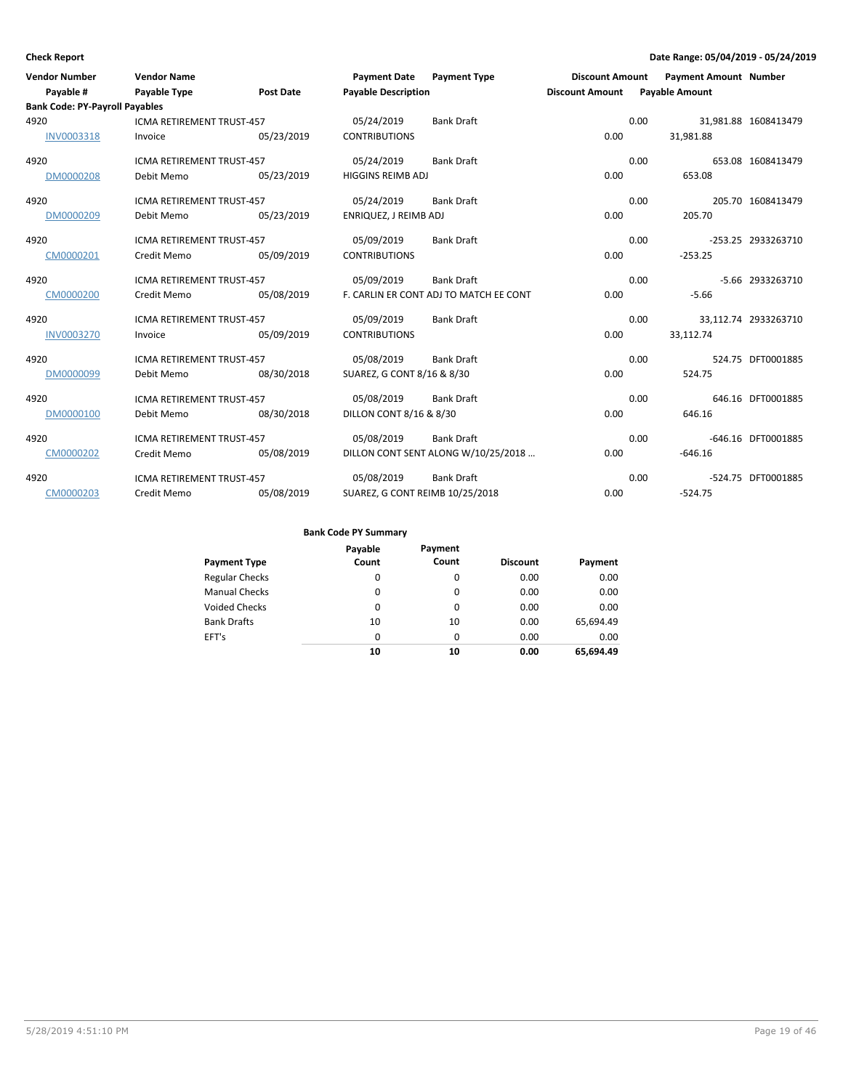| <b>Vendor Number</b>                  | <b>Vendor Name</b>               |                  | Payment Date Payment Type       |                                        | <b>Discount Amount</b> |                       | <b>Payment Amount Number</b> |                      |
|---------------------------------------|----------------------------------|------------------|---------------------------------|----------------------------------------|------------------------|-----------------------|------------------------------|----------------------|
| Payable #                             | Payable Type                     | <b>Post Date</b> | <b>Payable Description</b>      |                                        | <b>Discount Amount</b> | <b>Payable Amount</b> |                              |                      |
| <b>Bank Code: PY-Payroll Payables</b> |                                  |                  |                                 |                                        |                        |                       |                              |                      |
| 4920                                  | ICMA RETIREMENT TRUST-457        |                  | 05/24/2019                      | <b>Bank Draft</b>                      |                        | 0.00                  |                              | 31,981.88 1608413479 |
| INV0003318                            | Invoice                          | 05/23/2019       | <b>CONTRIBUTIONS</b>            |                                        | 0.00                   | 31,981.88             |                              |                      |
| 4920                                  | ICMA RETIREMENT TRUST-457        |                  | 05/24/2019                      | <b>Bank Draft</b>                      |                        | 0.00                  |                              | 653.08 1608413479    |
| DM0000208                             | Debit Memo                       | 05/23/2019       | HIGGINS REIMB ADJ               |                                        | 0.00                   | 653.08                |                              |                      |
| 4920                                  | <b>ICMA RETIREMENT TRUST-457</b> |                  | 05/24/2019                      | <b>Bank Draft</b>                      |                        | 0.00                  |                              | 205.70 1608413479    |
| DM0000209                             | Debit Memo                       | 05/23/2019       | ENRIQUEZ, J REIMB ADJ           |                                        | 0.00                   | 205.70                |                              |                      |
| 4920                                  | ICMA RETIREMENT TRUST-457        |                  | 05/09/2019                      | <b>Bank Draft</b>                      |                        | 0.00                  |                              | -253.25 2933263710   |
| CM0000201                             | Credit Memo                      | 05/09/2019       | <b>CONTRIBUTIONS</b>            |                                        | 0.00                   | $-253.25$             |                              |                      |
| 4920                                  | ICMA RETIREMENT TRUST-457        |                  | 05/09/2019                      | <b>Bank Draft</b>                      |                        | 0.00                  |                              | -5.66 2933263710     |
| CM0000200                             | Credit Memo                      | 05/08/2019       |                                 | F. CARLIN ER CONT ADJ TO MATCH EE CONT | 0.00                   |                       | $-5.66$                      |                      |
| 4920                                  | <b>ICMA RETIREMENT TRUST-457</b> |                  | 05/09/2019                      | <b>Bank Draft</b>                      |                        | 0.00                  |                              | 33.112.74 2933263710 |
| <b>INV0003270</b>                     | Invoice                          | 05/09/2019       | <b>CONTRIBUTIONS</b>            |                                        | 0.00                   | 33,112.74             |                              |                      |
| 4920                                  | <b>ICMA RETIREMENT TRUST-457</b> |                  | 05/08/2019                      | <b>Bank Draft</b>                      |                        | 0.00                  |                              | 524.75 DFT0001885    |
| DM0000099                             | Debit Memo                       | 08/30/2018       | SUAREZ, G CONT 8/16 & 8/30      |                                        | 0.00                   | 524.75                |                              |                      |
| 4920                                  | <b>ICMA RETIREMENT TRUST-457</b> |                  | 05/08/2019                      | <b>Bank Draft</b>                      |                        | 0.00                  |                              | 646.16 DFT0001885    |
| DM0000100                             | Debit Memo                       | 08/30/2018       | DILLON CONT 8/16 & 8/30         |                                        | 0.00                   | 646.16                |                              |                      |
| 4920                                  | ICMA RETIREMENT TRUST-457        |                  | 05/08/2019                      | <b>Bank Draft</b>                      |                        | 0.00                  |                              | -646.16 DFT0001885   |
| CM0000202                             | Credit Memo                      | 05/08/2019       |                                 | DILLON CONT SENT ALONG W/10/25/2018    | 0.00                   | $-646.16$             |                              |                      |
| 4920                                  | <b>ICMA RETIREMENT TRUST-457</b> |                  | 05/08/2019                      | <b>Bank Draft</b>                      |                        | 0.00                  |                              | -524.75 DFT0001885   |
| CM0000203                             | Credit Memo                      | 05/08/2019       | SUAREZ, G CONT REIMB 10/25/2018 |                                        | 0.00                   | $-524.75$             |                              |                      |

| <b>Payment Type</b>   | Payable<br>Count | Payment<br>Count | <b>Discount</b> | Payment   |
|-----------------------|------------------|------------------|-----------------|-----------|
| <b>Regular Checks</b> | 0                | 0                | 0.00            | 0.00      |
| <b>Manual Checks</b>  | 0                | 0                | 0.00            | 0.00      |
| <b>Voided Checks</b>  | 0                | 0                | 0.00            | 0.00      |
| <b>Bank Drafts</b>    | 10               | 10               | 0.00            | 65,694.49 |
| EFT's                 | $\Omega$         | $\Omega$         | 0.00            | 0.00      |
|                       | 10               | 10               | 0.00            | 65.694.49 |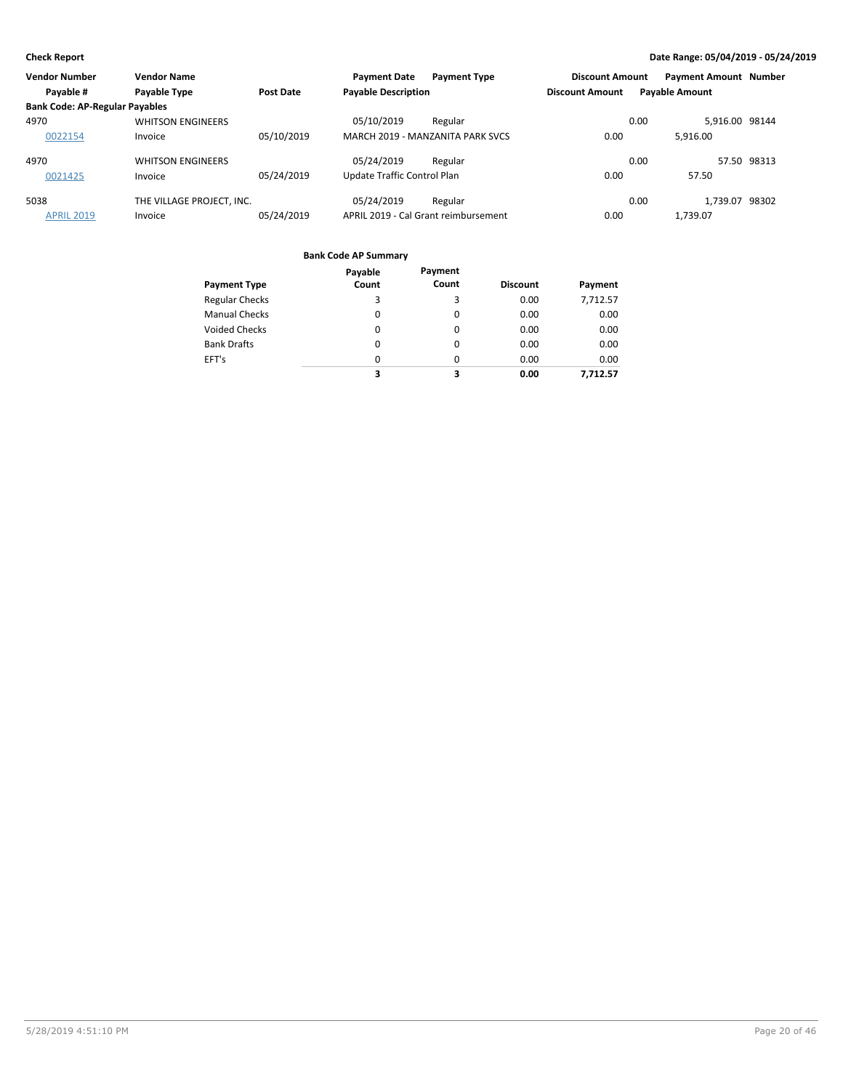| <b>Vendor Number</b>                  | <b>Vendor Name</b>        |                  | <b>Payment Date</b>         | <b>Payment Type</b>                  | <b>Discount Amount</b> | <b>Payment Amount Number</b> |                |
|---------------------------------------|---------------------------|------------------|-----------------------------|--------------------------------------|------------------------|------------------------------|----------------|
| Payable #                             | Payable Type              | <b>Post Date</b> | <b>Payable Description</b>  |                                      | <b>Discount Amount</b> | <b>Payable Amount</b>        |                |
| <b>Bank Code: AP-Regular Payables</b> |                           |                  |                             |                                      |                        |                              |                |
| 4970                                  | <b>WHITSON ENGINEERS</b>  |                  | 05/10/2019                  | Regular                              |                        | 0.00                         | 5.916.00 98144 |
| 0022154                               | Invoice                   | 05/10/2019       |                             | MARCH 2019 - MANZANITA PARK SVCS     | 0.00                   | 5.916.00                     |                |
| 4970                                  | <b>WHITSON ENGINEERS</b>  |                  | 05/24/2019                  | Regular                              |                        | 0.00                         | 57.50 98313    |
| 0021425                               | Invoice                   | 05/24/2019       | Update Traffic Control Plan |                                      | 0.00                   | 57.50                        |                |
| 5038                                  | THE VILLAGE PROJECT, INC. |                  | 05/24/2019                  | Regular                              |                        | 0.00                         | 1,739.07 98302 |
| <b>APRIL 2019</b>                     | Invoice                   | 05/24/2019       |                             | APRIL 2019 - Cal Grant reimbursement | 0.00                   | 1.739.07                     |                |

| <b>Payment Type</b>   | Payable<br>Count | Payment<br>Count | <b>Discount</b> | Payment  |
|-----------------------|------------------|------------------|-----------------|----------|
| <b>Regular Checks</b> | 3                | 3                | 0.00            | 7,712.57 |
| <b>Manual Checks</b>  | 0                | 0                | 0.00            | 0.00     |
| <b>Voided Checks</b>  | 0                | 0                | 0.00            | 0.00     |
| <b>Bank Drafts</b>    | 0                | 0                | 0.00            | 0.00     |
| EFT's                 | 0                | 0                | 0.00            | 0.00     |
|                       | 3                | 3                | 0.00            | 7,712.57 |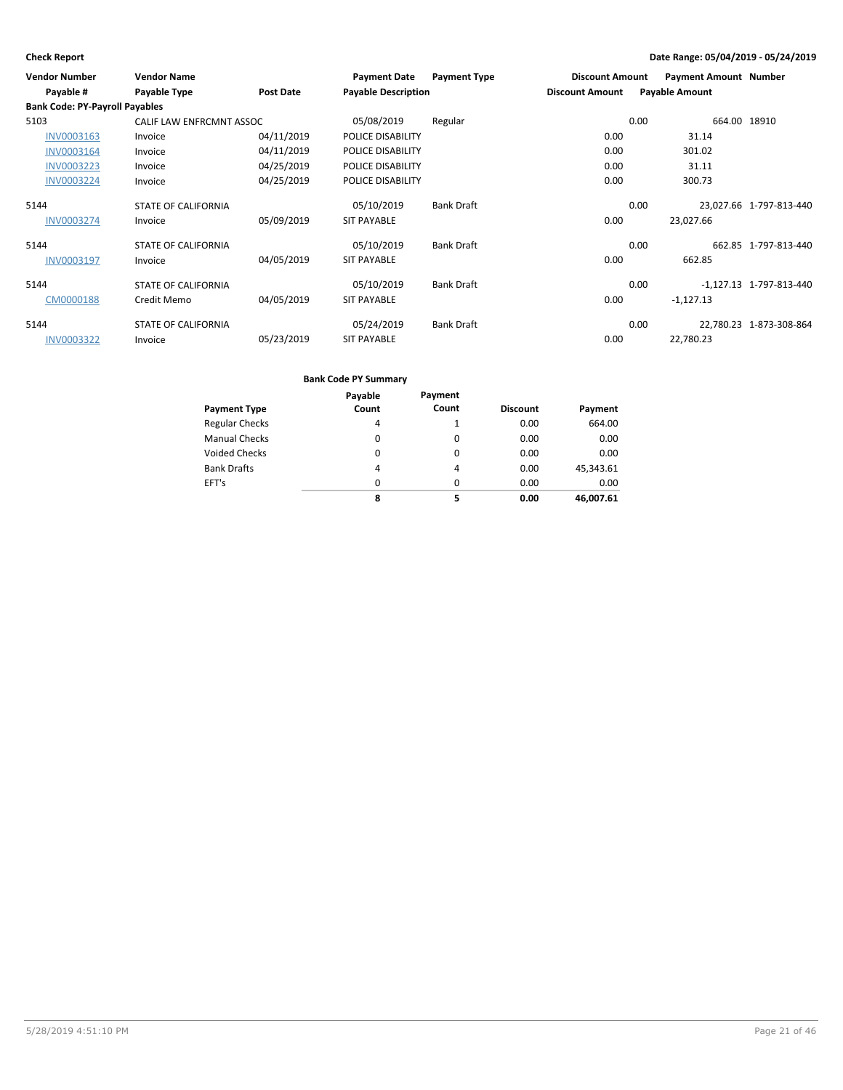| <b>Vendor Number</b>                  | <b>Vendor Name</b>         |                  | <b>Payment Date</b>        | <b>Payment Type</b> | <b>Discount Amount</b> |      | <b>Payment Amount Number</b> |                           |
|---------------------------------------|----------------------------|------------------|----------------------------|---------------------|------------------------|------|------------------------------|---------------------------|
| Payable #                             | Payable Type               | <b>Post Date</b> | <b>Payable Description</b> |                     | <b>Discount Amount</b> |      | <b>Payable Amount</b>        |                           |
| <b>Bank Code: PY-Payroll Payables</b> |                            |                  |                            |                     |                        |      |                              |                           |
| 5103                                  | CALIF LAW ENFRCMNT ASSOC   |                  | 05/08/2019                 | Regular             |                        | 0.00 | 664.00 18910                 |                           |
| INV0003163                            | Invoice                    | 04/11/2019       | POLICE DISABILITY          |                     | 0.00                   |      | 31.14                        |                           |
| INV0003164                            | Invoice                    | 04/11/2019       | POLICE DISABILITY          |                     | 0.00                   |      | 301.02                       |                           |
| INV0003223                            | Invoice                    | 04/25/2019       | POLICE DISABILITY          |                     | 0.00                   |      | 31.11                        |                           |
| <b>INV0003224</b>                     | Invoice                    | 04/25/2019       | POLICE DISABILITY          |                     | 0.00                   |      | 300.73                       |                           |
| 5144                                  | <b>STATE OF CALIFORNIA</b> |                  | 05/10/2019                 | <b>Bank Draft</b>   |                        | 0.00 |                              | 23,027.66 1-797-813-440   |
| INV0003274                            | Invoice                    | 05/09/2019       | <b>SIT PAYABLE</b>         |                     | 0.00                   |      | 23,027.66                    |                           |
| 5144                                  | <b>STATE OF CALIFORNIA</b> |                  | 05/10/2019                 | <b>Bank Draft</b>   |                        | 0.00 |                              | 662.85 1-797-813-440      |
| INV0003197                            | Invoice                    | 04/05/2019       | <b>SIT PAYABLE</b>         |                     | 0.00                   |      | 662.85                       |                           |
| 5144                                  | <b>STATE OF CALIFORNIA</b> |                  | 05/10/2019                 | Bank Draft          |                        | 0.00 |                              | $-1,127.13$ 1-797-813-440 |
| CM0000188                             | Credit Memo                | 04/05/2019       | <b>SIT PAYABLE</b>         |                     | 0.00                   |      | $-1,127.13$                  |                           |
| 5144                                  | <b>STATE OF CALIFORNIA</b> |                  | 05/24/2019                 | <b>Bank Draft</b>   |                        | 0.00 |                              | 22.780.23 1-873-308-864   |
| INV0003322                            | Invoice                    | 05/23/2019       | <b>SIT PAYABLE</b>         |                     | 0.00                   |      | 22,780.23                    |                           |

|                       | Payable  | Payment  |                 |           |
|-----------------------|----------|----------|-----------------|-----------|
| <b>Payment Type</b>   | Count    | Count    | <b>Discount</b> | Payment   |
| <b>Regular Checks</b> | 4        |          | 0.00            | 664.00    |
| <b>Manual Checks</b>  | $\Omega$ | 0        | 0.00            | 0.00      |
| <b>Voided Checks</b>  | $\Omega$ | $\Omega$ | 0.00            | 0.00      |
| <b>Bank Drafts</b>    | 4        | 4        | 0.00            | 45,343.61 |
| EFT's                 | $\Omega$ | 0        | 0.00            | 0.00      |
|                       | 8        | 5        | 0.00            | 46.007.61 |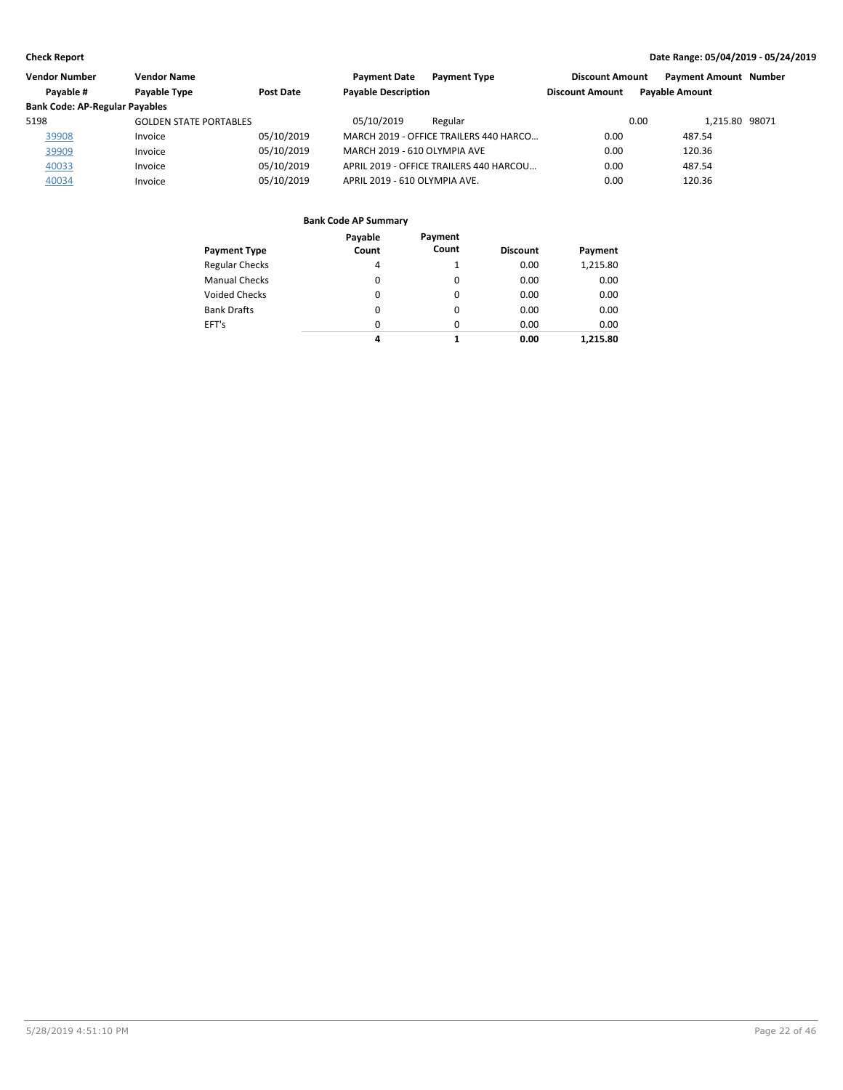| <b>Vendor Number</b>                  | Vendor Name                   |            | <b>Payment Date</b><br><b>Payment Type</b> | <b>Discount Amount</b> | <b>Payment Amount Number</b> |  |
|---------------------------------------|-------------------------------|------------|--------------------------------------------|------------------------|------------------------------|--|
| Payable #                             | Payable Type                  | Post Date  | <b>Payable Description</b>                 | <b>Discount Amount</b> | <b>Pavable Amount</b>        |  |
| <b>Bank Code: AP-Regular Payables</b> |                               |            |                                            |                        |                              |  |
| 5198                                  | <b>GOLDEN STATE PORTABLES</b> |            | 05/10/2019<br>Regular                      |                        | 1.215.80 98071<br>0.00       |  |
| 39908                                 | Invoice                       | 05/10/2019 | MARCH 2019 - OFFICE TRAILERS 440 HARCO     | 0.00                   | 487.54                       |  |
| 39909                                 | Invoice                       | 05/10/2019 | MARCH 2019 - 610 OLYMPIA AVE               | 0.00                   | 120.36                       |  |
| 40033                                 | Invoice                       | 05/10/2019 | APRIL 2019 - OFFICE TRAILERS 440 HARCOU    | 0.00                   | 487.54                       |  |
| 40034                                 | Invoice                       | 05/10/2019 | APRIL 2019 - 610 OLYMPIA AVE.              | 0.00                   | 120.36                       |  |

| <b>Payment Type</b>   | Payable<br>Count | Payment<br>Count | <b>Discount</b> | Payment  |
|-----------------------|------------------|------------------|-----------------|----------|
| <b>Regular Checks</b> | 4                |                  | 0.00            | 1,215.80 |
| <b>Manual Checks</b>  | 0                | 0                | 0.00            | 0.00     |
| <b>Voided Checks</b>  | 0                | 0                | 0.00            | 0.00     |
| <b>Bank Drafts</b>    | 0                | 0                | 0.00            | 0.00     |
| EFT's                 | 0                | 0                | 0.00            | 0.00     |
|                       | 4                | 1                | 0.00            | 1.215.80 |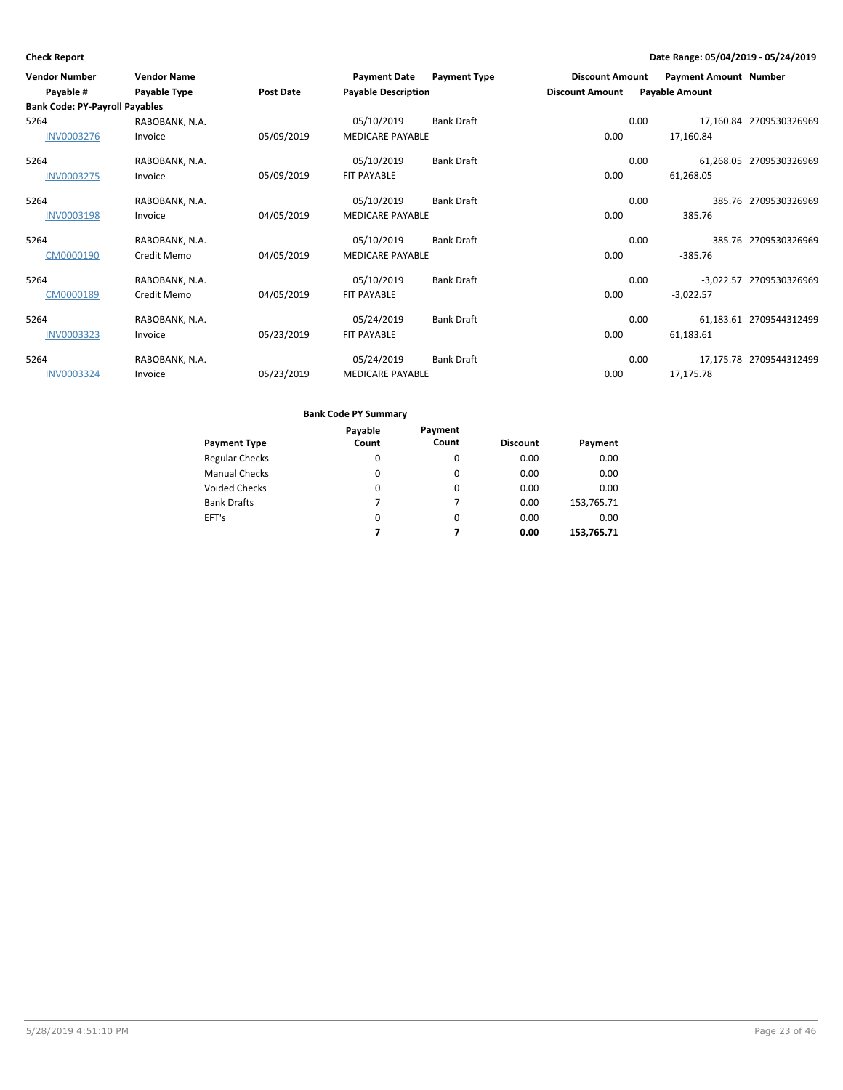| <b>Vendor Number</b><br>Payable #     | <b>Vendor Name</b><br>Payable Type | <b>Post Date</b> | <b>Payment Date</b><br><b>Payable Description</b> | <b>Payment Type</b> | <b>Discount Amount</b><br><b>Discount Amount</b> | <b>Payment Amount Number</b><br><b>Payable Amount</b> |                         |
|---------------------------------------|------------------------------------|------------------|---------------------------------------------------|---------------------|--------------------------------------------------|-------------------------------------------------------|-------------------------|
| <b>Bank Code: PY-Payroll Payables</b> |                                    |                  |                                                   |                     |                                                  |                                                       |                         |
| 5264                                  | RABOBANK, N.A.                     |                  | 05/10/2019                                        | Bank Draft          |                                                  | 0.00                                                  | 17,160.84 2709530326969 |
| <b>INV0003276</b>                     | Invoice                            | 05/09/2019       | <b>MEDICARE PAYABLE</b>                           |                     | 0.00                                             | 17,160.84                                             |                         |
| 5264                                  | RABOBANK, N.A.                     |                  | 05/10/2019                                        | Bank Draft          |                                                  | 0.00                                                  | 61,268.05 2709530326969 |
| <b>INV0003275</b>                     | Invoice                            | 05/09/2019       | FIT PAYABLE                                       |                     | 0.00                                             | 61,268.05                                             |                         |
| 5264                                  | RABOBANK, N.A.                     |                  | 05/10/2019                                        | Bank Draft          |                                                  | 0.00                                                  | 385.76 2709530326969    |
| <b>INV0003198</b>                     | Invoice                            | 04/05/2019       | <b>MEDICARE PAYABLE</b>                           |                     | 0.00                                             | 385.76                                                |                         |
| 5264                                  | RABOBANK, N.A.                     |                  | 05/10/2019                                        | Bank Draft          |                                                  | 0.00                                                  | -385.76 2709530326969   |
| CM0000190                             | Credit Memo                        | 04/05/2019       | <b>MEDICARE PAYABLE</b>                           |                     | 0.00                                             | $-385.76$                                             |                         |
| 5264                                  | RABOBANK, N.A.                     |                  | 05/10/2019                                        | <b>Bank Draft</b>   |                                                  | 0.00                                                  | -3,022.57 2709530326969 |
| CM0000189                             | Credit Memo                        | 04/05/2019       | FIT PAYABLE                                       |                     | 0.00                                             | $-3,022.57$                                           |                         |
| 5264                                  | RABOBANK, N.A.                     |                  | 05/24/2019                                        | Bank Draft          |                                                  | 0.00                                                  | 61,183.61 2709544312499 |
| <b>INV0003323</b>                     | Invoice                            | 05/23/2019       | FIT PAYABLE                                       |                     | 0.00                                             | 61,183.61                                             |                         |
| 5264                                  | RABOBANK, N.A.                     |                  | 05/24/2019                                        | <b>Bank Draft</b>   |                                                  | 0.00                                                  | 17,175.78 2709544312499 |
| INV0003324                            | Invoice                            | 05/23/2019       | <b>MEDICARE PAYABLE</b>                           |                     | 0.00                                             | 17,175.78                                             |                         |

| <b>Payment Type</b>   | Payable<br>Count | Payment<br>Count | <b>Discount</b> | Payment    |
|-----------------------|------------------|------------------|-----------------|------------|
| <b>Regular Checks</b> | 0                | 0                | 0.00            | 0.00       |
| <b>Manual Checks</b>  | 0                | 0                | 0.00            | 0.00       |
| <b>Voided Checks</b>  | 0                | 0                | 0.00            | 0.00       |
| <b>Bank Drafts</b>    | 7                |                  | 0.00            | 153,765.71 |
| EFT's                 | 0                | $\Omega$         | 0.00            | 0.00       |
|                       |                  |                  | 0.00            | 153,765.71 |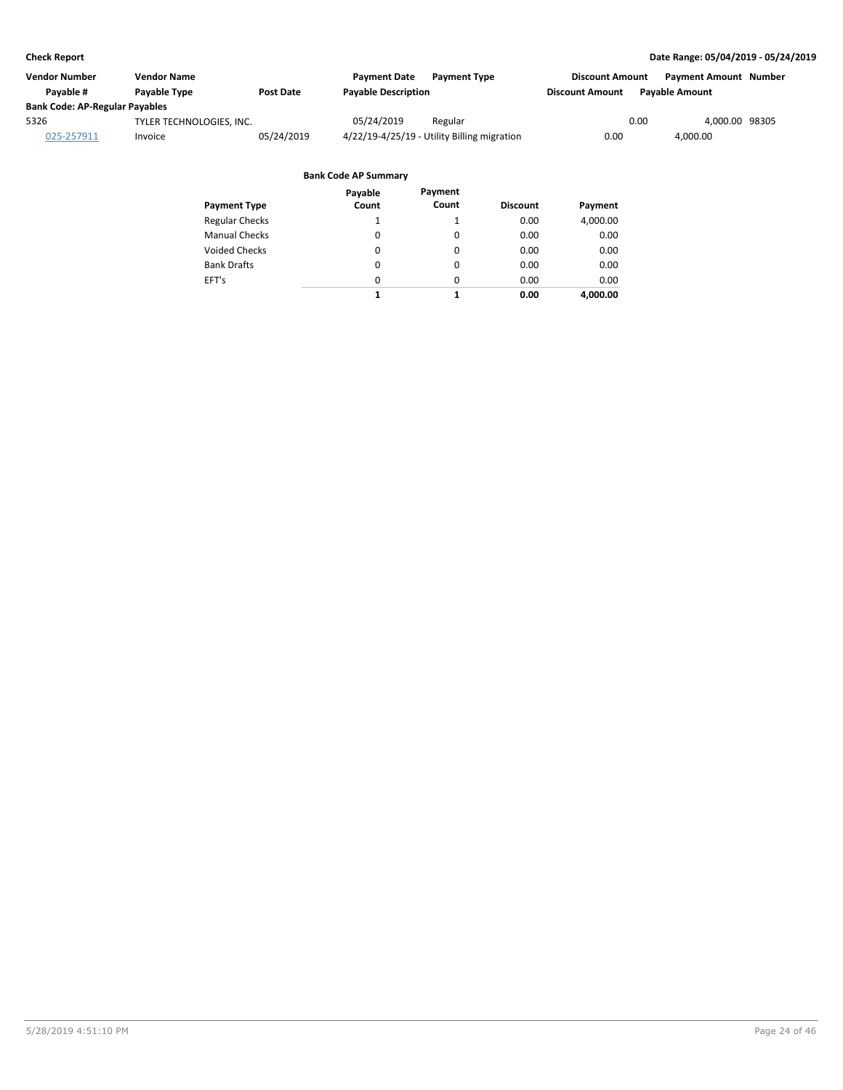| Vendor Number                         | <b>Vendor Name</b>       |                  | <b>Payment Date</b><br><b>Payment Type</b>  | <b>Discount Amount</b> | <b>Payment Amount Number</b> |
|---------------------------------------|--------------------------|------------------|---------------------------------------------|------------------------|------------------------------|
| Pavable #                             | <b>Pavable Type</b>      | <b>Post Date</b> | <b>Payable Description</b>                  | <b>Discount Amount</b> | <b>Pavable Amount</b>        |
| <b>Bank Code: AP-Regular Payables</b> |                          |                  |                                             |                        |                              |
| 5326                                  | TYLER TECHNOLOGIES, INC. |                  | 05/24/2019<br>Regular                       | 0.00                   | 4.000.00 98305               |
| 025-257911                            | Invoice                  | 05/24/2019       | 4/22/19-4/25/19 - Utility Billing migration | 0.00                   | 4.000.00                     |

| <b>Payment Type</b>   | Payable<br>Count | Payment<br>Count | <b>Discount</b> | Payment  |
|-----------------------|------------------|------------------|-----------------|----------|
|                       | 1                |                  |                 |          |
| <b>Regular Checks</b> |                  |                  | 0.00            | 4,000.00 |
| <b>Manual Checks</b>  | $\Omega$         | $\Omega$         | 0.00            | 0.00     |
| Voided Checks         | 0                | 0                | 0.00            | 0.00     |
| <b>Bank Drafts</b>    | $\Omega$         | $\Omega$         | 0.00            | 0.00     |
| EFT's                 | $\Omega$         | $\Omega$         | 0.00            | 0.00     |
|                       | 1                | 1                | 0.00            | 4.000.00 |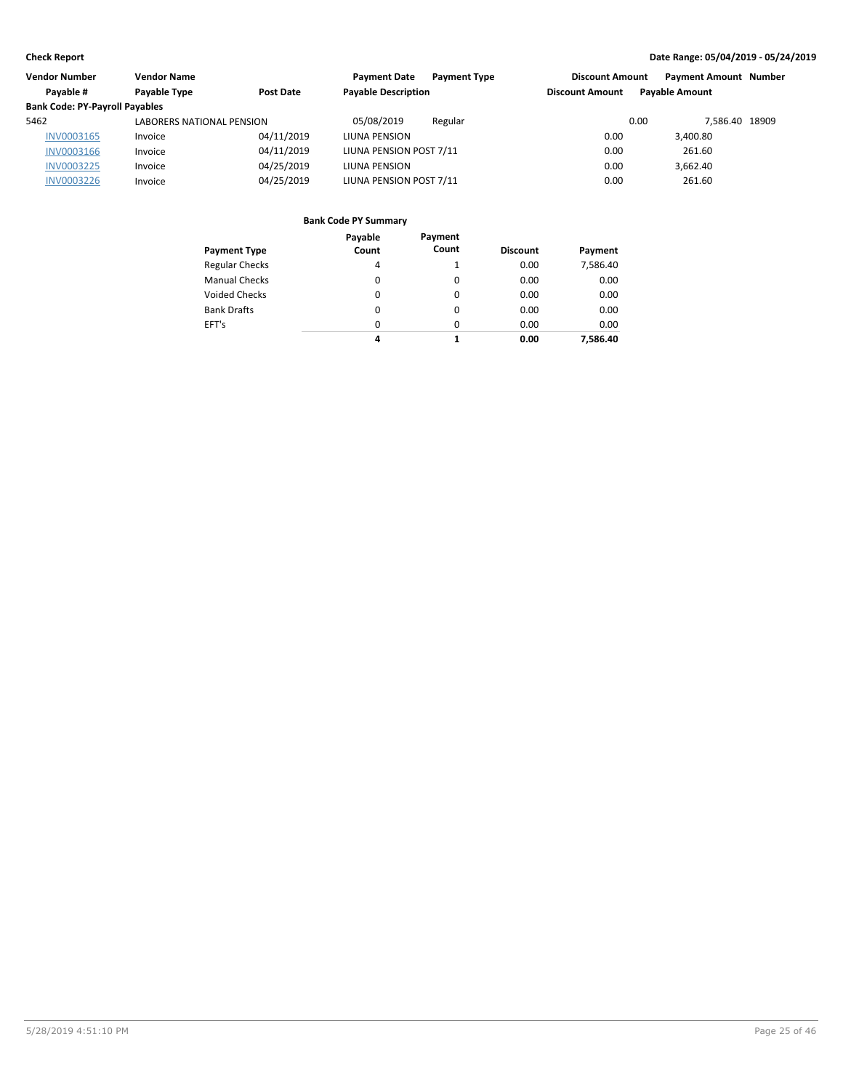| Vendor Number                         | <b>Vendor Name</b>               |            | <b>Payment Type</b><br><b>Payment Date</b> | <b>Discount Amount</b> | <b>Payment Amount Number</b> |  |
|---------------------------------------|----------------------------------|------------|--------------------------------------------|------------------------|------------------------------|--|
| Payable #                             | Payable Type                     | Post Date  | <b>Payable Description</b>                 | <b>Discount Amount</b> | <b>Payable Amount</b>        |  |
| <b>Bank Code: PY-Payroll Payables</b> |                                  |            |                                            |                        |                              |  |
| 5462                                  | <b>LABORERS NATIONAL PENSION</b> |            | 05/08/2019<br>Regular                      | 0.00                   | 7.586.40 18909               |  |
| INV0003165                            | Invoice                          | 04/11/2019 | LIUNA PENSION                              | 0.00                   | 3.400.80                     |  |
| INV0003166                            | Invoice                          | 04/11/2019 | LIUNA PENSION POST 7/11                    | 0.00                   | 261.60                       |  |
| <b>INV0003225</b>                     | Invoice                          | 04/25/2019 | LIUNA PENSION                              | 0.00                   | 3.662.40                     |  |
| <b>INV0003226</b>                     | Invoice                          | 04/25/2019 | LIUNA PENSION POST 7/11                    | 0.00                   | 261.60                       |  |

|                       | Payable | Payment  |                 |          |
|-----------------------|---------|----------|-----------------|----------|
| <b>Payment Type</b>   | Count   | Count    | <b>Discount</b> | Payment  |
| <b>Regular Checks</b> | 4       |          | 0.00            | 7,586.40 |
| <b>Manual Checks</b>  | 0       | 0        | 0.00            | 0.00     |
| <b>Voided Checks</b>  | 0       | $\Omega$ | 0.00            | 0.00     |
| <b>Bank Drafts</b>    | 0       | 0        | 0.00            | 0.00     |
| EFT's                 | 0       | $\Omega$ | 0.00            | 0.00     |
|                       | 4       |          | 0.00            | 7.586.40 |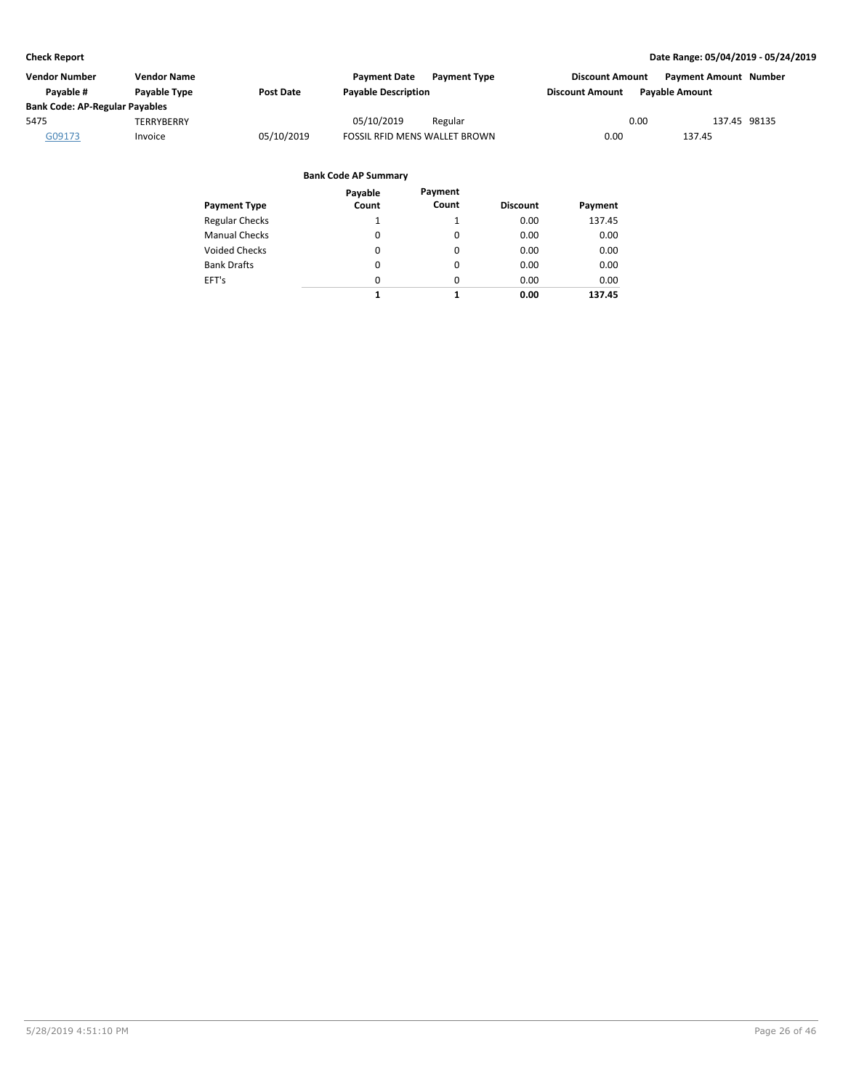| Vendor Number                         | <b>Vendor Name</b> |            | <b>Payment Date</b><br><b>Payment Type</b> | <b>Discount Amount</b> | <b>Payment Amount Number</b> |
|---------------------------------------|--------------------|------------|--------------------------------------------|------------------------|------------------------------|
| Pavable #                             | Payable Type       | Post Date  | <b>Payable Description</b>                 | <b>Discount Amount</b> | <b>Pavable Amount</b>        |
| <b>Bank Code: AP-Regular Payables</b> |                    |            |                                            |                        |                              |
| 5475                                  | TERRYBERRY         |            | 05/10/2019<br>Regular                      | 0.00                   | 137.45 98135                 |
| G09173                                | Invoice            | 05/10/2019 | <b>FOSSIL RFID MENS WALLET BROWN</b>       | 0.00                   | 137.45                       |

| Payment Type          | Payable<br>Count | Payment<br>Count | <b>Discount</b> | Payment |
|-----------------------|------------------|------------------|-----------------|---------|
| <b>Regular Checks</b> | 1                |                  | 0.00            | 137.45  |
| Manual Checks         | 0                | 0                | 0.00            | 0.00    |
| <b>Voided Checks</b>  | 0                | 0                | 0.00            | 0.00    |
| <b>Bank Drafts</b>    | 0                | 0                | 0.00            | 0.00    |
| EFT's                 | $\Omega$         | 0                | 0.00            | 0.00    |
|                       | 1                | 1                | 0.00            | 137.45  |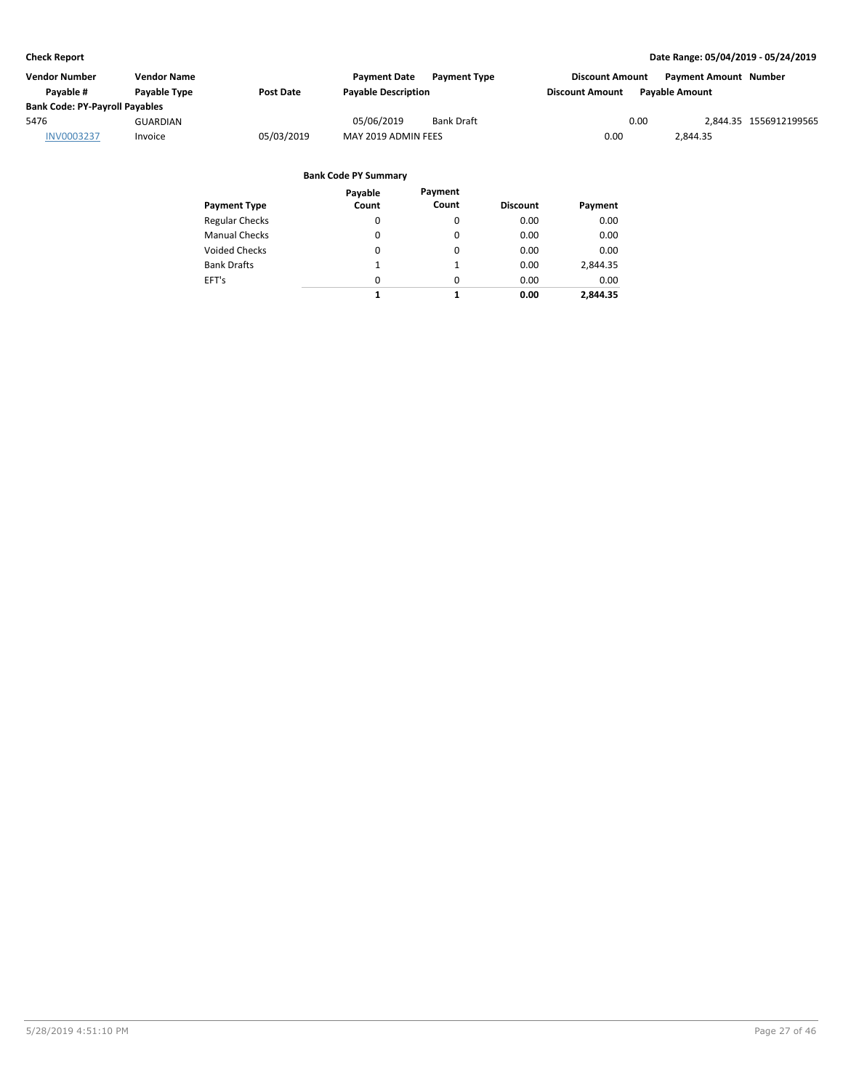| <b>Vendor Name</b>                    |                  | <b>Payment Date</b> | <b>Payment Type</b> |                                                   |                       |                                                                |
|---------------------------------------|------------------|---------------------|---------------------|---------------------------------------------------|-----------------------|----------------------------------------------------------------|
| Payable Type                          | <b>Post Date</b> |                     |                     | <b>Discount Amount</b>                            | <b>Pavable Amount</b> |                                                                |
| <b>Bank Code: PY-Payroll Payables</b> |                  |                     |                     |                                                   |                       |                                                                |
| <b>GUARDIAN</b>                       |                  | 05/06/2019          | <b>Bank Draft</b>   |                                                   |                       | 2,844.35 1556912199565                                         |
| Invoice                               | 05/03/2019       |                     |                     | 0.00                                              | 2,844.35              |                                                                |
|                                       |                  |                     |                     | <b>Payable Description</b><br>MAY 2019 ADMIN FEES |                       | <b>Payment Amount Number</b><br><b>Discount Amount</b><br>0.00 |

| <b>Payment Type</b>   | Payable<br>Count | Payment<br>Count | <b>Discount</b> | Payment  |
|-----------------------|------------------|------------------|-----------------|----------|
|                       |                  |                  |                 |          |
| <b>Regular Checks</b> | 0                | 0                | 0.00            | 0.00     |
| <b>Manual Checks</b>  | 0                | 0                | 0.00            | 0.00     |
| <b>Voided Checks</b>  | 0                | 0                | 0.00            | 0.00     |
| <b>Bank Drafts</b>    | 1                | 1                | 0.00            | 2,844.35 |
| EFT's                 | $\Omega$         | $\Omega$         | 0.00            | 0.00     |
|                       | 1                | 1                | 0.00            | 2.844.35 |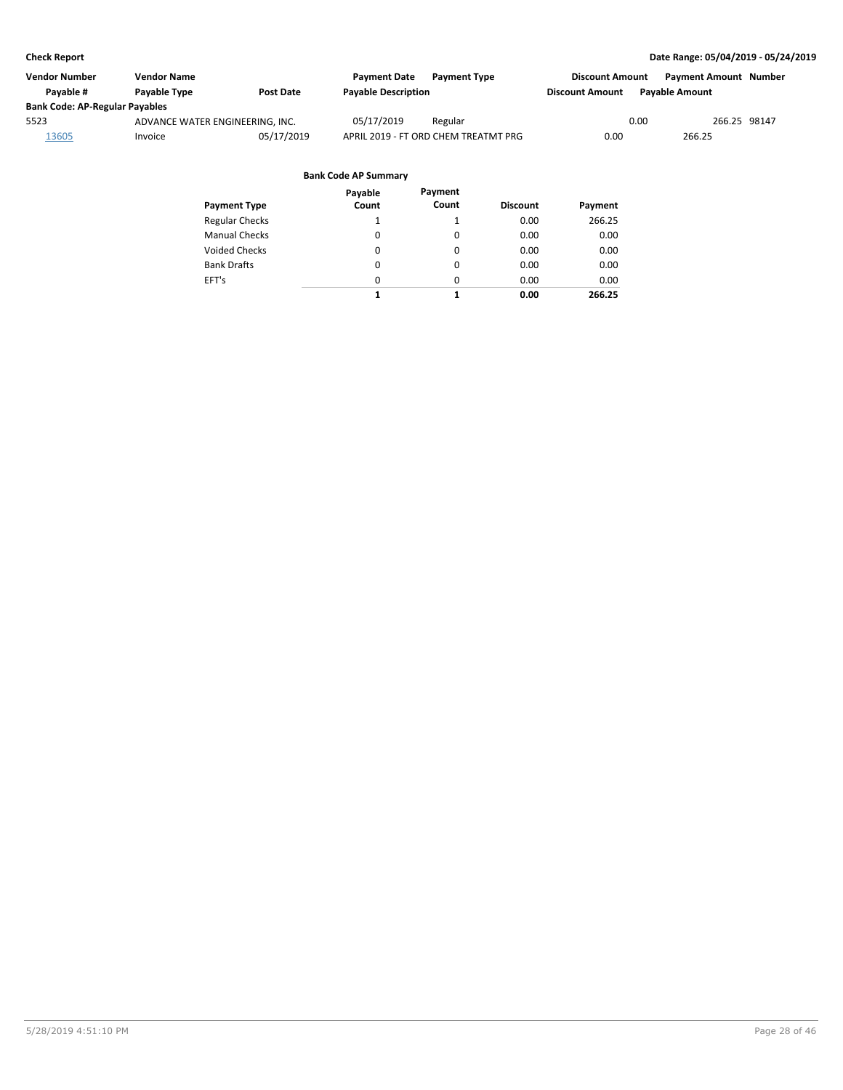| Vendor Number                         | <b>Vendor Name</b>              |                  | <b>Payment Date</b><br><b>Payment Type</b> | <b>Discount Amount</b> |                       | <b>Payment Amount Number</b> |  |
|---------------------------------------|---------------------------------|------------------|--------------------------------------------|------------------------|-----------------------|------------------------------|--|
| Pavable #                             | <b>Pavable Type</b>             | <b>Post Date</b> | <b>Payable Description</b>                 | <b>Discount Amount</b> | <b>Pavable Amount</b> |                              |  |
| <b>Bank Code: AP-Regular Payables</b> |                                 |                  |                                            |                        |                       |                              |  |
| 5523                                  | ADVANCE WATER ENGINEERING. INC. |                  | 05/17/2019<br>Regular                      |                        | 0.00                  | 266.25 98147                 |  |
| 13605                                 | Invoice                         | 05/17/2019       | APRIL 2019 - FT ORD CHEM TREATMT PRG       | 0.00                   |                       | 266.25                       |  |

| Payment Type          | Payable<br>Count | Payment<br>Count | <b>Discount</b> | Payment |
|-----------------------|------------------|------------------|-----------------|---------|
| <b>Regular Checks</b> | 1                |                  | 0.00            | 266.25  |
| <b>Manual Checks</b>  | $\Omega$         | $\Omega$         | 0.00            | 0.00    |
| Voided Checks         | 0                | 0                | 0.00            | 0.00    |
| <b>Bank Drafts</b>    | 0                | 0                | 0.00            | 0.00    |
| EFT's                 | 0                | $\Omega$         | 0.00            | 0.00    |
|                       | 1                | 1                | 0.00            | 266.25  |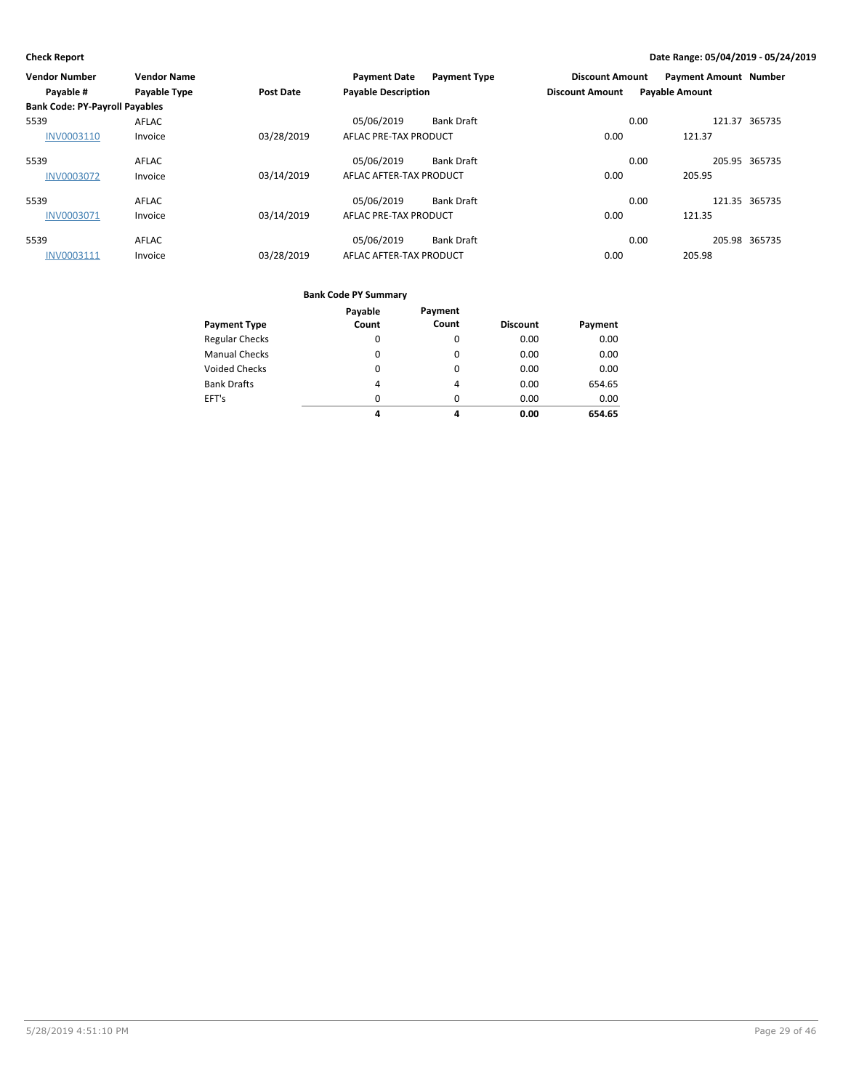| Vendor Number                         | <b>Vendor Name</b> |                  | <b>Payment Date</b>        | <b>Payment Type</b> | <b>Discount Amount</b> | <b>Payment Amount Number</b> |               |
|---------------------------------------|--------------------|------------------|----------------------------|---------------------|------------------------|------------------------------|---------------|
| Payable #                             | Payable Type       | <b>Post Date</b> | <b>Payable Description</b> |                     | <b>Discount Amount</b> | <b>Payable Amount</b>        |               |
| <b>Bank Code: PY-Payroll Payables</b> |                    |                  |                            |                     |                        |                              |               |
| 5539                                  | AFLAC              |                  | 05/06/2019                 | <b>Bank Draft</b>   | 0.00                   |                              | 121.37 365735 |
| INV0003110                            | Invoice            | 03/28/2019       | AFLAC PRE-TAX PRODUCT      |                     | 0.00                   | 121.37                       |               |
| 5539                                  | AFLAC              |                  | 05/06/2019                 | <b>Bank Draft</b>   | 0.00                   |                              | 205.95 365735 |
| <b>INV0003072</b>                     | Invoice            | 03/14/2019       | AFLAC AFTER-TAX PRODUCT    |                     | 0.00                   | 205.95                       |               |
| 5539                                  | AFLAC              |                  | 05/06/2019                 | <b>Bank Draft</b>   | 0.00                   |                              | 121.35 365735 |
| <b>INV0003071</b>                     | Invoice            | 03/14/2019       | AFLAC PRE-TAX PRODUCT      |                     | 0.00                   | 121.35                       |               |
| 5539                                  | AFLAC              |                  | 05/06/2019                 | <b>Bank Draft</b>   | 0.00                   |                              | 205.98 365735 |
| INV0003111                            | Invoice            | 03/28/2019       | AFLAC AFTER-TAX PRODUCT    |                     | 0.00                   | 205.98                       |               |

|                       | Payable  | Payment  |                 |         |
|-----------------------|----------|----------|-----------------|---------|
| <b>Payment Type</b>   | Count    | Count    | <b>Discount</b> | Payment |
| <b>Regular Checks</b> | 0        | 0        | 0.00            | 0.00    |
| <b>Manual Checks</b>  | 0        | $\Omega$ | 0.00            | 0.00    |
| <b>Voided Checks</b>  | 0        | 0        | 0.00            | 0.00    |
| <b>Bank Drafts</b>    | 4        | 4        | 0.00            | 654.65  |
| EFT's                 | $\Omega$ | $\Omega$ | 0.00            | 0.00    |
|                       | 4        | 4        | 0.00            | 654.65  |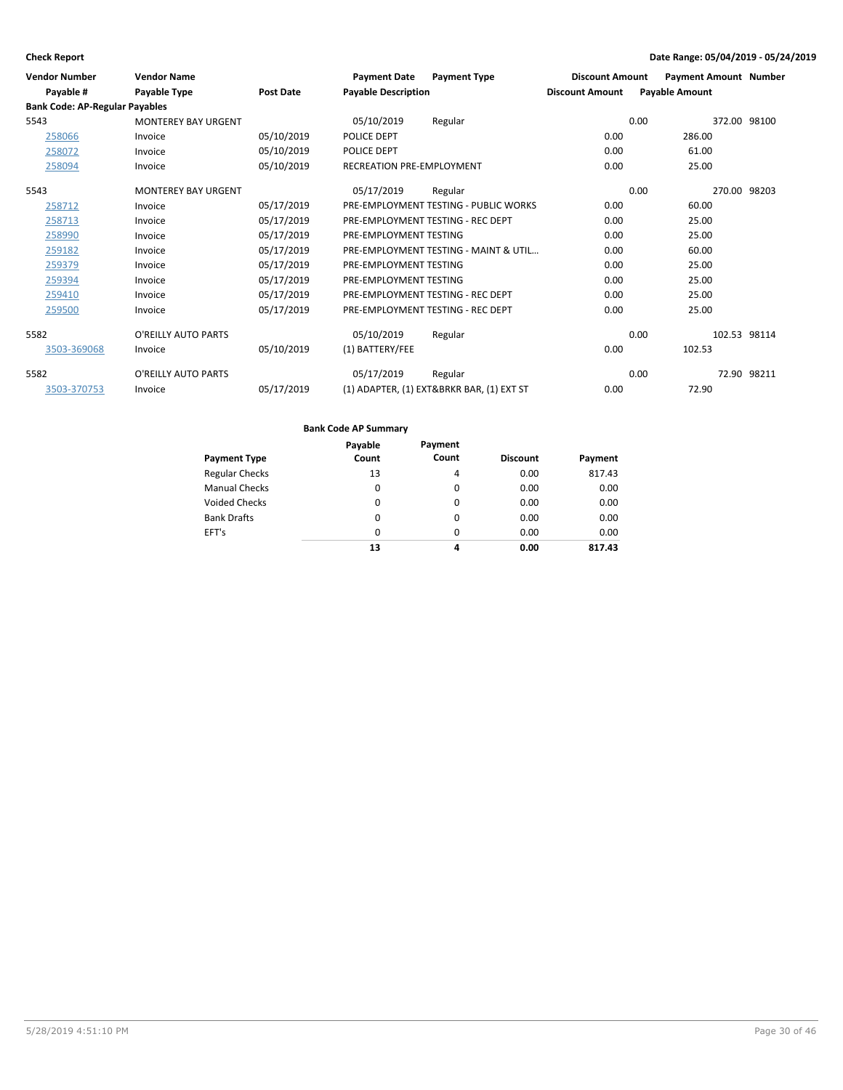| <b>Vendor Number</b>                  | <b>Vendor Name</b>         |                  | <b>Payment Date</b>              | <b>Payment Type</b>                       | <b>Discount Amount</b> | <b>Payment Amount Number</b> |             |
|---------------------------------------|----------------------------|------------------|----------------------------------|-------------------------------------------|------------------------|------------------------------|-------------|
| Payable #                             | Payable Type               | <b>Post Date</b> | <b>Payable Description</b>       |                                           | <b>Discount Amount</b> | <b>Payable Amount</b>        |             |
| <b>Bank Code: AP-Regular Payables</b> |                            |                  |                                  |                                           |                        |                              |             |
| 5543                                  | <b>MONTEREY BAY URGENT</b> |                  | 05/10/2019                       | Regular                                   |                        | 0.00<br>372.00 98100         |             |
| 258066                                | Invoice                    | 05/10/2019       | POLICE DEPT                      |                                           | 0.00                   | 286.00                       |             |
| 258072                                | Invoice                    | 05/10/2019       | POLICE DEPT                      |                                           | 0.00                   | 61.00                        |             |
| 258094                                | Invoice                    | 05/10/2019       | <b>RECREATION PRE-EMPLOYMENT</b> |                                           | 0.00                   | 25.00                        |             |
| 5543                                  | <b>MONTEREY BAY URGENT</b> |                  | 05/17/2019                       | Regular                                   |                        | 0.00<br>270.00 98203         |             |
| 258712                                | Invoice                    | 05/17/2019       |                                  | PRE-EMPLOYMENT TESTING - PUBLIC WORKS     | 0.00                   | 60.00                        |             |
| 258713                                | Invoice                    | 05/17/2019       |                                  | PRE-EMPLOYMENT TESTING - REC DEPT         | 0.00                   | 25.00                        |             |
| 258990                                | Invoice                    | 05/17/2019       | PRE-EMPLOYMENT TESTING           |                                           | 0.00                   | 25.00                        |             |
| 259182                                | Invoice                    | 05/17/2019       |                                  | PRE-EMPLOYMENT TESTING - MAINT & UTIL     | 0.00                   | 60.00                        |             |
| 259379                                | Invoice                    | 05/17/2019       | PRE-EMPLOYMENT TESTING           |                                           | 0.00                   | 25.00                        |             |
| 259394                                | Invoice                    | 05/17/2019       | PRE-EMPLOYMENT TESTING           |                                           | 0.00                   | 25.00                        |             |
| 259410                                | Invoice                    | 05/17/2019       |                                  | PRE-EMPLOYMENT TESTING - REC DEPT         | 0.00                   | 25.00                        |             |
| 259500                                | Invoice                    | 05/17/2019       |                                  | PRE-EMPLOYMENT TESTING - REC DEPT         | 0.00                   | 25.00                        |             |
| 5582                                  | O'REILLY AUTO PARTS        |                  | 05/10/2019                       | Regular                                   |                        | 0.00<br>102.53 98114         |             |
| 3503-369068                           | Invoice                    | 05/10/2019       | (1) BATTERY/FEE                  |                                           | 0.00                   | 102.53                       |             |
| 5582                                  | O'REILLY AUTO PARTS        |                  | 05/17/2019                       | Regular                                   |                        | 0.00                         | 72.90 98211 |
| 3503-370753                           | Invoice                    | 05/17/2019       |                                  | (1) ADAPTER, (1) EXT&BRKR BAR, (1) EXT ST | 0.00                   | 72.90                        |             |

|                       | Payable  | Payment  |                 |         |
|-----------------------|----------|----------|-----------------|---------|
| <b>Payment Type</b>   | Count    | Count    | <b>Discount</b> | Payment |
| <b>Regular Checks</b> | 13       | 4        | 0.00            | 817.43  |
| <b>Manual Checks</b>  | $\Omega$ | $\Omega$ | 0.00            | 0.00    |
| <b>Voided Checks</b>  | $\Omega$ | $\Omega$ | 0.00            | 0.00    |
| <b>Bank Drafts</b>    | $\Omega$ | $\Omega$ | 0.00            | 0.00    |
| EFT's                 | 0        | $\Omega$ | 0.00            | 0.00    |
|                       | 13       | 4        | 0.00            | 817.43  |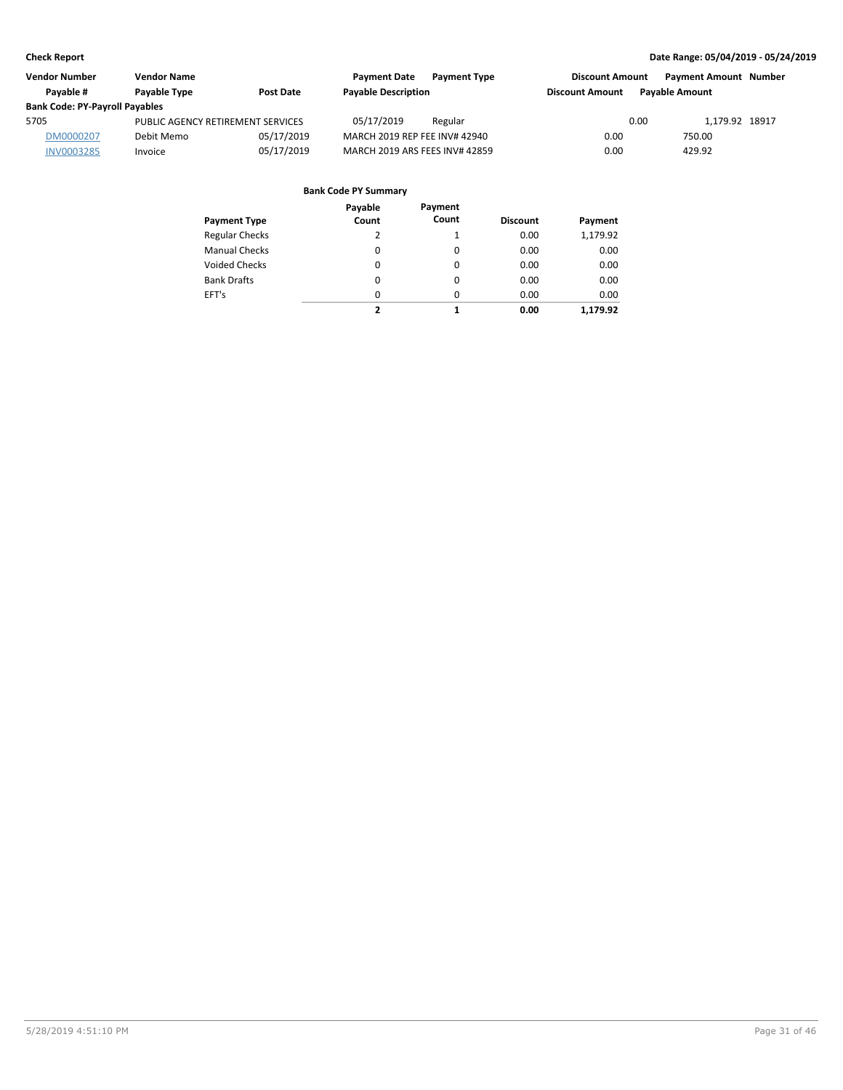| <b>Vendor Number</b>                  | <b>Vendor Name</b>                |            | <b>Payment Date</b>            | <b>Payment Type</b> | <b>Discount Amount</b> |                       | <b>Payment Amount Number</b> |  |
|---------------------------------------|-----------------------------------|------------|--------------------------------|---------------------|------------------------|-----------------------|------------------------------|--|
| Pavable #                             | Payable Type                      | Post Date  | <b>Payable Description</b>     |                     | <b>Discount Amount</b> | <b>Pavable Amount</b> |                              |  |
| <b>Bank Code: PY-Payroll Payables</b> |                                   |            |                                |                     |                        |                       |                              |  |
| 5705                                  | PUBLIC AGENCY RETIREMENT SERVICES |            | 05/17/2019                     | Regular             |                        | 0.00                  | 1.179.92 18917               |  |
| DM0000207                             | Debit Memo                        | 05/17/2019 | MARCH 2019 REP FEE INV# 42940  |                     | 0.00                   | 750.00                |                              |  |
| <b>INV0003285</b>                     | Invoice                           | 05/17/2019 | MARCH 2019 ARS FEES INV# 42859 |                     | 0.00                   | 429.92                |                              |  |

| Payment Type          | Payable<br>Count | Payment<br>Count | <b>Discount</b> | Payment  |
|-----------------------|------------------|------------------|-----------------|----------|
| <b>Regular Checks</b> | 2                | 1                | 0.00            | 1,179.92 |
| <b>Manual Checks</b>  | 0                | 0                | 0.00            | 0.00     |
| Voided Checks         | 0                | 0                | 0.00            | 0.00     |
| <b>Bank Drafts</b>    | $\Omega$         | $\Omega$         | 0.00            | 0.00     |
| EFT's                 | 0                | 0                | 0.00            | 0.00     |
|                       | 2                | 1                | 0.00            | 1.179.92 |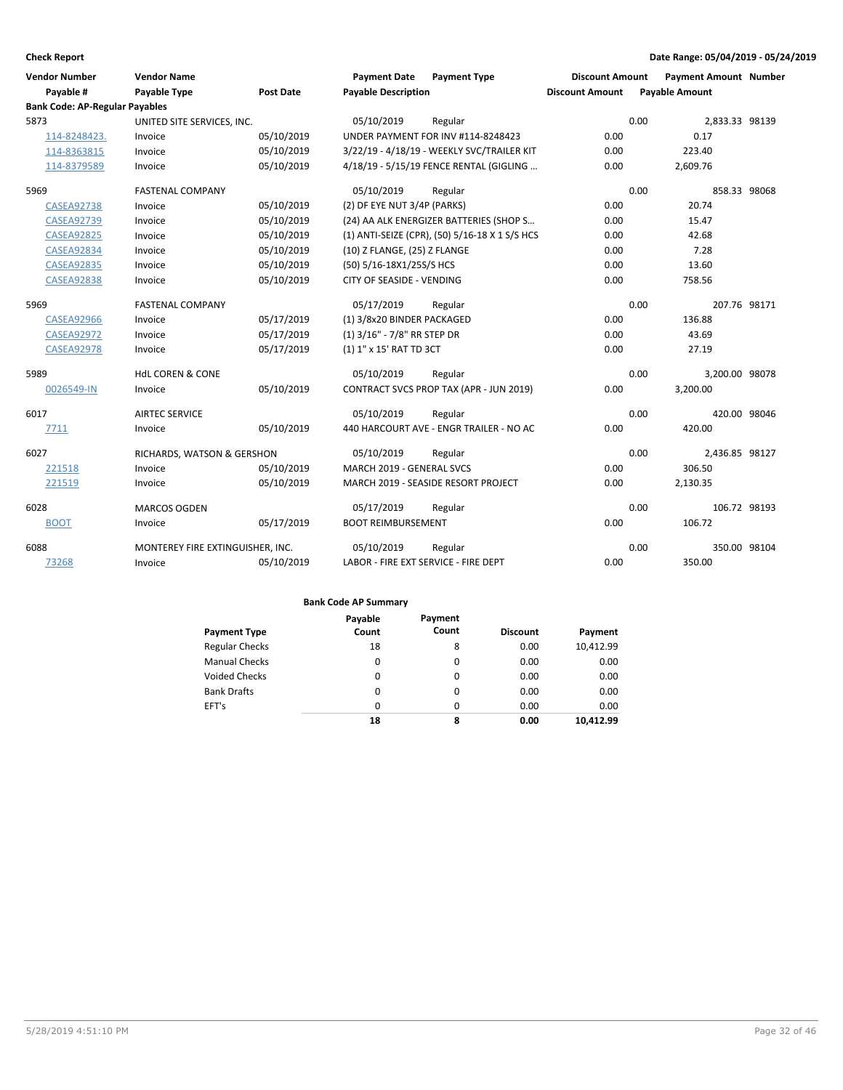| <b>Vendor Number</b><br>Payable #     | <b>Vendor Name</b><br>Payable Type | <b>Post Date</b> | <b>Payment Date</b><br><b>Payable Description</b> | <b>Payment Type</b>                            | <b>Discount Amount</b><br><b>Discount Amount</b> | <b>Payment Amount Number</b><br><b>Payable Amount</b> |              |
|---------------------------------------|------------------------------------|------------------|---------------------------------------------------|------------------------------------------------|--------------------------------------------------|-------------------------------------------------------|--------------|
| <b>Bank Code: AP-Regular Payables</b> |                                    |                  |                                                   |                                                |                                                  |                                                       |              |
| 5873                                  | UNITED SITE SERVICES, INC.         |                  | 05/10/2019                                        | Regular                                        |                                                  | 0.00<br>2,833.33 98139                                |              |
| 114-8248423.                          | Invoice                            | 05/10/2019       |                                                   | UNDER PAYMENT FOR INV #114-8248423             | 0.00                                             | 0.17                                                  |              |
| 114-8363815                           | Invoice                            | 05/10/2019       |                                                   | 3/22/19 - 4/18/19 - WEEKLY SVC/TRAILER KIT     | 0.00                                             | 223.40                                                |              |
| 114-8379589                           | Invoice                            | 05/10/2019       |                                                   | 4/18/19 - 5/15/19 FENCE RENTAL (GIGLING        | 0.00                                             | 2,609.76                                              |              |
| 5969                                  | <b>FASTENAL COMPANY</b>            |                  | 05/10/2019                                        | Regular                                        |                                                  | 0.00<br>858.33 98068                                  |              |
| <b>CASEA92738</b>                     | Invoice                            | 05/10/2019       | (2) DF EYE NUT 3/4P (PARKS)                       |                                                | 0.00                                             | 20.74                                                 |              |
| <b>CASEA92739</b>                     | Invoice                            | 05/10/2019       |                                                   | (24) AA ALK ENERGIZER BATTERIES (SHOP S        | 0.00                                             | 15.47                                                 |              |
| <b>CASEA92825</b>                     | Invoice                            | 05/10/2019       |                                                   | (1) ANTI-SEIZE (CPR), (50) 5/16-18 X 1 S/S HCS | 0.00                                             | 42.68                                                 |              |
| <b>CASEA92834</b>                     | Invoice                            | 05/10/2019       | (10) Z FLANGE, (25) Z FLANGE                      |                                                | 0.00                                             | 7.28                                                  |              |
| <b>CASEA92835</b>                     | Invoice                            | 05/10/2019       | (50) 5/16-18X1/25S/S HCS                          |                                                | 0.00                                             | 13.60                                                 |              |
| <b>CASEA92838</b>                     | Invoice                            | 05/10/2019       | CITY OF SEASIDE - VENDING                         |                                                | 0.00                                             | 758.56                                                |              |
| 5969                                  | <b>FASTENAL COMPANY</b>            |                  | 05/17/2019                                        | Regular                                        |                                                  | 0.00                                                  | 207.76 98171 |
| <b>CASEA92966</b>                     | Invoice                            | 05/17/2019       | (1) 3/8x20 BINDER PACKAGED                        |                                                | 0.00                                             | 136.88                                                |              |
| <b>CASEA92972</b>                     | Invoice                            | 05/17/2019       | (1) 3/16" - 7/8" RR STEP DR                       |                                                | 0.00                                             | 43.69                                                 |              |
| <b>CASEA92978</b>                     | Invoice                            | 05/17/2019       | (1) 1" x 15' RAT TD 3CT                           |                                                | 0.00                                             | 27.19                                                 |              |
| 5989                                  | <b>HdL COREN &amp; CONE</b>        |                  | 05/10/2019                                        | Regular                                        |                                                  | 0.00<br>3,200.00 98078                                |              |
| 0026549-IN                            | Invoice                            | 05/10/2019       |                                                   | CONTRACT SVCS PROP TAX (APR - JUN 2019)        | 0.00                                             | 3,200.00                                              |              |
| 6017                                  | <b>AIRTEC SERVICE</b>              |                  | 05/10/2019                                        | Regular                                        |                                                  | 0.00<br>420.00 98046                                  |              |
| 7711                                  | Invoice                            | 05/10/2019       |                                                   | 440 HARCOURT AVE - ENGR TRAILER - NO AC        | 0.00                                             | 420.00                                                |              |
| 6027                                  | RICHARDS, WATSON & GERSHON         |                  | 05/10/2019                                        | Regular                                        |                                                  | 0.00<br>2,436.85 98127                                |              |
| 221518                                | Invoice                            | 05/10/2019       | MARCH 2019 - GENERAL SVCS                         |                                                | 0.00                                             | 306.50                                                |              |
| 221519                                | Invoice                            | 05/10/2019       |                                                   | MARCH 2019 - SEASIDE RESORT PROJECT            | 0.00                                             | 2,130.35                                              |              |
| 6028                                  | <b>MARCOS OGDEN</b>                |                  | 05/17/2019                                        | Regular                                        |                                                  | 0.00<br>106.72 98193                                  |              |
| <b>BOOT</b>                           | Invoice                            | 05/17/2019       | <b>BOOT REIMBURSEMENT</b>                         |                                                | 0.00                                             | 106.72                                                |              |
| 6088                                  | MONTEREY FIRE EXTINGUISHER, INC.   |                  | 05/10/2019                                        | Regular                                        |                                                  | 0.00                                                  | 350.00 98104 |
| 73268                                 | Invoice                            | 05/10/2019       | LABOR - FIRE EXT SERVICE - FIRE DEPT              |                                                | 0.00                                             | 350.00                                                |              |

|                       | Payable  | Payment  |                 |           |
|-----------------------|----------|----------|-----------------|-----------|
| <b>Payment Type</b>   | Count    | Count    | <b>Discount</b> | Payment   |
| <b>Regular Checks</b> | 18       | 8        | 0.00            | 10,412.99 |
| <b>Manual Checks</b>  | $\Omega$ | $\Omega$ | 0.00            | 0.00      |
| <b>Voided Checks</b>  | $\Omega$ | $\Omega$ | 0.00            | 0.00      |
| <b>Bank Drafts</b>    | 0        | 0        | 0.00            | 0.00      |
| EFT's                 | $\Omega$ | $\Omega$ | 0.00            | 0.00      |
|                       | 18       | 8        | 0.00            | 10.412.99 |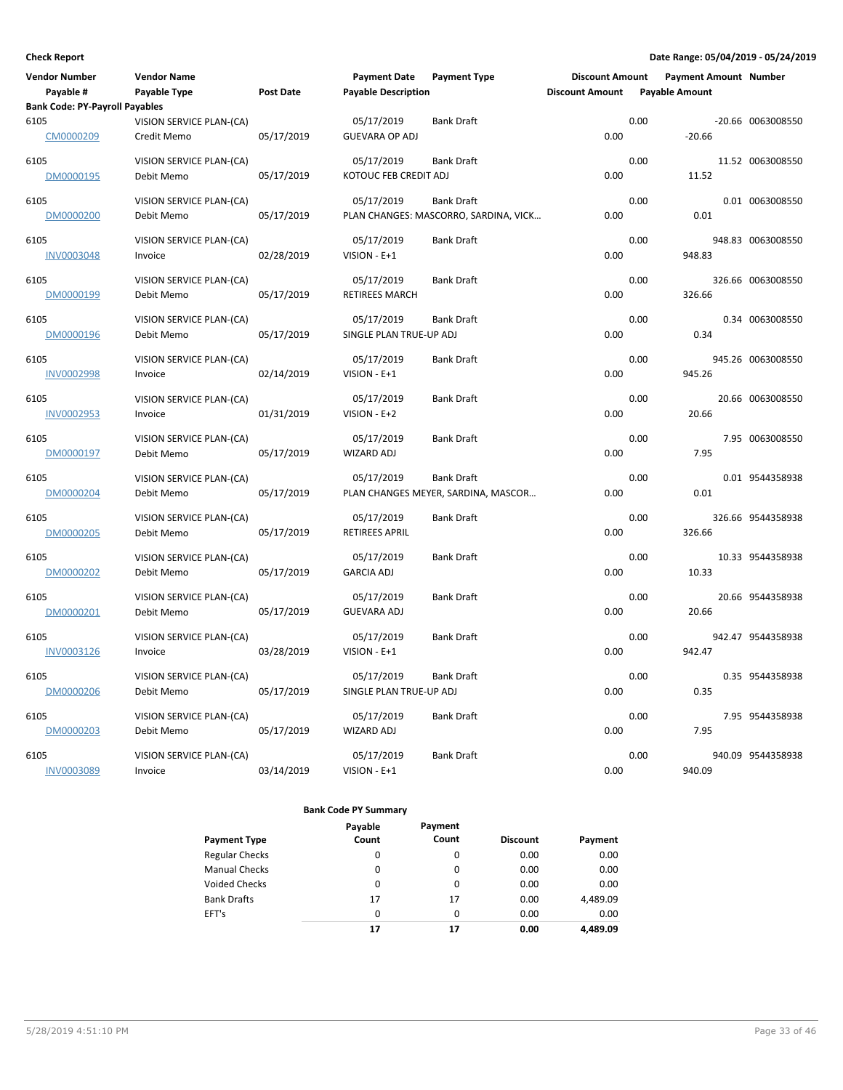| <b>Vendor Number</b>                  | <b>Vendor Name</b>                     |                  | <b>Payment Date</b>        | <b>Payment Type</b>                   | <b>Discount Amount</b> |                       | <b>Payment Amount Number</b> |                   |
|---------------------------------------|----------------------------------------|------------------|----------------------------|---------------------------------------|------------------------|-----------------------|------------------------------|-------------------|
| Payable #                             | Payable Type                           | <b>Post Date</b> | <b>Payable Description</b> |                                       | <b>Discount Amount</b> | <b>Payable Amount</b> |                              |                   |
| <b>Bank Code: PY-Payroll Payables</b> |                                        |                  |                            |                                       |                        |                       |                              |                   |
| 6105                                  | VISION SERVICE PLAN-(CA)               |                  | 05/17/2019                 | <b>Bank Draft</b>                     |                        | 0.00                  |                              | -20.66 0063008550 |
| CM0000209                             | Credit Memo                            | 05/17/2019       | <b>GUEVARA OP ADJ</b>      |                                       | 0.00                   |                       | $-20.66$                     |                   |
| 6105                                  | VISION SERVICE PLAN-(CA)               |                  | 05/17/2019                 | <b>Bank Draft</b>                     |                        | 0.00                  |                              | 11.52 0063008550  |
| DM0000195                             | Debit Memo                             | 05/17/2019       | KOTOUC FEB CREDIT ADJ      |                                       | 0.00                   |                       | 11.52                        |                   |
| 6105                                  | VISION SERVICE PLAN-(CA)               |                  | 05/17/2019                 | <b>Bank Draft</b>                     |                        | 0.00                  |                              | 0.01 0063008550   |
| DM0000200                             | Debit Memo                             | 05/17/2019       |                            | PLAN CHANGES: MASCORRO, SARDINA, VICK | 0.00                   |                       | 0.01                         |                   |
|                                       |                                        |                  |                            |                                       |                        |                       |                              |                   |
| 6105<br><b>INV0003048</b>             | VISION SERVICE PLAN-(CA)<br>Invoice    | 02/28/2019       | 05/17/2019<br>VISION - E+1 | <b>Bank Draft</b>                     | 0.00                   | 0.00                  | 948.83                       | 948.83 0063008550 |
|                                       |                                        |                  |                            |                                       |                        |                       |                              |                   |
| 6105                                  | VISION SERVICE PLAN-(CA)               |                  | 05/17/2019                 | <b>Bank Draft</b>                     |                        | 0.00                  |                              | 326.66 0063008550 |
| DM0000199                             | Debit Memo                             | 05/17/2019       | <b>RETIREES MARCH</b>      |                                       | 0.00                   |                       | 326.66                       |                   |
| 6105                                  | VISION SERVICE PLAN-(CA)               |                  | 05/17/2019                 | <b>Bank Draft</b>                     |                        | 0.00                  |                              | 0.34 0063008550   |
| DM0000196                             | Debit Memo                             | 05/17/2019       | SINGLE PLAN TRUE-UP ADJ    |                                       | 0.00                   |                       | 0.34                         |                   |
|                                       |                                        |                  |                            | <b>Bank Draft</b>                     |                        | 0.00                  |                              |                   |
| 6105<br><b>INV0002998</b>             | VISION SERVICE PLAN-(CA)<br>Invoice    | 02/14/2019       | 05/17/2019<br>VISION - E+1 |                                       | 0.00                   |                       | 945.26                       | 945.26 0063008550 |
|                                       |                                        |                  |                            |                                       |                        |                       |                              |                   |
| 6105                                  | VISION SERVICE PLAN-(CA)               |                  | 05/17/2019                 | <b>Bank Draft</b>                     |                        | 0.00                  |                              | 20.66 0063008550  |
| <b>INV0002953</b>                     | Invoice                                | 01/31/2019       | VISION - E+2               |                                       | 0.00                   |                       | 20.66                        |                   |
| 6105                                  | VISION SERVICE PLAN-(CA)               |                  | 05/17/2019                 | <b>Bank Draft</b>                     |                        | 0.00                  |                              | 7.95 0063008550   |
| DM0000197                             | Debit Memo                             | 05/17/2019       | <b>WIZARD ADJ</b>          |                                       | 0.00                   |                       | 7.95                         |                   |
| 6105                                  |                                        |                  | 05/17/2019                 | <b>Bank Draft</b>                     |                        | 0.00                  |                              | 0.01 9544358938   |
| DM0000204                             | VISION SERVICE PLAN-(CA)<br>Debit Memo | 05/17/2019       |                            | PLAN CHANGES MEYER, SARDINA, MASCOR   | 0.00                   |                       | 0.01                         |                   |
|                                       |                                        |                  |                            |                                       |                        |                       |                              |                   |
| 6105                                  | VISION SERVICE PLAN-(CA)               |                  | 05/17/2019                 | <b>Bank Draft</b>                     |                        | 0.00                  |                              | 326.66 9544358938 |
| DM0000205                             | Debit Memo                             | 05/17/2019       | <b>RETIREES APRIL</b>      |                                       | 0.00                   |                       | 326.66                       |                   |
| 6105                                  | VISION SERVICE PLAN-(CA)               |                  | 05/17/2019                 | <b>Bank Draft</b>                     |                        | 0.00                  |                              | 10.33 9544358938  |
| DM0000202                             | Debit Memo                             | 05/17/2019       | <b>GARCIA ADJ</b>          |                                       | 0.00                   |                       | 10.33                        |                   |
| 6105                                  | VISION SERVICE PLAN-(CA)               |                  | 05/17/2019                 | <b>Bank Draft</b>                     |                        | 0.00                  |                              | 20.66 9544358938  |
| DM0000201                             | Debit Memo                             | 05/17/2019       | <b>GUEVARA ADJ</b>         |                                       | 0.00                   |                       | 20.66                        |                   |
|                                       |                                        |                  |                            |                                       |                        |                       |                              |                   |
| 6105                                  | VISION SERVICE PLAN-(CA)               |                  | 05/17/2019                 | <b>Bank Draft</b>                     |                        | 0.00                  |                              | 942.47 9544358938 |
| INV0003126                            | Invoice                                | 03/28/2019       | VISION - E+1               |                                       | 0.00                   |                       | 942.47                       |                   |
| 6105                                  | <b>VISION SERVICE PLAN-(CA)</b>        |                  | 05/17/2019                 | <b>Bank Draft</b>                     |                        | 0.00                  |                              | 0.35 9544358938   |
| DM0000206                             | Debit Memo                             | 05/17/2019       | SINGLE PLAN TRUE-UP ADJ    |                                       | 0.00                   |                       | 0.35                         |                   |
| 6105                                  | VISION SERVICE PLAN-(CA)               |                  | 05/17/2019                 | <b>Bank Draft</b>                     |                        | 0.00                  |                              | 7.95 9544358938   |
| DM0000203                             | Debit Memo                             | 05/17/2019       | <b>WIZARD ADJ</b>          |                                       | 0.00                   |                       | 7.95                         |                   |
|                                       |                                        |                  |                            |                                       |                        |                       |                              |                   |
| 6105                                  | VISION SERVICE PLAN-(CA)               |                  | 05/17/2019                 | <b>Bank Draft</b>                     |                        | 0.00                  |                              | 940.09 9544358938 |
| <b>INV0003089</b>                     | Invoice                                | 03/14/2019       | VISION - E+1               |                                       | 0.00                   |                       | 940.09                       |                   |

| <b>Payment Type</b>   | Payable<br>Count | Payment<br>Count | <b>Discount</b> | Payment  |
|-----------------------|------------------|------------------|-----------------|----------|
| <b>Regular Checks</b> | 0                | 0                | 0.00            | 0.00     |
| <b>Manual Checks</b>  | 0                | 0                | 0.00            | 0.00     |
| Voided Checks         | 0                | 0                | 0.00            | 0.00     |
| <b>Bank Drafts</b>    | 17               | 17               | 0.00            | 4,489.09 |
| EFT's                 | $\Omega$         | $\Omega$         | 0.00            | 0.00     |
|                       | 17               | 17               | 0.00            | 4.489.09 |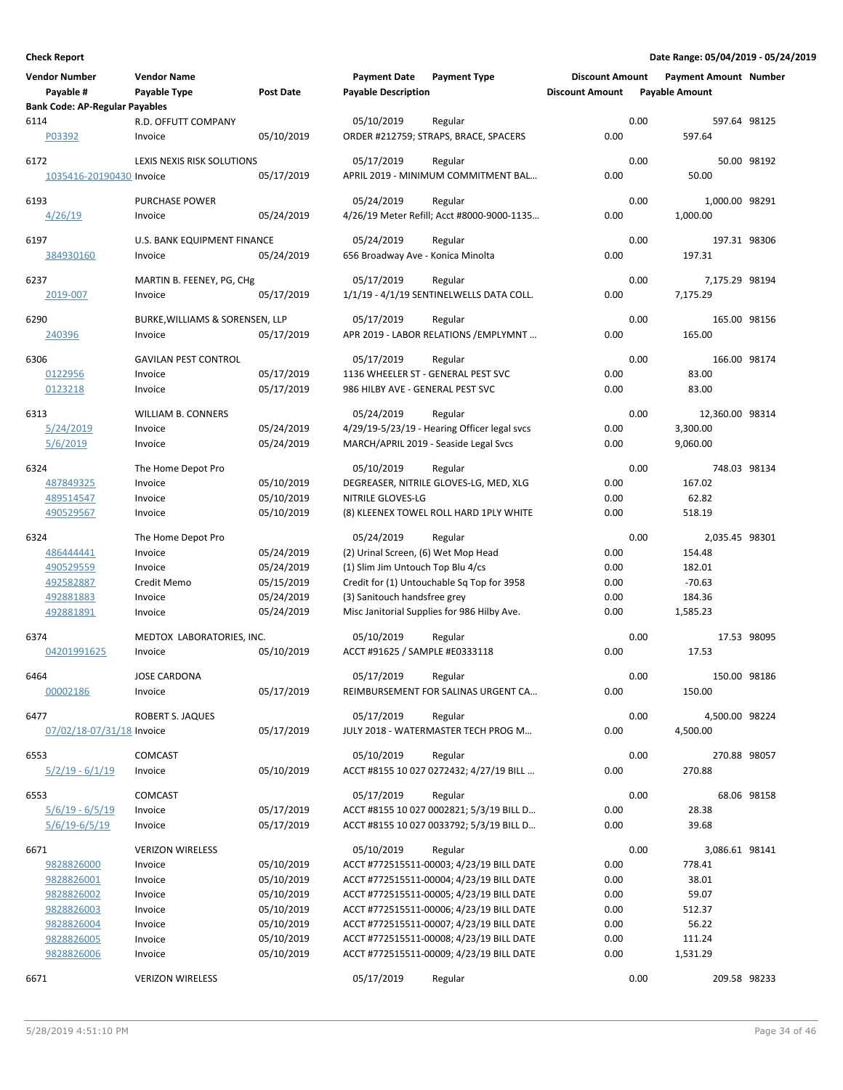| <b>Vendor Number</b>                                   | <b>Vendor Name</b>                         |                          | <b>Payment Date</b>                                                    | <b>Payment Type</b>                              | <b>Discount Amount</b> |      | <b>Payment Amount Number</b> |             |
|--------------------------------------------------------|--------------------------------------------|--------------------------|------------------------------------------------------------------------|--------------------------------------------------|------------------------|------|------------------------------|-------------|
| Payable #<br><b>Bank Code: AP-Regular Payables</b>     | Payable Type                               | Post Date                | <b>Payable Description</b>                                             |                                                  | <b>Discount Amount</b> |      | <b>Payable Amount</b>        |             |
| 6114                                                   | R.D. OFFUTT COMPANY                        |                          | 05/10/2019                                                             | Regular                                          |                        | 0.00 | 597.64 98125                 |             |
| P03392                                                 | Invoice                                    | 05/10/2019               |                                                                        | ORDER #212759; STRAPS, BRACE, SPACERS            | 0.00                   |      | 597.64                       |             |
| 6172                                                   | LEXIS NEXIS RISK SOLUTIONS                 |                          | 05/17/2019                                                             | Regular                                          |                        | 0.00 |                              | 50.00 98192 |
| 1035416-20190430 Invoice                               |                                            | 05/17/2019               |                                                                        | APRIL 2019 - MINIMUM COMMITMENT BAL              | 0.00                   |      | 50.00                        |             |
| 6193                                                   | <b>PURCHASE POWER</b>                      |                          | 05/24/2019                                                             | Regular                                          |                        | 0.00 | 1,000.00 98291               |             |
| 4/26/19                                                | Invoice                                    | 05/24/2019               |                                                                        | 4/26/19 Meter Refill; Acct #8000-9000-1135       | 0.00                   |      | 1,000.00                     |             |
| 6197                                                   | U.S. BANK EQUIPMENT FINANCE                |                          | 05/24/2019                                                             | Regular                                          |                        | 0.00 | 197.31 98306                 |             |
| 384930160                                              | Invoice                                    | 05/24/2019               | 656 Broadway Ave - Konica Minolta                                      |                                                  | 0.00                   |      | 197.31                       |             |
| 6237                                                   | MARTIN B. FEENEY, PG, CHg                  |                          | 05/17/2019                                                             | Regular                                          |                        | 0.00 | 7,175.29 98194               |             |
| 2019-007                                               | Invoice                                    | 05/17/2019               |                                                                        | 1/1/19 - 4/1/19 SENTINELWELLS DATA COLL.         | 0.00                   |      | 7,175.29                     |             |
|                                                        |                                            |                          |                                                                        |                                                  |                        |      |                              |             |
| 6290<br>240396                                         | BURKE, WILLIAMS & SORENSEN, LLP<br>Invoice | 05/17/2019               | 05/17/2019                                                             | Regular<br>APR 2019 - LABOR RELATIONS / EMPLYMNT | 0.00                   | 0.00 | 165.00 98156<br>165.00       |             |
|                                                        |                                            |                          |                                                                        |                                                  |                        |      |                              |             |
| 6306                                                   | <b>GAVILAN PEST CONTROL</b>                |                          | 05/17/2019                                                             | Regular                                          |                        | 0.00 | 166.00 98174                 |             |
| 0122956<br>0123218                                     | Invoice<br>Invoice                         | 05/17/2019<br>05/17/2019 | 1136 WHEELER ST - GENERAL PEST SVC<br>986 HILBY AVE - GENERAL PEST SVC |                                                  | 0.00<br>0.00           |      | 83.00<br>83.00               |             |
|                                                        |                                            |                          |                                                                        |                                                  |                        |      |                              |             |
| 6313                                                   | <b>WILLIAM B. CONNERS</b>                  |                          | 05/24/2019                                                             | Regular                                          |                        | 0.00 | 12,360.00 98314              |             |
| 5/24/2019                                              | Invoice                                    | 05/24/2019               |                                                                        | 4/29/19-5/23/19 - Hearing Officer legal svcs     | 0.00                   |      | 3,300.00                     |             |
| 5/6/2019                                               | Invoice                                    | 05/24/2019               |                                                                        | MARCH/APRIL 2019 - Seaside Legal Svcs            | 0.00                   |      | 9,060.00                     |             |
| 6324                                                   | The Home Depot Pro                         |                          | 05/10/2019                                                             | Regular                                          |                        | 0.00 | 748.03 98134                 |             |
| 487849325                                              | Invoice                                    | 05/10/2019               |                                                                        | DEGREASER, NITRILE GLOVES-LG, MED, XLG           | 0.00                   |      | 167.02                       |             |
| 489514547                                              | Invoice                                    | 05/10/2019               | NITRILE GLOVES-LG                                                      |                                                  | 0.00                   |      | 62.82                        |             |
| 490529567                                              | Invoice                                    | 05/10/2019               |                                                                        | (8) KLEENEX TOWEL ROLL HARD 1PLY WHITE           | 0.00                   |      | 518.19                       |             |
| 6324                                                   | The Home Depot Pro                         |                          | 05/24/2019                                                             | Regular                                          |                        | 0.00 | 2,035.45 98301               |             |
| 486444441                                              | Invoice                                    | 05/24/2019               | (2) Urinal Screen, (6) Wet Mop Head                                    |                                                  | 0.00                   |      | 154.48                       |             |
| 490529559<br>492582887                                 | Invoice<br>Credit Memo                     | 05/24/2019<br>05/15/2019 | (1) Slim Jim Untouch Top Blu 4/cs                                      | Credit for (1) Untouchable Sq Top for 3958       | 0.00<br>0.00           |      | 182.01<br>$-70.63$           |             |
| 492881883                                              | Invoice                                    | 05/24/2019               | (3) Sanitouch handsfree grey                                           |                                                  | 0.00                   |      | 184.36                       |             |
| 492881891                                              | Invoice                                    | 05/24/2019               |                                                                        | Misc Janitorial Supplies for 986 Hilby Ave.      | 0.00                   |      | 1,585.23                     |             |
| 6374                                                   | MEDTOX LABORATORIES, INC.                  |                          | 05/10/2019                                                             | Regular                                          |                        | 0.00 |                              | 17.53 98095 |
| 04201991625                                            | Invoice                                    | 05/10/2019               | ACCT #91625 / SAMPLE #E0333118                                         |                                                  | 0.00                   |      | 17.53                        |             |
|                                                        |                                            |                          |                                                                        |                                                  |                        |      |                              |             |
| 6464<br>00002186                                       | <b>JOSE CARDONA</b><br>Invoice             | 05/17/2019               | 05/17/2019                                                             | Regular<br>REIMBURSEMENT FOR SALINAS URGENT CA   | 0.00                   | 0.00 | 150.00 98186<br>150.00       |             |
|                                                        |                                            |                          |                                                                        |                                                  |                        |      |                              |             |
| 6477                                                   | ROBERT S. JAQUES                           |                          | 05/17/2019                                                             | Regular                                          |                        | 0.00 | 4,500.00 98224               |             |
| 07/02/18-07/31/18 Invoice                              |                                            | 05/17/2019               |                                                                        | JULY 2018 - WATERMASTER TECH PROG M              | 0.00                   |      | 4,500.00                     |             |
| 6553                                                   | COMCAST                                    |                          | 05/10/2019                                                             | Regular                                          |                        | 0.00 | 270.88 98057                 |             |
| $\frac{5}{2}/\frac{2}{19} - \frac{6}{1}/\frac{19}{19}$ | Invoice                                    | 05/10/2019               |                                                                        | ACCT #8155 10 027 0272432; 4/27/19 BILL          | 0.00                   |      | 270.88                       |             |
| 6553                                                   | <b>COMCAST</b>                             |                          | 05/17/2019                                                             | Regular                                          |                        | 0.00 |                              | 68.06 98158 |
| $5/6/19 - 6/5/19$                                      | Invoice                                    | 05/17/2019               |                                                                        | ACCT #8155 10 027 0002821; 5/3/19 BILL D         | 0.00                   |      | 28.38                        |             |
| $5/6/19-6/5/19$                                        | Invoice                                    | 05/17/2019               |                                                                        | ACCT #8155 10 027 0033792; 5/3/19 BILL D         | 0.00                   |      | 39.68                        |             |
| 6671                                                   | <b>VERIZON WIRELESS</b>                    |                          | 05/10/2019                                                             | Regular                                          |                        | 0.00 | 3,086.61 98141               |             |
| 9828826000                                             | Invoice                                    | 05/10/2019               |                                                                        | ACCT #772515511-00003; 4/23/19 BILL DATE         | 0.00                   |      | 778.41                       |             |
| 9828826001                                             | Invoice                                    | 05/10/2019               |                                                                        | ACCT #772515511-00004; 4/23/19 BILL DATE         | 0.00                   |      | 38.01                        |             |
| 9828826002                                             | Invoice                                    | 05/10/2019               |                                                                        | ACCT #772515511-00005; 4/23/19 BILL DATE         | 0.00                   |      | 59.07                        |             |
| 9828826003                                             | Invoice                                    | 05/10/2019               |                                                                        | ACCT #772515511-00006; 4/23/19 BILL DATE         | 0.00                   |      | 512.37                       |             |
| 9828826004                                             | Invoice                                    | 05/10/2019               |                                                                        | ACCT #772515511-00007; 4/23/19 BILL DATE         | 0.00                   |      | 56.22                        |             |
| 9828826005                                             | Invoice                                    | 05/10/2019               |                                                                        | ACCT #772515511-00008; 4/23/19 BILL DATE         | 0.00                   |      | 111.24                       |             |
| 9828826006                                             | Invoice                                    | 05/10/2019               |                                                                        | ACCT #772515511-00009; 4/23/19 BILL DATE         | 0.00                   |      | 1,531.29                     |             |
| 6671                                                   | <b>VERIZON WIRELESS</b>                    |                          | 05/17/2019                                                             | Regular                                          |                        | 0.00 | 209.58 98233                 |             |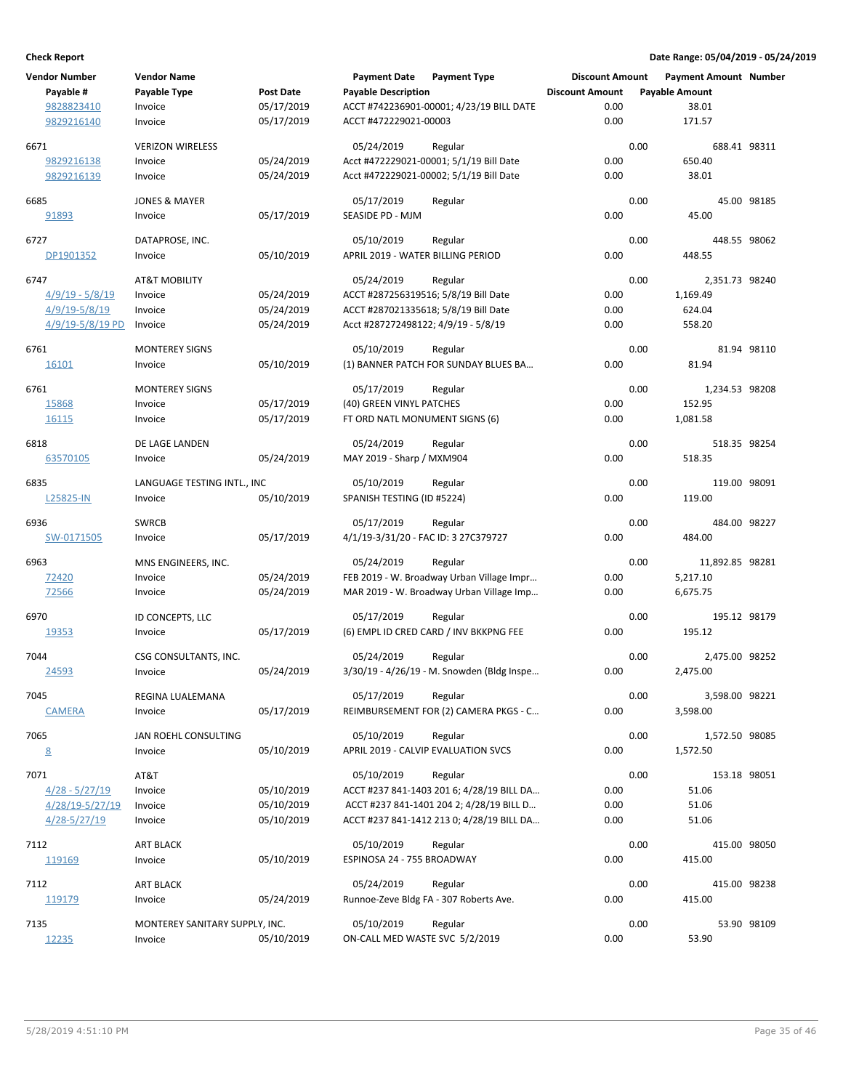| <b>Vendor Number</b> | <b>Vendor Name</b>             |            | <b>Payment Date</b>                  | <b>Payment Type</b>                        | <b>Discount Amount</b> |      | Payment Amount Number |             |
|----------------------|--------------------------------|------------|--------------------------------------|--------------------------------------------|------------------------|------|-----------------------|-------------|
| Payable #            | Payable Type                   | Post Date  | <b>Payable Description</b>           |                                            | <b>Discount Amount</b> |      | <b>Payable Amount</b> |             |
| 9828823410           | Invoice                        | 05/17/2019 |                                      | ACCT #742236901-00001; 4/23/19 BILL DATE   | 0.00                   |      | 38.01                 |             |
| 9829216140           | Invoice                        | 05/17/2019 | ACCT #472229021-00003                |                                            | 0.00                   |      | 171.57                |             |
|                      |                                |            |                                      |                                            |                        |      |                       |             |
| 6671                 | <b>VERIZON WIRELESS</b>        |            | 05/24/2019                           | Regular                                    |                        | 0.00 | 688.41 98311          |             |
| 9829216138           | Invoice                        | 05/24/2019 |                                      | Acct #472229021-00001; 5/1/19 Bill Date    | 0.00                   |      | 650.40                |             |
| 9829216139           | Invoice                        | 05/24/2019 |                                      | Acct #472229021-00002; 5/1/19 Bill Date    | 0.00                   |      | 38.01                 |             |
| 6685                 | <b>JONES &amp; MAYER</b>       |            | 05/17/2019                           | Regular                                    |                        | 0.00 |                       | 45.00 98185 |
| 91893                | Invoice                        | 05/17/2019 | SEASIDE PD - MJM                     |                                            | 0.00                   |      | 45.00                 |             |
|                      |                                |            |                                      |                                            |                        |      |                       |             |
| 6727                 | DATAPROSE, INC.                |            | 05/10/2019                           | Regular                                    |                        | 0.00 | 448.55 98062          |             |
| DP1901352            | Invoice                        | 05/10/2019 | APRIL 2019 - WATER BILLING PERIOD    |                                            | 0.00                   |      | 448.55                |             |
| 6747                 | <b>AT&amp;T MOBILITY</b>       |            | 05/24/2019                           | Regular                                    |                        | 0.00 | 2,351.73 98240        |             |
| $4/9/19 - 5/8/19$    | Invoice                        | 05/24/2019 |                                      | ACCT #287256319516; 5/8/19 Bill Date       | 0.00                   |      | 1,169.49              |             |
| 4/9/19-5/8/19        | Invoice                        | 05/24/2019 |                                      | ACCT #287021335618; 5/8/19 Bill Date       | 0.00                   |      | 624.04                |             |
| $4/9/19 - 5/8/19$ PD | Invoice                        | 05/24/2019 | Acct #287272498122; 4/9/19 - 5/8/19  |                                            | 0.00                   |      | 558.20                |             |
|                      |                                |            |                                      |                                            |                        |      |                       |             |
| 6761                 | <b>MONTEREY SIGNS</b>          |            | 05/10/2019                           | Regular                                    |                        | 0.00 |                       | 81.94 98110 |
| 16101                | Invoice                        | 05/10/2019 |                                      | (1) BANNER PATCH FOR SUNDAY BLUES BA       | 0.00                   |      | 81.94                 |             |
|                      |                                |            |                                      |                                            |                        |      |                       |             |
| 6761                 | <b>MONTEREY SIGNS</b>          |            | 05/17/2019                           | Regular                                    |                        | 0.00 | 1,234.53 98208        |             |
| 15868                | Invoice                        | 05/17/2019 | (40) GREEN VINYL PATCHES             |                                            | 0.00                   |      | 152.95                |             |
| 16115                | Invoice                        | 05/17/2019 | FT ORD NATL MONUMENT SIGNS (6)       |                                            | 0.00                   |      | 1,081.58              |             |
| 6818                 | DE LAGE LANDEN                 |            | 05/24/2019                           | Regular                                    |                        | 0.00 | 518.35 98254          |             |
| 63570105             | Invoice                        | 05/24/2019 | MAY 2019 - Sharp / MXM904            |                                            | 0.00                   |      | 518.35                |             |
|                      |                                |            |                                      |                                            |                        |      |                       |             |
| 6835                 | LANGUAGE TESTING INTL., INC    |            | 05/10/2019                           | Regular                                    |                        | 0.00 | 119.00 98091          |             |
| L25825-IN            | Invoice                        | 05/10/2019 | SPANISH TESTING (ID #5224)           |                                            | 0.00                   |      | 119.00                |             |
| 6936                 | <b>SWRCB</b>                   |            | 05/17/2019                           | Regular                                    |                        | 0.00 | 484.00 98227          |             |
| SW-0171505           | Invoice                        | 05/17/2019 | 4/1/19-3/31/20 - FAC ID: 3 27C379727 |                                            | 0.00                   |      | 484.00                |             |
|                      |                                |            |                                      |                                            |                        |      |                       |             |
| 6963                 | MNS ENGINEERS, INC.            |            | 05/24/2019                           | Regular                                    |                        | 0.00 | 11,892.85 98281       |             |
| 72420                | Invoice                        | 05/24/2019 |                                      | FEB 2019 - W. Broadway Urban Village Impr  | 0.00                   |      | 5,217.10              |             |
| 72566                | Invoice                        | 05/24/2019 |                                      | MAR 2019 - W. Broadway Urban Village Imp   | 0.00                   |      | 6,675.75              |             |
| 6970                 | ID CONCEPTS, LLC               |            | 05/17/2019                           | Regular                                    |                        | 0.00 | 195.12 98179          |             |
| 19353                | Invoice                        | 05/17/2019 |                                      | (6) EMPL ID CRED CARD / INV BKKPNG FEE     | 0.00                   |      | 195.12                |             |
|                      |                                |            |                                      |                                            |                        |      |                       |             |
| 7044                 | CSG CONSULTANTS, INC.          |            | 05/24/2019                           | Regular                                    |                        | 0.00 | 2,475.00 98252        |             |
| 24593                | Invoice                        | 05/24/2019 |                                      | 3/30/19 - 4/26/19 - M. Snowden (Bldg Inspe | 0.00                   |      | 2,475.00              |             |
| 7045                 | REGINA LUALEMANA               |            | 05/17/2019                           | Regular                                    |                        | 0.00 | 3,598.00 98221        |             |
| <b>CAMERA</b>        | Invoice                        | 05/17/2019 |                                      | REIMBURSEMENT FOR (2) CAMERA PKGS - C      | 0.00                   |      | 3,598.00              |             |
|                      |                                |            |                                      |                                            |                        |      |                       |             |
| 7065                 | JAN ROEHL CONSULTING           |            | 05/10/2019                           | Regular                                    |                        | 0.00 | 1,572.50 98085        |             |
| $\underline{8}$      | Invoice                        | 05/10/2019 |                                      | APRIL 2019 - CALVIP EVALUATION SVCS        | 0.00                   |      | 1,572.50              |             |
| 7071                 | AT&T                           |            | 05/10/2019                           | Regular                                    |                        | 0.00 | 153.18 98051          |             |
| $4/28 - 5/27/19$     | Invoice                        | 05/10/2019 |                                      | ACCT #237 841-1403 201 6; 4/28/19 BILL DA  | 0.00                   |      | 51.06                 |             |
| 4/28/19-5/27/19      |                                | 05/10/2019 |                                      | ACCT #237 841-1401 204 2; 4/28/19 BILL D   | 0.00                   |      | 51.06                 |             |
|                      | Invoice                        |            |                                      |                                            |                        |      |                       |             |
| $4/28 - 5/27/19$     | Invoice                        | 05/10/2019 |                                      | ACCT #237 841-1412 213 0; 4/28/19 BILL DA  | 0.00                   |      | 51.06                 |             |
| 7112                 | <b>ART BLACK</b>               |            | 05/10/2019                           | Regular                                    |                        | 0.00 | 415.00 98050          |             |
| 119169               | Invoice                        | 05/10/2019 | ESPINOSA 24 - 755 BROADWAY           |                                            | 0.00                   |      | 415.00                |             |
|                      |                                |            |                                      |                                            |                        |      |                       |             |
| 7112                 | ART BLACK                      |            | 05/24/2019                           | Regular                                    |                        | 0.00 | 415.00 98238          |             |
| 119179               | Invoice                        | 05/24/2019 |                                      | Runnoe-Zeve Bldg FA - 307 Roberts Ave.     | 0.00                   |      | 415.00                |             |
| 7135                 | MONTEREY SANITARY SUPPLY, INC. |            | 05/10/2019                           | Regular                                    |                        | 0.00 |                       | 53.90 98109 |
| 12235                | Invoice                        | 05/10/2019 | ON-CALL MED WASTE SVC 5/2/2019       |                                            | 0.00                   |      | 53.90                 |             |
|                      |                                |            |                                      |                                            |                        |      |                       |             |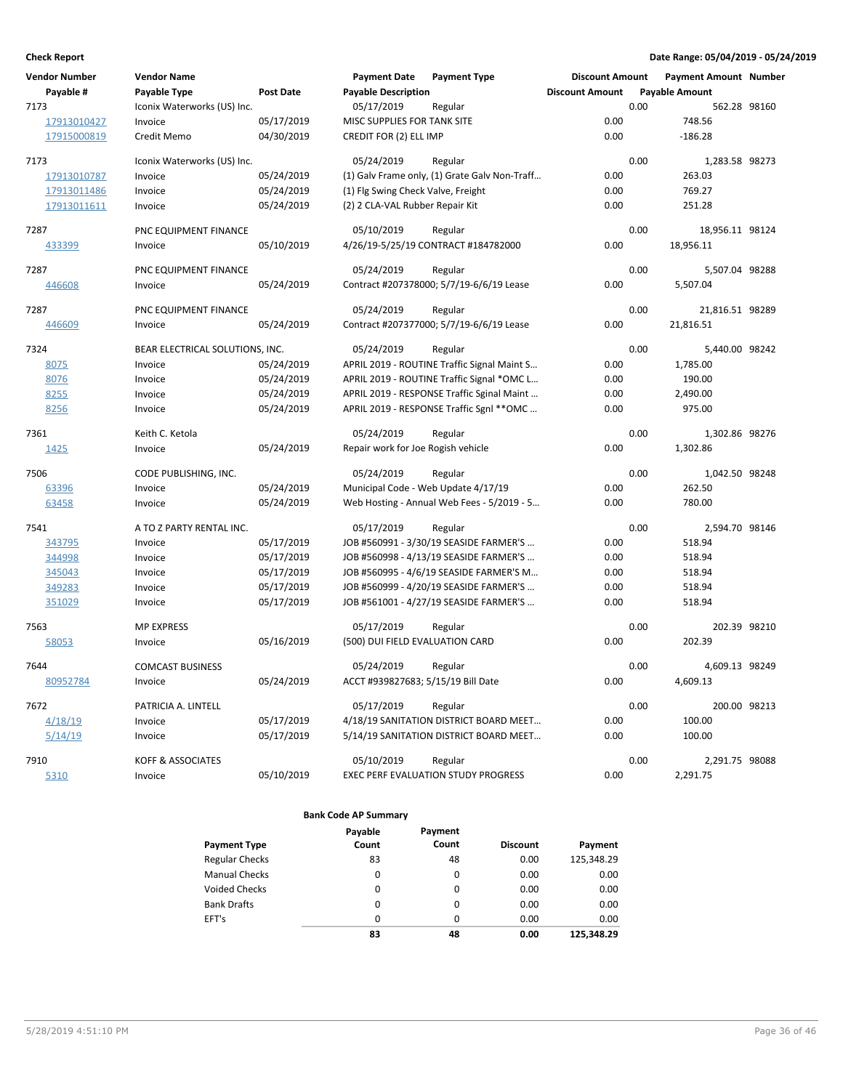| <b>Vendor Number</b><br>Payable # | <b>Vendor Name</b><br>Payable Type | <b>Post Date</b> | <b>Payment Date</b><br><b>Payable Description</b> | <b>Payment Type</b>                           | <b>Discount Amount</b><br><b>Discount Amount</b> | <b>Payment Amount Number</b><br><b>Payable Amount</b> |              |
|-----------------------------------|------------------------------------|------------------|---------------------------------------------------|-----------------------------------------------|--------------------------------------------------|-------------------------------------------------------|--------------|
| 7173                              | Iconix Waterworks (US) Inc.        |                  | 05/17/2019                                        | Regular                                       |                                                  | 0.00                                                  | 562.28 98160 |
| 17913010427                       | Invoice                            | 05/17/2019       | MISC SUPPLIES FOR TANK SITE                       |                                               | 0.00                                             | 748.56                                                |              |
| 17915000819                       | Credit Memo                        | 04/30/2019       | CREDIT FOR (2) ELL IMP                            |                                               | 0.00                                             | $-186.28$                                             |              |
| 7173                              | Iconix Waterworks (US) Inc.        |                  | 05/24/2019                                        | Regular                                       |                                                  | 0.00<br>1,283.58 98273                                |              |
| 17913010787                       | Invoice                            | 05/24/2019       |                                                   | (1) Galv Frame only, (1) Grate Galv Non-Traff | 0.00                                             | 263.03                                                |              |
| 17913011486                       | Invoice                            | 05/24/2019       | (1) Flg Swing Check Valve, Freight                |                                               | 0.00                                             | 769.27                                                |              |
| 17913011611                       | Invoice                            | 05/24/2019       | (2) 2 CLA-VAL Rubber Repair Kit                   |                                               | 0.00                                             | 251.28                                                |              |
| 7287                              | PNC EQUIPMENT FINANCE              |                  | 05/10/2019                                        | Regular                                       |                                                  | 0.00<br>18,956.11 98124                               |              |
| 433399                            | Invoice                            | 05/10/2019       |                                                   | 4/26/19-5/25/19 CONTRACT #184782000           | 0.00                                             | 18,956.11                                             |              |
| 7287                              | PNC EQUIPMENT FINANCE              |                  | 05/24/2019                                        | Regular                                       |                                                  | 0.00<br>5,507.04 98288                                |              |
| 446608                            | Invoice                            | 05/24/2019       |                                                   | Contract #207378000; 5/7/19-6/6/19 Lease      | 0.00                                             | 5,507.04                                              |              |
| 7287                              | PNC EQUIPMENT FINANCE              |                  | 05/24/2019                                        | Regular                                       |                                                  | 0.00<br>21,816.51 98289                               |              |
| 446609                            | Invoice                            | 05/24/2019       |                                                   | Contract #207377000; 5/7/19-6/6/19 Lease      | 0.00                                             | 21,816.51                                             |              |
| 7324                              | BEAR ELECTRICAL SOLUTIONS, INC.    |                  | 05/24/2019                                        | Regular                                       |                                                  | 0.00<br>5,440.00 98242                                |              |
| 8075                              | Invoice                            | 05/24/2019       |                                                   | APRIL 2019 - ROUTINE Traffic Signal Maint S   | 0.00                                             | 1,785.00                                              |              |
| 8076                              | Invoice                            | 05/24/2019       |                                                   | APRIL 2019 - ROUTINE Traffic Signal *OMC L    | 0.00                                             | 190.00                                                |              |
| 8255                              | Invoice                            | 05/24/2019       |                                                   | APRIL 2019 - RESPONSE Traffic Sginal Maint    | 0.00                                             | 2,490.00                                              |              |
| 8256                              | Invoice                            | 05/24/2019       |                                                   | APRIL 2019 - RESPONSE Traffic Sgnl ** OMC     | 0.00                                             | 975.00                                                |              |
| 7361                              | Keith C. Ketola                    |                  | 05/24/2019                                        | Regular                                       |                                                  | 0.00<br>1,302.86 98276                                |              |
| 1425                              | Invoice                            | 05/24/2019       | Repair work for Joe Rogish vehicle                |                                               | 0.00                                             | 1,302.86                                              |              |
| 7506                              | CODE PUBLISHING, INC.              |                  | 05/24/2019                                        | Regular                                       |                                                  | 0.00<br>1,042.50 98248                                |              |
| 63396                             | Invoice                            | 05/24/2019       |                                                   | Municipal Code - Web Update 4/17/19           | 0.00                                             | 262.50                                                |              |
| 63458                             | Invoice                            | 05/24/2019       |                                                   | Web Hosting - Annual Web Fees - 5/2019 - 5    | 0.00                                             | 780.00                                                |              |
| 7541                              | A TO Z PARTY RENTAL INC.           |                  | 05/17/2019                                        | Regular                                       |                                                  | 0.00<br>2,594.70 98146                                |              |
| 343795                            | Invoice                            | 05/17/2019       |                                                   | JOB #560991 - 3/30/19 SEASIDE FARMER'S        | 0.00                                             | 518.94                                                |              |
| 344998                            | Invoice                            | 05/17/2019       |                                                   | JOB #560998 - 4/13/19 SEASIDE FARMER'S        | 0.00                                             | 518.94                                                |              |
| 345043                            | Invoice                            | 05/17/2019       |                                                   | JOB #560995 - 4/6/19 SEASIDE FARMER'S M       | 0.00                                             | 518.94                                                |              |
| 349283                            | Invoice                            | 05/17/2019       |                                                   | JOB #560999 - 4/20/19 SEASIDE FARMER'S        | 0.00                                             | 518.94                                                |              |
| 351029                            | Invoice                            | 05/17/2019       |                                                   | JOB #561001 - 4/27/19 SEASIDE FARMER'S        | 0.00                                             | 518.94                                                |              |
| 7563                              | <b>MP EXPRESS</b>                  |                  | 05/17/2019                                        | Regular                                       |                                                  | 0.00                                                  | 202.39 98210 |
| 58053                             | Invoice                            | 05/16/2019       | (500) DUI FIELD EVALUATION CARD                   |                                               | 0.00                                             | 202.39                                                |              |
| 7644                              | <b>COMCAST BUSINESS</b>            |                  | 05/24/2019                                        | Regular                                       |                                                  | 0.00<br>4,609.13 98249                                |              |
| 80952784                          | Invoice                            | 05/24/2019       | ACCT #939827683; 5/15/19 Bill Date                |                                               | 0.00                                             | 4,609.13                                              |              |
| 7672                              | PATRICIA A. LINTELL                |                  | 05/17/2019                                        | Regular                                       |                                                  | 0.00                                                  | 200.00 98213 |
| 4/18/19                           | Invoice                            | 05/17/2019       |                                                   | 4/18/19 SANITATION DISTRICT BOARD MEET        | 0.00                                             | 100.00                                                |              |
| 5/14/19                           | Invoice                            | 05/17/2019       |                                                   | 5/14/19 SANITATION DISTRICT BOARD MEET        | 0.00                                             | 100.00                                                |              |
| 7910                              | <b>KOFF &amp; ASSOCIATES</b>       |                  | 05/10/2019                                        | Regular                                       |                                                  | 0.00<br>2,291.75 98088                                |              |
| 5310                              | Invoice                            | 05/10/2019       |                                                   | <b>EXEC PERF EVALUATION STUDY PROGRESS</b>    | 0.00                                             | 2,291.75                                              |              |

|                       | Payable | Payment  |                 |            |
|-----------------------|---------|----------|-----------------|------------|
| <b>Payment Type</b>   | Count   | Count    | <b>Discount</b> | Payment    |
| <b>Regular Checks</b> | 83      | 48       | 0.00            | 125,348.29 |
| <b>Manual Checks</b>  | 0       | 0        | 0.00            | 0.00       |
| <b>Voided Checks</b>  | 0       | 0        | 0.00            | 0.00       |
| <b>Bank Drafts</b>    | 0       | 0        | 0.00            | 0.00       |
| EFT's                 | 0       | $\Omega$ | 0.00            | 0.00       |
|                       | 83      | 48       | 0.00            | 125.348.29 |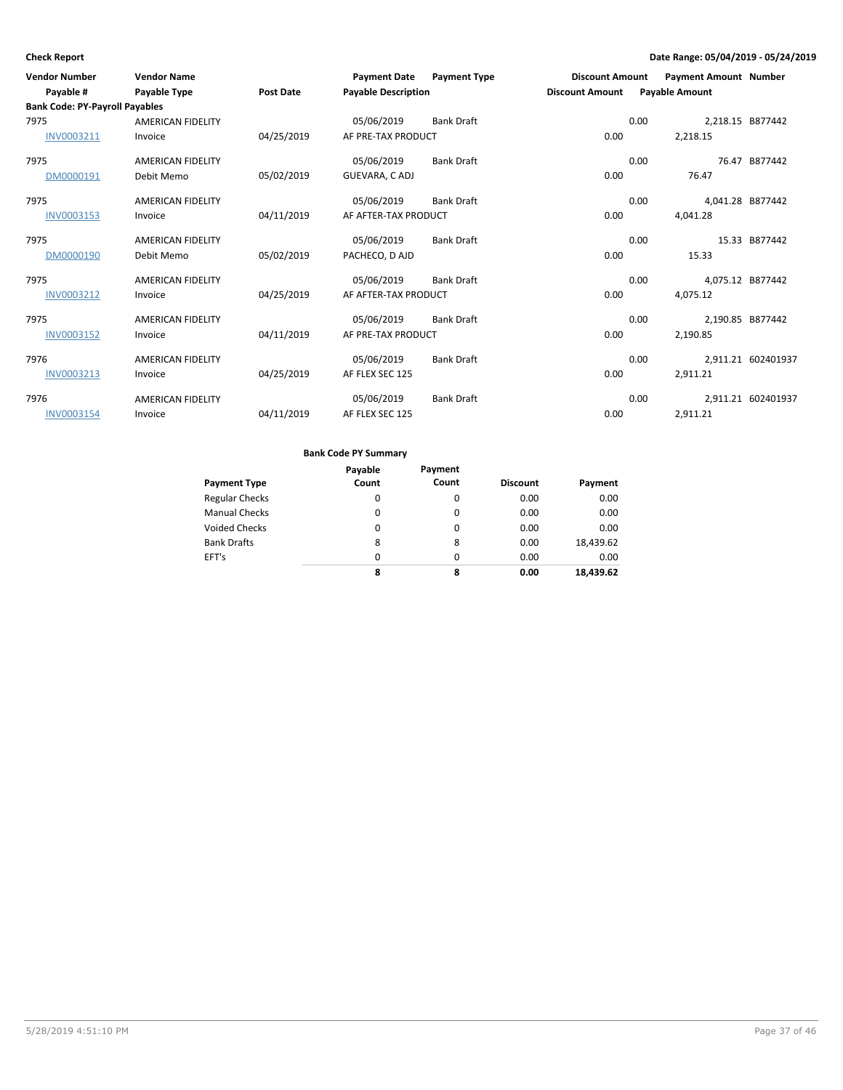| <b>Vendor Number</b><br>Payable #                           | <b>Vendor Name</b><br><b>Payable Type</b> | <b>Post Date</b> | <b>Payment Date</b><br><b>Payable Description</b> | <b>Payment Type</b> | <b>Discount Amount</b><br><b>Discount Amount</b> | <b>Payable Amount</b> | <b>Payment Amount Number</b> |                    |
|-------------------------------------------------------------|-------------------------------------------|------------------|---------------------------------------------------|---------------------|--------------------------------------------------|-----------------------|------------------------------|--------------------|
| <b>Bank Code: PY-Payroll Payables</b><br>7975<br>INV0003211 | <b>AMERICAN FIDELITY</b><br>Invoice       | 04/25/2019       | 05/06/2019<br>AF PRE-TAX PRODUCT                  | <b>Bank Draft</b>   | 0.00                                             | 0.00<br>2,218.15      | 2,218.15 B877442             |                    |
| 7975<br>DM0000191                                           | <b>AMERICAN FIDELITY</b><br>Debit Memo    | 05/02/2019       | 05/06/2019<br>GUEVARA, CADJ                       | <b>Bank Draft</b>   | 0.00                                             | 0.00                  | 76.47                        | 76.47 B877442      |
| 7975<br>INV0003153                                          | <b>AMERICAN FIDELITY</b><br>Invoice       | 04/11/2019       | 05/06/2019<br>AF AFTER-TAX PRODUCT                | <b>Bank Draft</b>   | 0.00                                             | 0.00<br>4,041.28      | 4,041.28 B877442             |                    |
| 7975<br>DM0000190                                           | <b>AMERICAN FIDELITY</b><br>Debit Memo    | 05/02/2019       | 05/06/2019<br>PACHECO, D AJD                      | Bank Draft          | 0.00                                             | 0.00                  | 15.33                        | 15.33 B877442      |
| 7975<br>INV0003212                                          | <b>AMERICAN FIDELITY</b><br>Invoice       | 04/25/2019       | 05/06/2019<br>AF AFTER-TAX PRODUCT                | <b>Bank Draft</b>   | 0.00                                             | 0.00<br>4,075.12      | 4,075.12 B877442             |                    |
| 7975<br>INV0003152                                          | <b>AMERICAN FIDELITY</b><br>Invoice       | 04/11/2019       | 05/06/2019<br>AF PRE-TAX PRODUCT                  | <b>Bank Draft</b>   | 0.00                                             | 0.00<br>2,190.85      | 2,190.85 B877442             |                    |
| 7976<br>INV0003213                                          | <b>AMERICAN FIDELITY</b><br>Invoice       | 04/25/2019       | 05/06/2019<br>AF FLEX SEC 125                     | <b>Bank Draft</b>   | 0.00                                             | 0.00<br>2,911.21      |                              | 2,911.21 602401937 |
| 7976<br>INV0003154                                          | <b>AMERICAN FIDELITY</b><br>Invoice       | 04/11/2019       | 05/06/2019<br>AF FLEX SEC 125                     | <b>Bank Draft</b>   | 0.00                                             | 0.00<br>2,911.21      |                              | 2,911.21 602401937 |

|                       | Payable | Payment |                 |           |
|-----------------------|---------|---------|-----------------|-----------|
| <b>Payment Type</b>   | Count   | Count   | <b>Discount</b> | Payment   |
| <b>Regular Checks</b> | 0       | 0       | 0.00            | 0.00      |
| <b>Manual Checks</b>  | 0       | 0       | 0.00            | 0.00      |
| <b>Voided Checks</b>  | 0       | 0       | 0.00            | 0.00      |
| <b>Bank Drafts</b>    | 8       | 8       | 0.00            | 18,439.62 |
| EFT's                 | 0       | 0       | 0.00            | 0.00      |
|                       | 8       | 8       | 0.00            | 18.439.62 |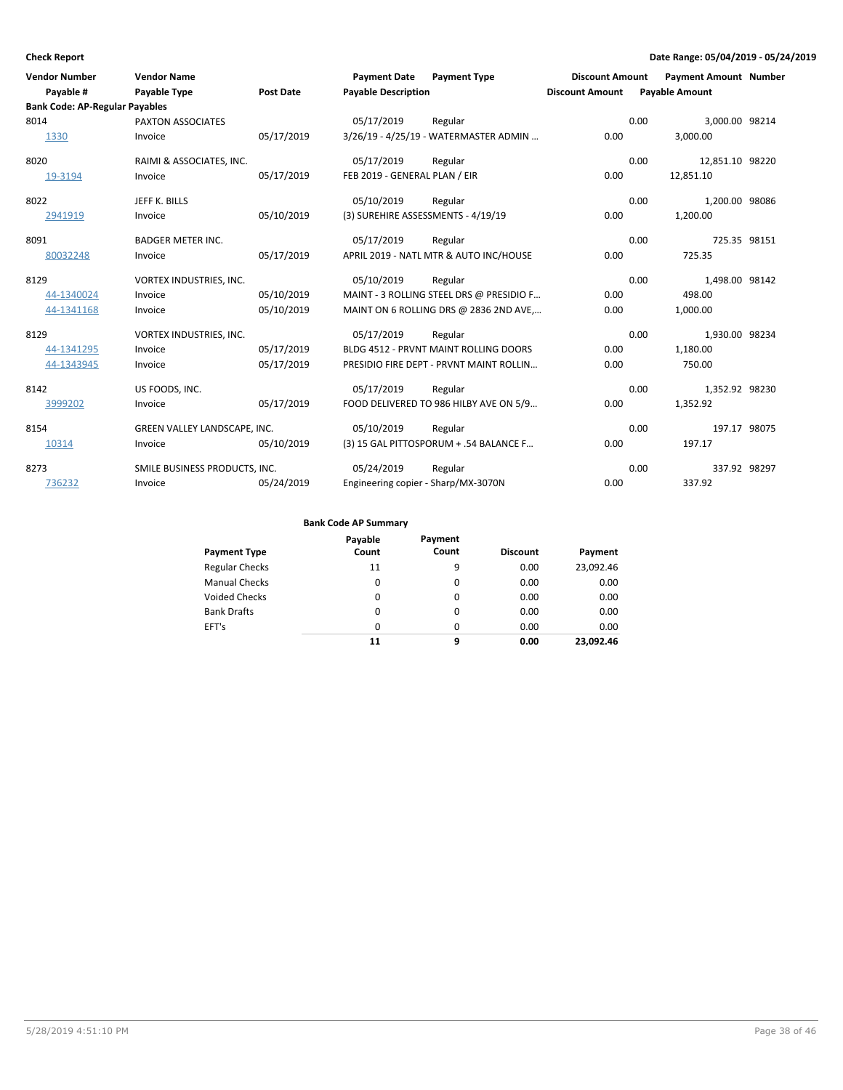| <b>Vendor Number</b>                  | <b>Vendor Name</b>            |                  | <b>Payment Date</b>                 | <b>Payment Type</b>                      | <b>Discount Amount</b> | <b>Payment Amount Number</b> |              |
|---------------------------------------|-------------------------------|------------------|-------------------------------------|------------------------------------------|------------------------|------------------------------|--------------|
| Payable #                             | <b>Payable Type</b>           | <b>Post Date</b> | <b>Payable Description</b>          |                                          | <b>Discount Amount</b> | <b>Payable Amount</b>        |              |
| <b>Bank Code: AP-Regular Payables</b> |                               |                  |                                     |                                          |                        |                              |              |
| 8014                                  | PAXTON ASSOCIATES             |                  | 05/17/2019                          | Regular                                  |                        | 0.00<br>3,000.00 98214       |              |
| 1330                                  | Invoice                       | 05/17/2019       |                                     | 3/26/19 - 4/25/19 - WATERMASTER ADMIN    | 0.00                   | 3,000.00                     |              |
| 8020                                  | RAIMI & ASSOCIATES, INC.      |                  | 05/17/2019                          | Regular                                  |                        | 0.00<br>12,851.10 98220      |              |
| 19-3194                               | Invoice                       | 05/17/2019       | FEB 2019 - GENERAL PLAN / EIR       |                                          | 0.00                   | 12,851.10                    |              |
| 8022                                  | JEFF K. BILLS                 |                  | 05/10/2019                          | Regular                                  |                        | 0.00<br>1,200.00 98086       |              |
| 2941919                               | Invoice                       | 05/10/2019       | (3) SUREHIRE ASSESSMENTS - 4/19/19  |                                          | 0.00                   | 1,200.00                     |              |
| 8091                                  | <b>BADGER METER INC.</b>      |                  | 05/17/2019                          | Regular                                  |                        | 0.00                         | 725.35 98151 |
| 80032248                              | Invoice                       | 05/17/2019       |                                     | APRIL 2019 - NATL MTR & AUTO INC/HOUSE   | 0.00                   | 725.35                       |              |
| 8129                                  | VORTEX INDUSTRIES, INC.       |                  | 05/10/2019                          | Regular                                  |                        | 0.00<br>1,498.00 98142       |              |
| 44-1340024                            | Invoice                       | 05/10/2019       |                                     | MAINT - 3 ROLLING STEEL DRS @ PRESIDIO F | 0.00                   | 498.00                       |              |
| 44-1341168                            | Invoice                       | 05/10/2019       |                                     | MAINT ON 6 ROLLING DRS @ 2836 2ND AVE    | 0.00                   | 1,000.00                     |              |
| 8129                                  | VORTEX INDUSTRIES, INC.       |                  | 05/17/2019                          | Regular                                  |                        | 0.00<br>1,930.00 98234       |              |
| 44-1341295                            | Invoice                       | 05/17/2019       |                                     | BLDG 4512 - PRVNT MAINT ROLLING DOORS    | 0.00                   | 1,180.00                     |              |
| 44-1343945                            | Invoice                       | 05/17/2019       |                                     | PRESIDIO FIRE DEPT - PRVNT MAINT ROLLIN  | 0.00                   | 750.00                       |              |
| 8142                                  | US FOODS, INC.                |                  | 05/17/2019                          | Regular                                  |                        | 0.00<br>1,352.92 98230       |              |
| 3999202                               | Invoice                       | 05/17/2019       |                                     | FOOD DELIVERED TO 986 HILBY AVE ON 5/9   | 0.00                   | 1,352.92                     |              |
| 8154                                  | GREEN VALLEY LANDSCAPE, INC.  |                  | 05/10/2019                          | Regular                                  |                        | 0.00                         | 197.17 98075 |
| 10314                                 | Invoice                       | 05/10/2019       |                                     | (3) 15 GAL PITTOSPORUM + .54 BALANCE F   | 0.00                   | 197.17                       |              |
| 8273                                  | SMILE BUSINESS PRODUCTS, INC. |                  | 05/24/2019                          | Regular                                  |                        | 0.00                         | 337.92 98297 |
| 736232                                | Invoice                       | 05/24/2019       | Engineering copier - Sharp/MX-3070N |                                          | 0.00                   | 337.92                       |              |

|                       | Payable  | Payment  |                 |           |
|-----------------------|----------|----------|-----------------|-----------|
| <b>Payment Type</b>   | Count    | Count    | <b>Discount</b> | Payment   |
| <b>Regular Checks</b> | 11       | 9        | 0.00            | 23,092.46 |
| <b>Manual Checks</b>  | 0        | $\Omega$ | 0.00            | 0.00      |
| <b>Voided Checks</b>  | 0        | $\Omega$ | 0.00            | 0.00      |
| <b>Bank Drafts</b>    | 0        | $\Omega$ | 0.00            | 0.00      |
| EFT's                 | $\Omega$ | $\Omega$ | 0.00            | 0.00      |
|                       | 11       | 9        | 0.00            | 23.092.46 |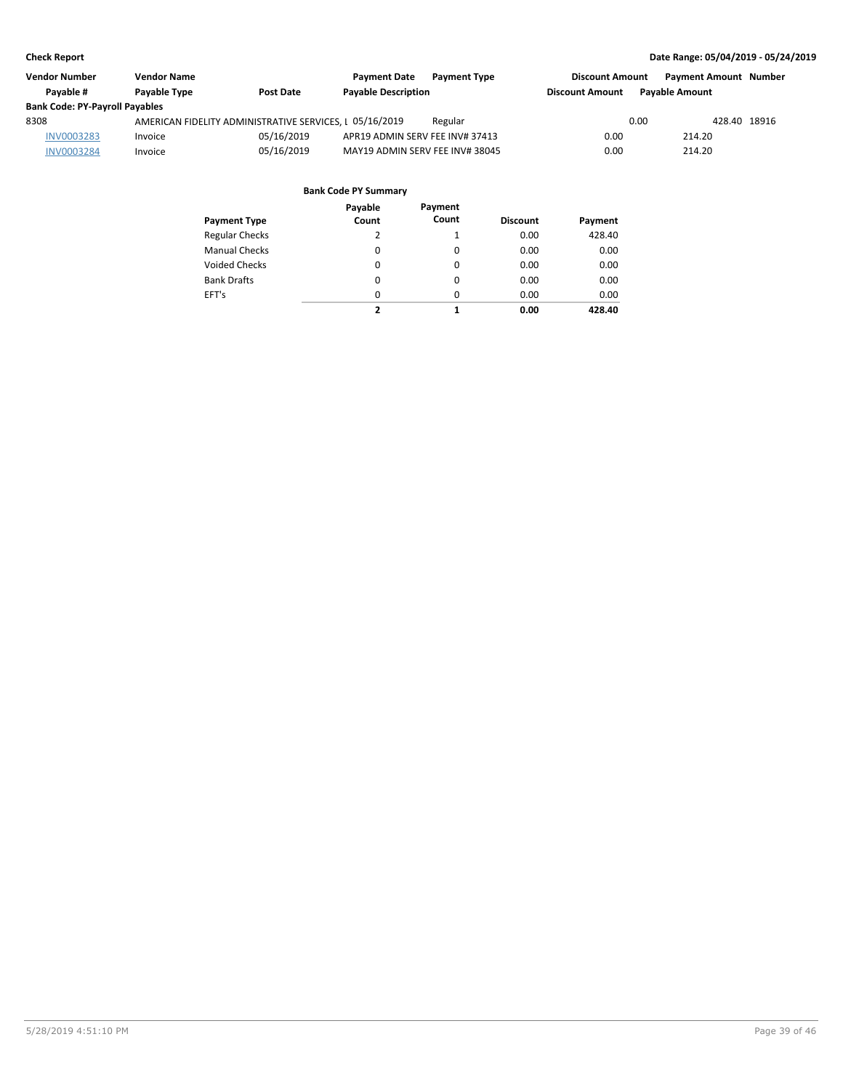| <b>Vendor Number</b>                  | <b>Vendor Name</b>  |                                                         | <b>Payment Date</b><br><b>Payment Type</b> | <b>Discount Amount</b> | <b>Payment Amount Number</b> |
|---------------------------------------|---------------------|---------------------------------------------------------|--------------------------------------------|------------------------|------------------------------|
| Pavable #                             | <b>Pavable Type</b> | <b>Post Date</b>                                        | <b>Payable Description</b>                 | <b>Discount Amount</b> | <b>Pavable Amount</b>        |
| <b>Bank Code: PY-Payroll Payables</b> |                     |                                                         |                                            |                        |                              |
| 8308                                  |                     | AMERICAN FIDELITY ADMINISTRATIVE SERVICES, L 05/16/2019 | Regular                                    | 0.00                   | 428.40 18916                 |
| <b>INV0003283</b>                     | Invoice             | 05/16/2019                                              | APR19 ADMIN SERV FEE INV# 37413            | 0.00                   | 214.20                       |
| <b>INV0003284</b>                     | Invoice             | 05/16/2019                                              | MAY19 ADMIN SERV FEE INV# 38045            | 0.00                   | 214.20                       |

| Payment Type          | Payable<br>Count | Payment<br>Count | <b>Discount</b> | Payment |
|-----------------------|------------------|------------------|-----------------|---------|
| <b>Regular Checks</b> | 2                | 1                | 0.00            | 428.40  |
| <b>Manual Checks</b>  | 0                | 0                | 0.00            | 0.00    |
| <b>Voided Checks</b>  | 0                | 0                | 0.00            | 0.00    |
| <b>Bank Drafts</b>    | 0                | $\Omega$         | 0.00            | 0.00    |
| EFT's                 | 0                | $\Omega$         | 0.00            | 0.00    |
|                       | 2                | 1                | 0.00            | 428.40  |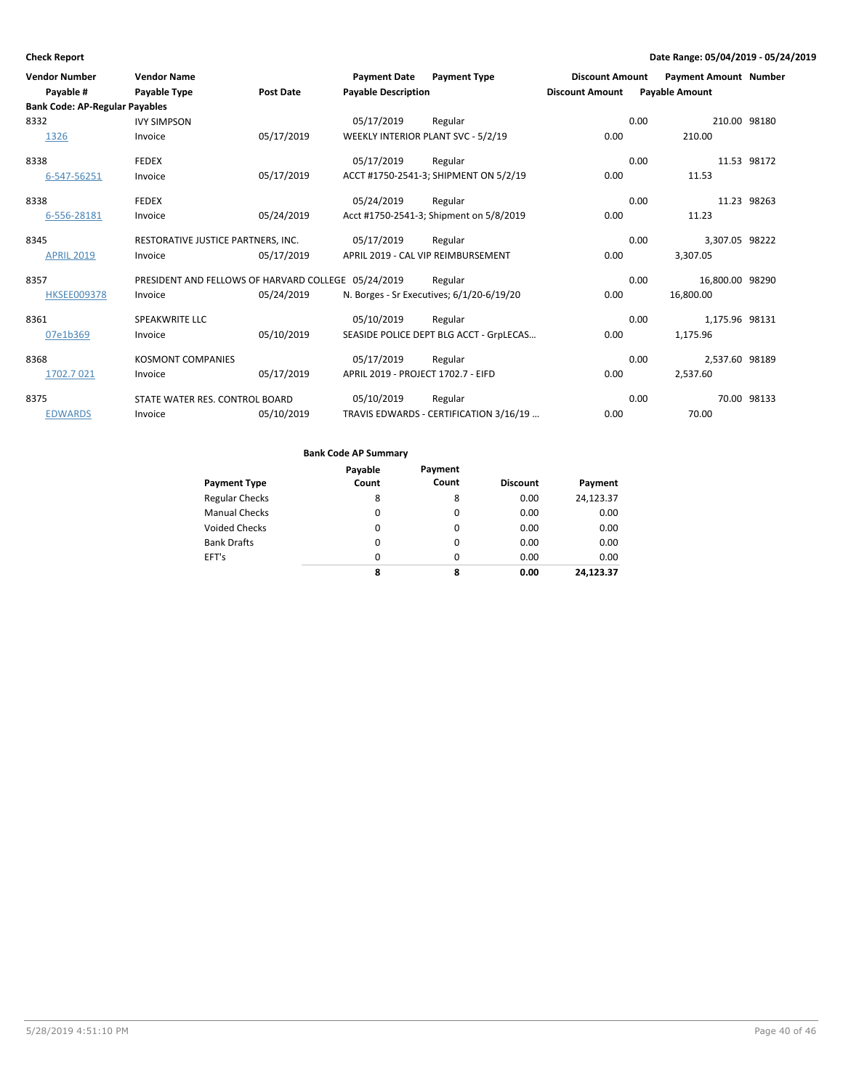| <b>Vendor Number</b><br>Pavable #     | <b>Vendor Name</b><br>Payable Type                  | <b>Post Date</b> | <b>Payment Date</b><br><b>Payable Description</b> | <b>Payment Type</b>                       | <b>Discount Amount</b><br><b>Discount Amount</b> |      | <b>Payment Amount Number</b><br><b>Payable Amount</b> |             |
|---------------------------------------|-----------------------------------------------------|------------------|---------------------------------------------------|-------------------------------------------|--------------------------------------------------|------|-------------------------------------------------------|-------------|
| <b>Bank Code: AP-Regular Payables</b> |                                                     |                  |                                                   |                                           |                                                  |      |                                                       |             |
| 8332                                  | <b>IVY SIMPSON</b>                                  |                  | 05/17/2019                                        | Regular                                   |                                                  | 0.00 | 210.00 98180                                          |             |
| 1326                                  | Invoice                                             | 05/17/2019       |                                                   | WEEKLY INTERIOR PLANT SVC - 5/2/19        | 0.00                                             |      | 210.00                                                |             |
| 8338                                  | <b>FEDEX</b>                                        |                  | 05/17/2019                                        | Regular                                   |                                                  | 0.00 |                                                       | 11.53 98172 |
| 6-547-56251                           | Invoice                                             | 05/17/2019       |                                                   | ACCT #1750-2541-3; SHIPMENT ON 5/2/19     | 0.00                                             |      | 11.53                                                 |             |
| 8338                                  | <b>FEDEX</b>                                        |                  | 05/24/2019                                        | Regular                                   |                                                  | 0.00 |                                                       | 11.23 98263 |
| 6-556-28181                           | Invoice                                             | 05/24/2019       |                                                   | Acct #1750-2541-3; Shipment on 5/8/2019   | 0.00                                             |      | 11.23                                                 |             |
| 8345                                  | RESTORATIVE JUSTICE PARTNERS, INC.                  |                  | 05/17/2019                                        | Regular                                   |                                                  | 0.00 | 3,307.05 98222                                        |             |
| <b>APRIL 2019</b>                     | Invoice                                             | 05/17/2019       |                                                   | APRIL 2019 - CAL VIP REIMBURSEMENT        | 0.00                                             |      | 3,307.05                                              |             |
| 8357                                  | PRESIDENT AND FELLOWS OF HARVARD COLLEGE 05/24/2019 |                  |                                                   | Regular                                   |                                                  | 0.00 | 16,800.00 98290                                       |             |
| <b>HKSEE009378</b>                    | Invoice                                             | 05/24/2019       |                                                   | N. Borges - Sr Executives; 6/1/20-6/19/20 | 0.00                                             |      | 16,800.00                                             |             |
| 8361                                  | <b>SPEAKWRITE LLC</b>                               |                  | 05/10/2019                                        | Regular                                   |                                                  | 0.00 | 1,175.96 98131                                        |             |
| 07e1b369                              | Invoice                                             | 05/10/2019       |                                                   | SEASIDE POLICE DEPT BLG ACCT - GrpLECAS   | 0.00                                             |      | 1,175.96                                              |             |
| 8368                                  | <b>KOSMONT COMPANIES</b>                            |                  | 05/17/2019                                        | Regular                                   |                                                  | 0.00 | 2.537.60 98189                                        |             |
| 1702.7 021                            | Invoice                                             | 05/17/2019       | APRIL 2019 - PROJECT 1702.7 - EIFD                |                                           | 0.00                                             |      | 2,537.60                                              |             |
| 8375                                  | STATE WATER RES. CONTROL BOARD                      |                  | 05/10/2019                                        | Regular                                   |                                                  | 0.00 |                                                       | 70.00 98133 |
| <b>EDWARDS</b>                        | Invoice                                             | 05/10/2019       |                                                   | TRAVIS EDWARDS - CERTIFICATION 3/16/19    | 0.00                                             |      | 70.00                                                 |             |

|                       | Payable | Payment  |                 |           |
|-----------------------|---------|----------|-----------------|-----------|
| <b>Payment Type</b>   | Count   | Count    | <b>Discount</b> | Payment   |
| <b>Regular Checks</b> | 8       | 8        | 0.00            | 24,123.37 |
| <b>Manual Checks</b>  | 0       | 0        | 0.00            | 0.00      |
| <b>Voided Checks</b>  | 0       | 0        | 0.00            | 0.00      |
| <b>Bank Drafts</b>    | 0       | $\Omega$ | 0.00            | 0.00      |
| EFT's                 | 0       | $\Omega$ | 0.00            | 0.00      |
|                       | 8       | 8        | 0.00            | 24.123.37 |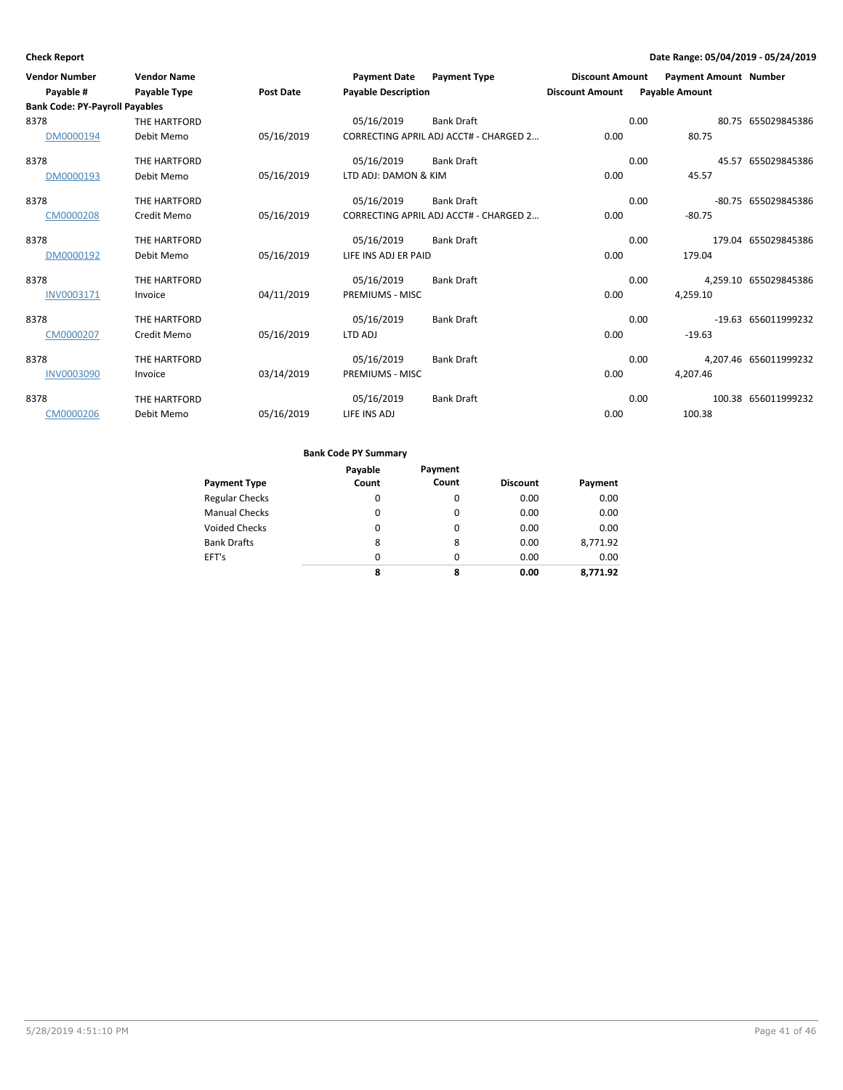| <b>Vendor Number</b>                  | <b>Vendor Name</b> |                  | <b>Payment Date</b>        | <b>Payment Type</b>                    | <b>Discount Amount</b> | <b>Payment Amount Number</b> |                       |
|---------------------------------------|--------------------|------------------|----------------------------|----------------------------------------|------------------------|------------------------------|-----------------------|
| Payable #                             | Payable Type       | <b>Post Date</b> | <b>Payable Description</b> |                                        | <b>Discount Amount</b> | <b>Payable Amount</b>        |                       |
| <b>Bank Code: PY-Payroll Payables</b> |                    |                  |                            |                                        |                        |                              |                       |
| 8378                                  | THE HARTFORD       |                  | 05/16/2019                 | <b>Bank Draft</b>                      |                        | 0.00                         | 80.75 655029845386    |
| DM0000194                             | Debit Memo         | 05/16/2019       |                            | CORRECTING APRIL ADJ ACCT# - CHARGED 2 | 0.00                   | 80.75                        |                       |
| 8378                                  | THE HARTFORD       |                  | 05/16/2019                 | <b>Bank Draft</b>                      |                        | 0.00                         | 45.57 655029845386    |
| DM0000193                             | Debit Memo         | 05/16/2019       | LTD ADJ: DAMON & KIM       |                                        | 0.00                   | 45.57                        |                       |
| 8378                                  | THE HARTFORD       |                  | 05/16/2019                 | <b>Bank Draft</b>                      |                        | 0.00                         | -80.75 655029845386   |
| CM0000208                             | Credit Memo        | 05/16/2019       |                            | CORRECTING APRIL ADJ ACCT# - CHARGED 2 | 0.00                   | $-80.75$                     |                       |
| 8378                                  | THE HARTFORD       |                  | 05/16/2019                 | <b>Bank Draft</b>                      |                        | 0.00                         | 179.04 655029845386   |
| DM0000192                             | Debit Memo         | 05/16/2019       | LIFE INS ADJ ER PAID       |                                        | 0.00                   | 179.04                       |                       |
| 8378                                  | THE HARTFORD       |                  | 05/16/2019                 | <b>Bank Draft</b>                      |                        | 0.00                         | 4.259.10 655029845386 |
| INV0003171                            | Invoice            | 04/11/2019       | <b>PREMIUMS - MISC</b>     |                                        | 0.00                   | 4,259.10                     |                       |
| 8378                                  | THE HARTFORD       |                  | 05/16/2019                 | <b>Bank Draft</b>                      |                        | 0.00                         | -19.63 656011999232   |
| CM0000207                             | Credit Memo        | 05/16/2019       | LTD ADJ                    |                                        | 0.00                   | $-19.63$                     |                       |
| 8378                                  | THE HARTFORD       |                  | 05/16/2019                 | <b>Bank Draft</b>                      |                        | 0.00                         | 4.207.46 656011999232 |
| <b>INV0003090</b>                     | Invoice            | 03/14/2019       | <b>PREMIUMS - MISC</b>     |                                        | 0.00                   | 4,207.46                     |                       |
| 8378                                  | THE HARTFORD       |                  | 05/16/2019                 | <b>Bank Draft</b>                      |                        | 0.00                         | 100.38 656011999232   |
| CM0000206                             | Debit Memo         | 05/16/2019       | LIFE INS ADJ               |                                        | 0.00                   | 100.38                       |                       |

|                       | Payable | Payment  |                 |          |
|-----------------------|---------|----------|-----------------|----------|
| <b>Payment Type</b>   | Count   | Count    | <b>Discount</b> | Payment  |
| <b>Regular Checks</b> | 0       | 0        | 0.00            | 0.00     |
| <b>Manual Checks</b>  | 0       | 0        | 0.00            | 0.00     |
| <b>Voided Checks</b>  | 0       | $\Omega$ | 0.00            | 0.00     |
| <b>Bank Drafts</b>    | 8       | 8        | 0.00            | 8,771.92 |
| EFT's                 | 0       | $\Omega$ | 0.00            | 0.00     |
|                       | 8       | 8        | 0.00            | 8.771.92 |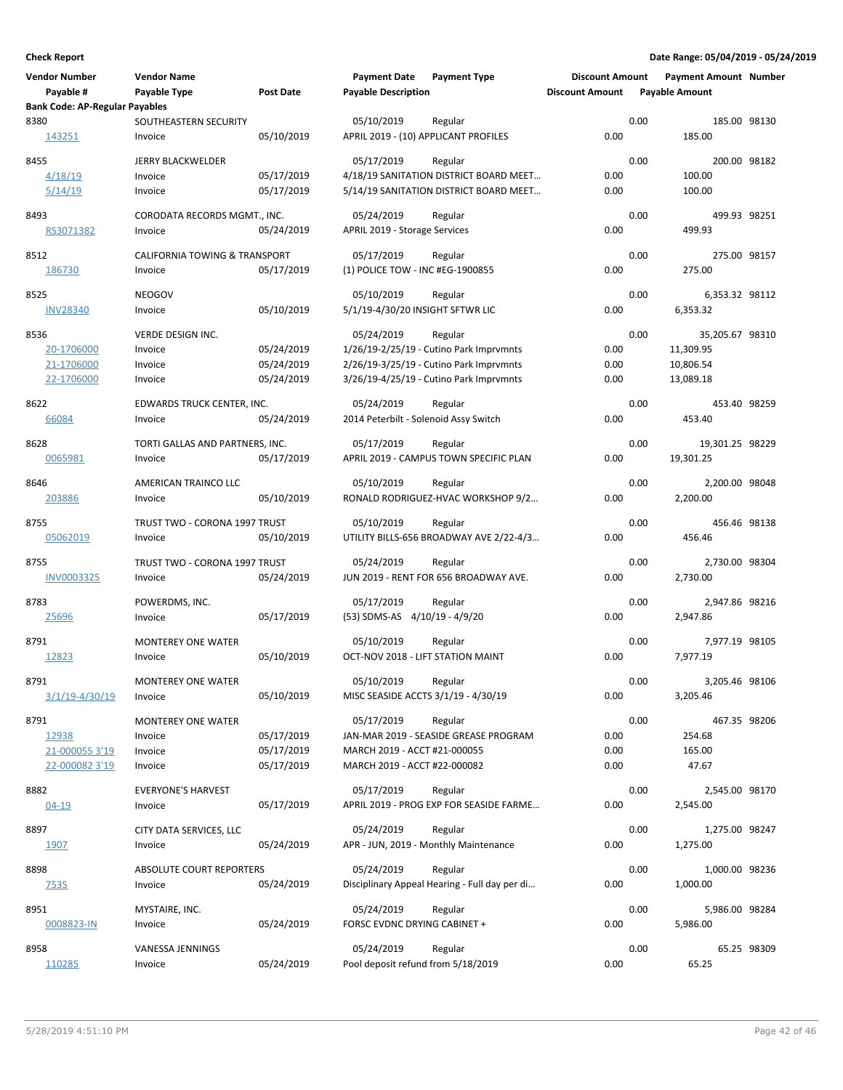| <b>Vendor Number</b>                  | <b>Vendor Name</b>                   |                  | <b>Payment Date</b>                             | <b>Payment Type</b>                           | <b>Discount Amount</b> |      | <b>Payment Amount Number</b> |             |
|---------------------------------------|--------------------------------------|------------------|-------------------------------------------------|-----------------------------------------------|------------------------|------|------------------------------|-------------|
| Payable #                             | Payable Type                         | <b>Post Date</b> | <b>Payable Description</b>                      |                                               | <b>Discount Amount</b> |      | <b>Payable Amount</b>        |             |
| <b>Bank Code: AP-Regular Payables</b> |                                      |                  |                                                 |                                               |                        |      |                              |             |
| 8380                                  | SOUTHEASTERN SECURITY                |                  | 05/10/2019                                      | Regular                                       |                        | 0.00 | 185.00 98130                 |             |
| 143251                                | Invoice                              | 05/10/2019       | APRIL 2019 - (10) APPLICANT PROFILES            |                                               | 0.00                   |      | 185.00                       |             |
| 8455                                  | <b>JERRY BLACKWELDER</b>             |                  | 05/17/2019                                      | Regular                                       |                        | 0.00 | 200.00 98182                 |             |
| 4/18/19                               | Invoice                              | 05/17/2019       |                                                 | 4/18/19 SANITATION DISTRICT BOARD MEET        | 0.00                   |      | 100.00                       |             |
| 5/14/19                               | Invoice                              | 05/17/2019       |                                                 | 5/14/19 SANITATION DISTRICT BOARD MEET        | 0.00                   |      | 100.00                       |             |
| 8493                                  | CORODATA RECORDS MGMT., INC.         |                  | 05/24/2019                                      | Regular                                       |                        | 0.00 | 499.93 98251                 |             |
| RS3071382                             | Invoice                              | 05/24/2019       | APRIL 2019 - Storage Services                   |                                               | 0.00                   |      | 499.93                       |             |
| 8512                                  | CALIFORNIA TOWING & TRANSPORT        |                  | 05/17/2019                                      | Regular                                       |                        | 0.00 | 275.00 98157                 |             |
| 186730                                | Invoice                              | 05/17/2019       | (1) POLICE TOW - INC #EG-1900855                |                                               | 0.00                   |      | 275.00                       |             |
|                                       |                                      |                  |                                                 |                                               |                        |      |                              |             |
| 8525                                  | <b>NEOGOV</b>                        |                  | 05/10/2019                                      | Regular                                       | 0.00                   | 0.00 | 6,353.32 98112               |             |
| <b>INV28340</b>                       | Invoice                              | 05/10/2019       | 5/1/19-4/30/20 INSIGHT SFTWR LIC                |                                               |                        |      | 6,353.32                     |             |
| 8536                                  | <b>VERDE DESIGN INC.</b>             |                  | 05/24/2019                                      | Regular                                       |                        | 0.00 | 35,205.67 98310              |             |
| 20-1706000                            | Invoice                              | 05/24/2019       |                                                 | 1/26/19-2/25/19 - Cutino Park Imprvmnts       | 0.00                   |      | 11,309.95                    |             |
| 21-1706000                            | Invoice                              | 05/24/2019       |                                                 | 2/26/19-3/25/19 - Cutino Park Imprymnts       | 0.00                   |      | 10,806.54                    |             |
| 22-1706000                            | Invoice                              | 05/24/2019       |                                                 | 3/26/19-4/25/19 - Cutino Park Imprvmnts       | 0.00                   |      | 13,089.18                    |             |
| 8622                                  | EDWARDS TRUCK CENTER, INC.           |                  | 05/24/2019                                      | Regular                                       |                        | 0.00 | 453.40 98259                 |             |
| 66084                                 | Invoice                              | 05/24/2019       | 2014 Peterbilt - Solenoid Assy Switch           |                                               | 0.00                   |      | 453.40                       |             |
| 8628                                  | TORTI GALLAS AND PARTNERS, INC.      |                  | 05/17/2019                                      | Regular                                       |                        | 0.00 | 19,301.25 98229              |             |
| 0065981                               | Invoice                              | 05/17/2019       |                                                 | APRIL 2019 - CAMPUS TOWN SPECIFIC PLAN        | 0.00                   |      | 19,301.25                    |             |
|                                       |                                      |                  |                                                 |                                               |                        |      |                              |             |
| 8646<br>203886                        | AMERICAN TRAINCO LLC<br>Invoice      | 05/10/2019       | 05/10/2019                                      | Regular<br>RONALD RODRIGUEZ-HVAC WORKSHOP 9/2 | 0.00                   | 0.00 | 2,200.00 98048<br>2,200.00   |             |
|                                       |                                      |                  |                                                 |                                               |                        |      |                              |             |
| 8755                                  | TRUST TWO - CORONA 1997 TRUST        |                  | 05/10/2019                                      | Regular                                       |                        | 0.00 | 456.46 98138                 |             |
| 05062019                              | Invoice                              | 05/10/2019       |                                                 | UTILITY BILLS-656 BROADWAY AVE 2/22-4/3       | 0.00                   |      | 456.46                       |             |
| 8755                                  | TRUST TWO - CORONA 1997 TRUST        |                  | 05/24/2019                                      | Regular                                       |                        | 0.00 | 2,730.00 98304               |             |
| INV0003325                            | Invoice                              | 05/24/2019       |                                                 | JUN 2019 - RENT FOR 656 BROADWAY AVE.         | 0.00                   |      | 2,730.00                     |             |
| 8783                                  | POWERDMS, INC.                       |                  | 05/17/2019                                      | Regular                                       |                        | 0.00 | 2,947.86 98216               |             |
| 25696                                 | Invoice                              | 05/17/2019       | (53) SDMS-AS 4/10/19 - 4/9/20                   |                                               | 0.00                   |      | 2.947.86                     |             |
|                                       |                                      |                  |                                                 |                                               |                        |      |                              |             |
| 8791<br>12823                         | <b>MONTEREY ONE WATER</b><br>Invoice | 05/10/2019       | 05/10/2019<br>OCT-NOV 2018 - LIFT STATION MAINT | Regular                                       | 0.00                   | 0.00 | 7,977.19 98105<br>7.977.19   |             |
|                                       |                                      |                  |                                                 |                                               |                        |      |                              |             |
| 8791                                  | MONTEREY ONE WATER                   |                  | 05/10/2019                                      | Regular                                       |                        | 0.00 | 3,205.46 98106               |             |
| <u>3/1/19-4/30/19</u>                 | Invoice                              | 05/10/2019       | MISC SEASIDE ACCTS 3/1/19 - 4/30/19             |                                               | 0.00                   |      | 3,205.46                     |             |
| 8791                                  | MONTEREY ONE WATER                   |                  | 05/17/2019                                      | Regular                                       |                        | 0.00 | 467.35 98206                 |             |
| 12938                                 | Invoice                              | 05/17/2019       |                                                 | JAN-MAR 2019 - SEASIDE GREASE PROGRAM         | 0.00                   |      | 254.68                       |             |
| 21-000055 3'19                        | Invoice                              | 05/17/2019       | MARCH 2019 - ACCT #21-000055                    |                                               | 0.00                   |      | 165.00                       |             |
| 22-000082 3'19                        | Invoice                              | 05/17/2019       | MARCH 2019 - ACCT #22-000082                    |                                               | 0.00                   |      | 47.67                        |             |
| 8882                                  | <b>EVERYONE'S HARVEST</b>            |                  | 05/17/2019                                      | Regular                                       |                        | 0.00 | 2,545.00 98170               |             |
| $04 - 19$                             | Invoice                              | 05/17/2019       |                                                 | APRIL 2019 - PROG EXP FOR SEASIDE FARME       | 0.00                   |      | 2,545.00                     |             |
| 8897                                  | CITY DATA SERVICES, LLC              |                  | 05/24/2019                                      | Regular                                       |                        | 0.00 | 1,275.00 98247               |             |
| 1907                                  | Invoice                              | 05/24/2019       |                                                 | APR - JUN, 2019 - Monthly Maintenance         | 0.00                   |      | 1,275.00                     |             |
|                                       |                                      |                  |                                                 |                                               |                        |      |                              |             |
| 8898                                  | <b>ABSOLUTE COURT REPORTERS</b>      |                  | 05/24/2019                                      | Regular                                       |                        | 0.00 | 1,000.00 98236               |             |
| <u>7535</u>                           | Invoice                              | 05/24/2019       |                                                 | Disciplinary Appeal Hearing - Full day per di | 0.00                   |      | 1,000.00                     |             |
| 8951                                  | MYSTAIRE, INC.                       |                  | 05/24/2019                                      | Regular                                       |                        | 0.00 | 5,986.00 98284               |             |
| 0008823-IN                            | Invoice                              | 05/24/2019       | FORSC EVDNC DRYING CABINET +                    |                                               | 0.00                   |      | 5,986.00                     |             |
| 8958                                  | VANESSA JENNINGS                     |                  | 05/24/2019                                      | Regular                                       |                        | 0.00 |                              | 65.25 98309 |
| 110285                                | Invoice                              | 05/24/2019       | Pool deposit refund from 5/18/2019              |                                               | 0.00                   |      | 65.25                        |             |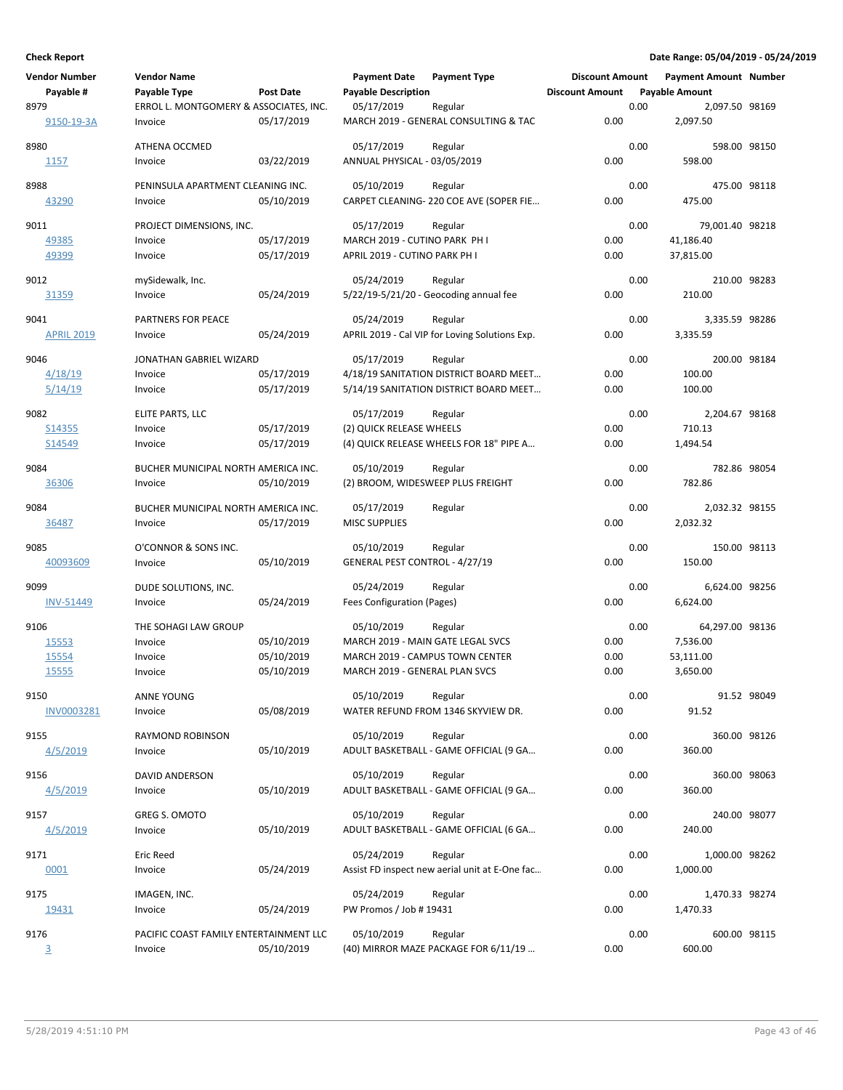| Vendor Number     | <b>Vendor Name</b>                     |                  | <b>Payment Date</b>               | <b>Payment Type</b>                            | <b>Discount Amount</b> |      | <b>Payment Amount Number</b> |             |
|-------------------|----------------------------------------|------------------|-----------------------------------|------------------------------------------------|------------------------|------|------------------------------|-------------|
| Payable #         | Payable Type                           | <b>Post Date</b> | <b>Payable Description</b>        |                                                | <b>Discount Amount</b> |      | <b>Payable Amount</b>        |             |
| 8979              | ERROL L. MONTGOMERY & ASSOCIATES, INC. |                  | 05/17/2019                        | Regular                                        |                        | 0.00 | 2,097.50 98169               |             |
| 9150-19-3A        | Invoice                                | 05/17/2019       |                                   | MARCH 2019 - GENERAL CONSULTING & TAC          | 0.00                   |      | 2,097.50                     |             |
| 8980              | ATHENA OCCMED                          |                  | 05/17/2019                        | Regular                                        |                        | 0.00 | 598.00 98150                 |             |
|                   |                                        |                  |                                   |                                                |                        |      |                              |             |
| 1157              | Invoice                                | 03/22/2019       | ANNUAL PHYSICAL - 03/05/2019      |                                                | 0.00                   |      | 598.00                       |             |
| 8988              | PENINSULA APARTMENT CLEANING INC.      |                  | 05/10/2019                        | Regular                                        |                        | 0.00 | 475.00 98118                 |             |
| 43290             | Invoice                                | 05/10/2019       |                                   | CARPET CLEANING- 220 COE AVE (SOPER FIE        | 0.00                   |      | 475.00                       |             |
|                   |                                        |                  |                                   |                                                |                        |      |                              |             |
| 9011              | PROJECT DIMENSIONS, INC.               |                  | 05/17/2019                        | Regular                                        |                        | 0.00 | 79,001.40 98218              |             |
| 49385             | Invoice                                | 05/17/2019       | MARCH 2019 - CUTINO PARK PH I     |                                                | 0.00                   |      | 41,186.40                    |             |
| 49399             | Invoice                                | 05/17/2019       | APRIL 2019 - CUTINO PARK PH I     |                                                | 0.00                   |      | 37,815.00                    |             |
| 9012              | mySidewalk, Inc.                       |                  | 05/24/2019                        | Regular                                        |                        | 0.00 | 210.00 98283                 |             |
| 31359             | Invoice                                | 05/24/2019       |                                   | 5/22/19-5/21/20 - Geocoding annual fee         | 0.00                   |      | 210.00                       |             |
|                   |                                        |                  |                                   |                                                |                        |      |                              |             |
| 9041              | PARTNERS FOR PEACE                     |                  | 05/24/2019                        | Regular                                        |                        | 0.00 | 3,335.59 98286               |             |
| <b>APRIL 2019</b> | Invoice                                | 05/24/2019       |                                   | APRIL 2019 - Cal VIP for Loving Solutions Exp. | 0.00                   |      | 3,335.59                     |             |
| 9046              | JONATHAN GABRIEL WIZARD                |                  | 05/17/2019                        | Regular                                        |                        | 0.00 | 200.00 98184                 |             |
| 4/18/19           | Invoice                                | 05/17/2019       |                                   | 4/18/19 SANITATION DISTRICT BOARD MEET         | 0.00                   |      | 100.00                       |             |
| 5/14/19           | Invoice                                | 05/17/2019       |                                   | 5/14/19 SANITATION DISTRICT BOARD MEET         | 0.00                   |      | 100.00                       |             |
| 9082              | ELITE PARTS, LLC                       |                  | 05/17/2019                        | Regular                                        |                        | 0.00 | 2,204.67 98168               |             |
| S14355            | Invoice                                | 05/17/2019       | (2) QUICK RELEASE WHEELS          |                                                | 0.00                   |      | 710.13                       |             |
| S14549            | Invoice                                | 05/17/2019       |                                   | (4) QUICK RELEASE WHEELS FOR 18" PIPE A        | 0.00                   |      | 1,494.54                     |             |
|                   |                                        |                  |                                   |                                                |                        |      |                              |             |
| 9084              | BUCHER MUNICIPAL NORTH AMERICA INC.    |                  | 05/10/2019                        | Regular                                        |                        | 0.00 | 782.86 98054                 |             |
| 36306             | Invoice                                | 05/10/2019       | (2) BROOM, WIDESWEEP PLUS FREIGHT |                                                | 0.00                   |      | 782.86                       |             |
| 9084              | BUCHER MUNICIPAL NORTH AMERICA INC.    |                  | 05/17/2019                        | Regular                                        |                        | 0.00 | 2,032.32 98155               |             |
| 36487             | Invoice                                | 05/17/2019       | <b>MISC SUPPLIES</b>              |                                                | 0.00                   |      | 2,032.32                     |             |
|                   |                                        |                  |                                   |                                                |                        |      |                              |             |
| 9085              | O'CONNOR & SONS INC.                   |                  | 05/10/2019                        | Regular                                        |                        | 0.00 | 150.00 98113                 |             |
| 40093609          | Invoice                                | 05/10/2019       | GENERAL PEST CONTROL - 4/27/19    |                                                | 0.00                   |      | 150.00                       |             |
| 9099              | DUDE SOLUTIONS, INC.                   |                  | 05/24/2019                        | Regular                                        |                        | 0.00 | 6,624.00 98256               |             |
| <b>INV-51449</b>  | Invoice                                | 05/24/2019       | Fees Configuration (Pages)        |                                                | 0.00                   |      | 6,624.00                     |             |
|                   |                                        |                  |                                   |                                                |                        |      |                              |             |
| 9106              | THE SOHAGI LAW GROUP                   |                  | 05/10/2019                        | Regular                                        |                        | 0.00 | 64,297.00 98136              |             |
| 15553             | Invoice                                | 05/10/2019       | MARCH 2019 - MAIN GATE LEGAL SVCS |                                                | 0.00                   |      | 7,536.00                     |             |
| 15554             | Invoice                                | 05/10/2019       | MARCH 2019 - CAMPUS TOWN CENTER   |                                                | 0.00                   |      | 53,111.00                    |             |
| 15555             | Invoice                                | 05/10/2019       | MARCH 2019 - GENERAL PLAN SVCS    |                                                | 0.00                   |      | 3,650.00                     |             |
| 9150              | <b>ANNE YOUNG</b>                      |                  | 05/10/2019                        | Regular                                        |                        | 0.00 |                              | 91.52 98049 |
| INV0003281        | Invoice                                | 05/08/2019       |                                   | WATER REFUND FROM 1346 SKYVIEW DR.             | 0.00                   |      | 91.52                        |             |
|                   |                                        |                  |                                   |                                                |                        |      |                              |             |
| 9155              | RAYMOND ROBINSON                       |                  | 05/10/2019                        | Regular                                        |                        | 0.00 | 360.00 98126                 |             |
| 4/5/2019          | Invoice                                | 05/10/2019       |                                   | ADULT BASKETBALL - GAME OFFICIAL (9 GA         | 0.00                   |      | 360.00                       |             |
| 9156              | DAVID ANDERSON                         |                  | 05/10/2019                        | Regular                                        |                        | 0.00 | 360.00 98063                 |             |
| 4/5/2019          | Invoice                                | 05/10/2019       |                                   | ADULT BASKETBALL - GAME OFFICIAL (9 GA         | 0.00                   |      | 360.00                       |             |
|                   |                                        |                  |                                   |                                                |                        |      |                              |             |
| 9157              | GREG S. OMOTO                          |                  | 05/10/2019                        | Regular                                        |                        | 0.00 | 240.00 98077                 |             |
| 4/5/2019          | Invoice                                | 05/10/2019       |                                   | ADULT BASKETBALL - GAME OFFICIAL (6 GA         | 0.00                   |      | 240.00                       |             |
| 9171              | Eric Reed                              |                  | 05/24/2019                        | Regular                                        |                        | 0.00 | 1,000.00 98262               |             |
| 0001              | Invoice                                | 05/24/2019       |                                   | Assist FD inspect new aerial unit at E-One fac | 0.00                   |      | 1,000.00                     |             |
|                   |                                        |                  |                                   |                                                |                        |      |                              |             |
| 9175              | IMAGEN, INC.                           |                  | 05/24/2019                        | Regular                                        |                        | 0.00 | 1,470.33 98274               |             |
| 19431             | Invoice                                | 05/24/2019       | PW Promos / Job # 19431           |                                                | 0.00                   |      | 1,470.33                     |             |
| 9176              | PACIFIC COAST FAMILY ENTERTAINMENT LLC |                  | 05/10/2019                        | Regular                                        |                        | 0.00 | 600.00 98115                 |             |
| 3                 | Invoice                                | 05/10/2019       |                                   | (40) MIRROR MAZE PACKAGE FOR 6/11/19           | 0.00                   |      | 600.00                       |             |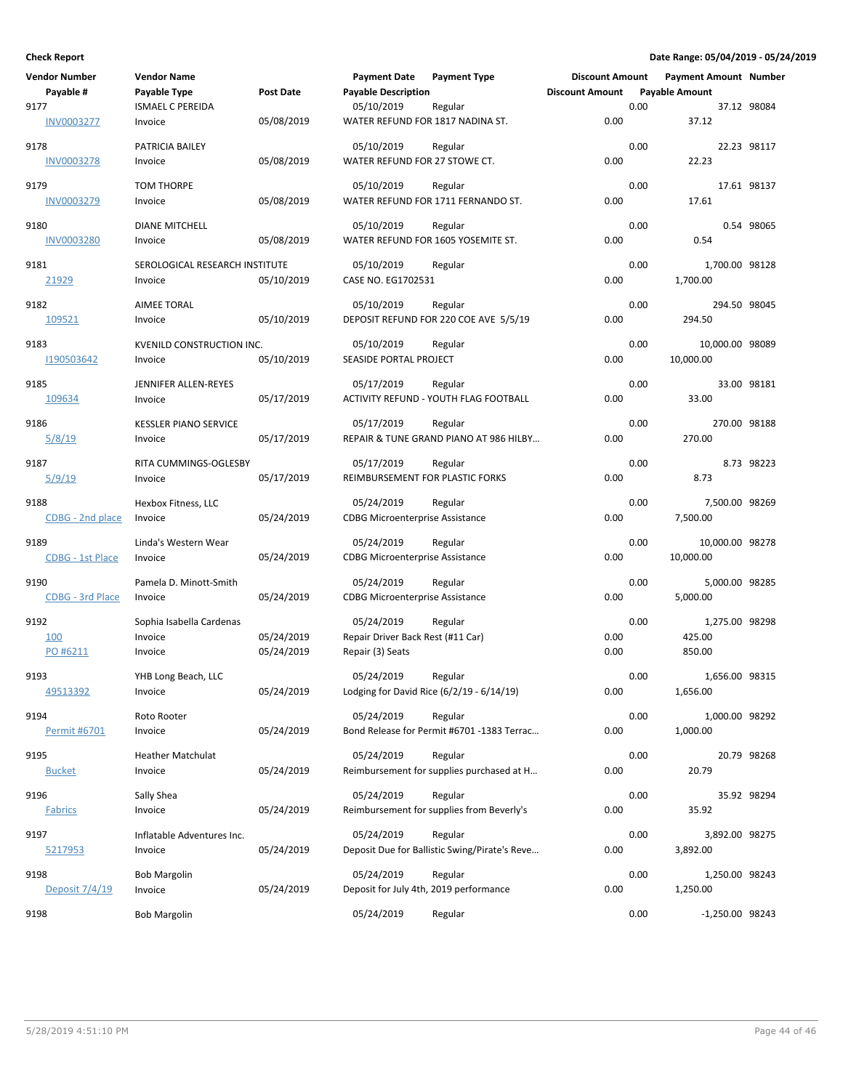| <b>Vendor Number</b>     | <b>Vendor Name</b>             |            | <b>Payment Date</b>                                  | <b>Payment Type</b>                           | <b>Discount Amount</b> |      | <b>Payment Amount Number</b> |             |
|--------------------------|--------------------------------|------------|------------------------------------------------------|-----------------------------------------------|------------------------|------|------------------------------|-------------|
| Payable #                | Payable Type                   | Post Date  | <b>Payable Description</b>                           |                                               | <b>Discount Amount</b> |      | <b>Payable Amount</b>        |             |
| 9177                     | <b>ISMAEL C PEREIDA</b>        |            | 05/10/2019                                           | Regular                                       |                        | 0.00 |                              | 37.12 98084 |
| <b>INV0003277</b>        | Invoice                        | 05/08/2019 | WATER REFUND FOR 1817 NADINA ST.                     |                                               | 0.00                   |      | 37.12                        |             |
| 9178                     | PATRICIA BAILEY                |            | 05/10/2019                                           | Regular                                       |                        | 0.00 |                              | 22.23 98117 |
| <b>INV0003278</b>        | Invoice                        | 05/08/2019 | WATER REFUND FOR 27 STOWE CT.                        |                                               | 0.00                   |      | 22.23                        |             |
|                          |                                |            |                                                      |                                               |                        |      |                              |             |
| 9179<br>INV0003279       | TOM THORPE<br>Invoice          | 05/08/2019 | 05/10/2019                                           | Regular<br>WATER REFUND FOR 1711 FERNANDO ST. | 0.00                   | 0.00 | 17.61                        | 17.61 98137 |
|                          |                                |            |                                                      |                                               |                        |      |                              |             |
| 9180                     | <b>DIANE MITCHELL</b>          |            | 05/10/2019                                           | Regular                                       |                        | 0.00 |                              | 0.54 98065  |
| <b>INV0003280</b>        | Invoice                        | 05/08/2019 |                                                      | WATER REFUND FOR 1605 YOSEMITE ST.            | 0.00                   |      | 0.54                         |             |
| 9181                     | SEROLOGICAL RESEARCH INSTITUTE |            | 05/10/2019                                           | Regular                                       |                        | 0.00 | 1,700.00 98128               |             |
| 21929                    | Invoice                        | 05/10/2019 | CASE NO. EG1702531                                   |                                               | 0.00                   |      | 1,700.00                     |             |
| 9182                     | <b>AIMEE TORAL</b>             |            | 05/10/2019                                           | Regular                                       |                        | 0.00 | 294.50 98045                 |             |
| 109521                   | Invoice                        | 05/10/2019 |                                                      | DEPOSIT REFUND FOR 220 COE AVE 5/5/19         | 0.00                   |      | 294.50                       |             |
|                          |                                |            |                                                      |                                               |                        |      |                              |             |
| 9183                     | KVENILD CONSTRUCTION INC.      |            | 05/10/2019                                           | Regular                                       |                        | 0.00 | 10,000.00 98089              |             |
| 1190503642               | Invoice                        | 05/10/2019 | SEASIDE PORTAL PROJECT                               |                                               | 0.00                   |      | 10,000.00                    |             |
| 9185                     | JENNIFER ALLEN-REYES           |            | 05/17/2019                                           | Regular                                       |                        | 0.00 |                              | 33.00 98181 |
| 109634                   | Invoice                        | 05/17/2019 |                                                      | ACTIVITY REFUND - YOUTH FLAG FOOTBALL         | 0.00                   |      | 33.00                        |             |
| 9186                     | <b>KESSLER PIANO SERVICE</b>   |            | 05/17/2019                                           | Regular                                       |                        | 0.00 | 270.00 98188                 |             |
| 5/8/19                   | Invoice                        | 05/17/2019 |                                                      | REPAIR & TUNE GRAND PIANO AT 986 HILBY        | 0.00                   |      | 270.00                       |             |
|                          |                                |            |                                                      |                                               |                        |      |                              |             |
| 9187                     | RITA CUMMINGS-OGLESBY          |            | 05/17/2019                                           | Regular                                       |                        | 0.00 |                              | 8.73 98223  |
| <u>5/9/19</u>            | Invoice                        | 05/17/2019 | REIMBURSEMENT FOR PLASTIC FORKS                      |                                               | 0.00                   |      | 8.73                         |             |
| 9188                     | Hexbox Fitness, LLC            |            | 05/24/2019                                           | Regular                                       |                        | 0.00 | 7,500.00 98269               |             |
| CDBG - 2nd place         | Invoice                        | 05/24/2019 | <b>CDBG Microenterprise Assistance</b>               |                                               | 0.00                   |      | 7,500.00                     |             |
| 9189                     | Linda's Western Wear           |            | 05/24/2019                                           | Regular                                       |                        | 0.00 | 10,000.00 98278              |             |
| <b>CDBG - 1st Place</b>  | Invoice                        | 05/24/2019 | <b>CDBG Microenterprise Assistance</b>               |                                               | 0.00                   |      | 10,000.00                    |             |
|                          |                                |            |                                                      |                                               |                        |      |                              |             |
| 9190                     | Pamela D. Minott-Smith         |            | 05/24/2019                                           | Regular                                       | 0.00                   | 0.00 | 5,000.00 98285               |             |
| CDBG - 3rd Place         | Invoice                        | 05/24/2019 | <b>CDBG Microenterprise Assistance</b>               |                                               |                        |      | 5,000.00                     |             |
| 9192                     | Sophia Isabella Cardenas       |            | 05/24/2019                                           | Regular                                       |                        | 0.00 | 1,275.00 98298               |             |
| 100                      | Invoice                        | 05/24/2019 | Repair Driver Back Rest (#11 Car)                    |                                               | 0.00                   |      | 425.00                       |             |
| PO #6211                 | Invoice                        | 05/24/2019 | Repair (3) Seats                                     |                                               | 0.00                   |      | 850.00                       |             |
| 9193                     | YHB Long Beach, LLC            |            | 05/24/2019                                           | Regular                                       |                        | 0.00 | 1,656.00 98315               |             |
| 49513392                 | Invoice                        | 05/24/2019 |                                                      | Lodging for David Rice (6/2/19 - 6/14/19)     | 0.00                   |      | 1,656.00                     |             |
| 9194                     | Roto Rooter                    |            | 05/24/2019                                           | Regular                                       |                        | 0.00 | 1,000.00 98292               |             |
| Permit #6701             | Invoice                        | 05/24/2019 |                                                      | Bond Release for Permit #6701 -1383 Terrac    | 0.00                   |      | 1,000.00                     |             |
|                          |                                |            |                                                      |                                               |                        |      |                              |             |
| 9195                     | <b>Heather Matchulat</b>       |            | 05/24/2019                                           | Regular                                       |                        | 0.00 |                              | 20.79 98268 |
| <b>Bucket</b>            | Invoice                        | 05/24/2019 |                                                      | Reimbursement for supplies purchased at H     | 0.00                   |      | 20.79                        |             |
| 9196                     | Sally Shea                     |            | 05/24/2019                                           | Regular                                       |                        | 0.00 |                              | 35.92 98294 |
| <b>Fabrics</b>           | Invoice                        | 05/24/2019 |                                                      | Reimbursement for supplies from Beverly's     | 0.00                   |      | 35.92                        |             |
| 9197                     | Inflatable Adventures Inc.     |            | 05/24/2019                                           | Regular                                       |                        | 0.00 | 3,892.00 98275               |             |
| 5217953                  | Invoice                        | 05/24/2019 |                                                      | Deposit Due for Ballistic Swing/Pirate's Reve | 0.00                   |      | 3,892.00                     |             |
|                          |                                |            |                                                      |                                               |                        |      |                              |             |
| 9198<br>Deposit $7/4/19$ | <b>Bob Margolin</b>            | 05/24/2019 | 05/24/2019<br>Deposit for July 4th, 2019 performance | Regular                                       | 0.00                   | 0.00 | 1,250.00 98243               |             |
|                          | Invoice                        |            |                                                      |                                               |                        |      | 1,250.00                     |             |
| 9198                     | <b>Bob Margolin</b>            |            | 05/24/2019                                           | Regular                                       |                        | 0.00 | -1,250.00 98243              |             |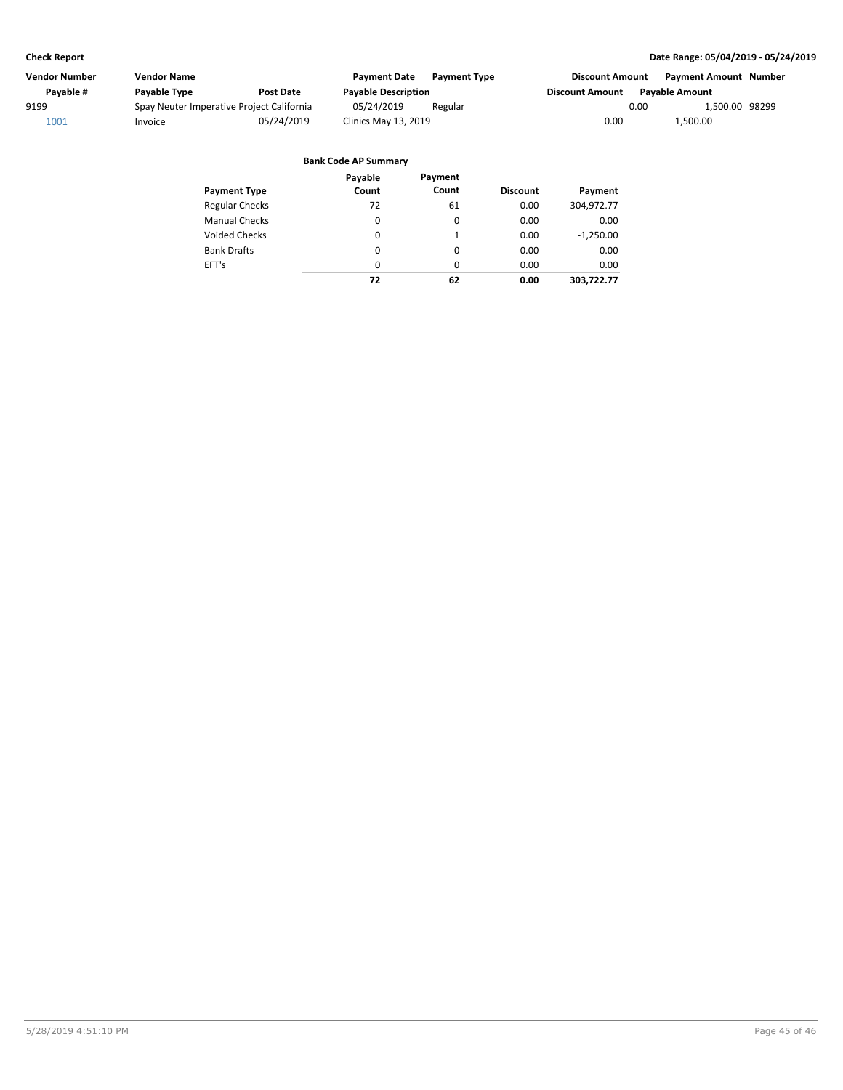| Vendor Number | Vendor Name         |                                           | <b>Payment Date</b>        | <b>Payment Type</b> | <b>Discount Amount</b> | <b>Payment Amount Number</b> |  |
|---------------|---------------------|-------------------------------------------|----------------------------|---------------------|------------------------|------------------------------|--|
| Pavable #     | <b>Pavable Type</b> | <b>Post Date</b>                          | <b>Payable Description</b> |                     | Discount Amount        | <b>Pavable Amount</b>        |  |
| 9199          |                     | Spay Neuter Imperative Project California | 05/24/2019                 | Regular             |                        | 1,500.00 98299<br>0.00       |  |
| 1001          | Invoice             | 05/24/2019                                | Clinics May 13, 2019       |                     | 0.00                   | 1.500.00                     |  |

|                       | Payable  | Payment  |                 |             |
|-----------------------|----------|----------|-----------------|-------------|
| <b>Payment Type</b>   | Count    | Count    | <b>Discount</b> | Payment     |
| <b>Regular Checks</b> | 72       | 61       | 0.00            | 304,972.77  |
| <b>Manual Checks</b>  | 0        | 0        | 0.00            | 0.00        |
| <b>Voided Checks</b>  | 0        | 1        | 0.00            | $-1,250.00$ |
| <b>Bank Drafts</b>    | 0        | $\Omega$ | 0.00            | 0.00        |
| EFT's                 | $\Omega$ | $\Omega$ | 0.00            | 0.00        |
|                       | 72       | 62       | 0.00            | 303.722.77  |